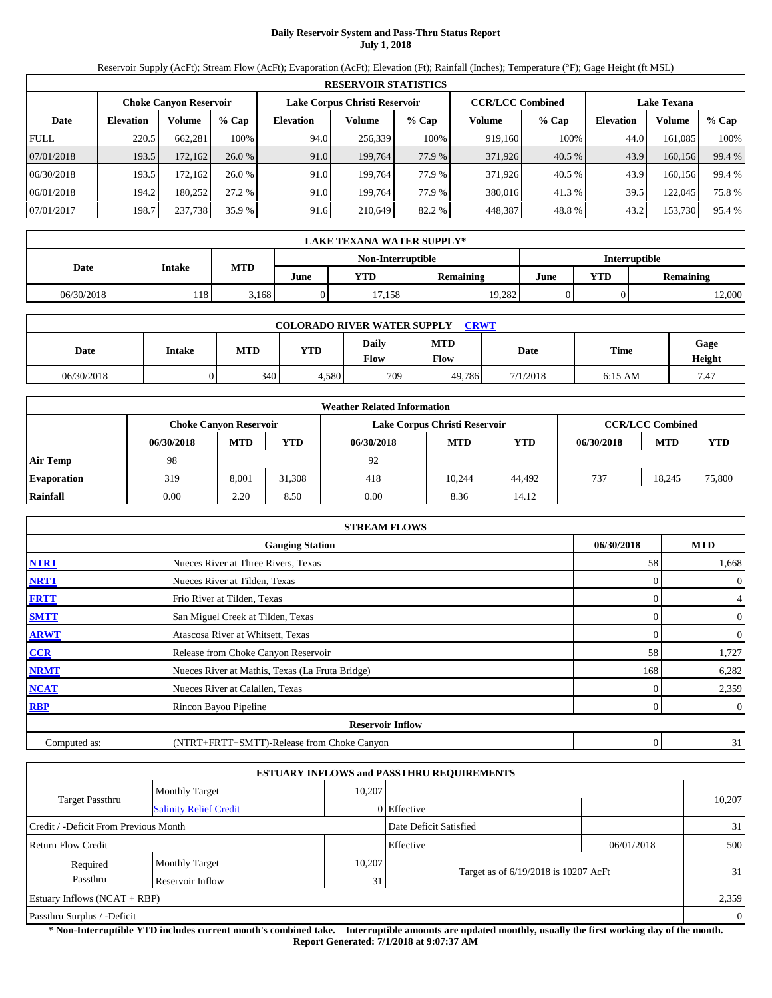# **Daily Reservoir System and Pass-Thru Status Report July 1, 2018**

Reservoir Supply (AcFt); Stream Flow (AcFt); Evaporation (AcFt); Elevation (Ft); Rainfall (Inches); Temperature (°F); Gage Height (ft MSL)

|             | <b>RESERVOIR STATISTICS</b> |                               |         |                               |         |        |                         |         |                    |         |          |  |  |
|-------------|-----------------------------|-------------------------------|---------|-------------------------------|---------|--------|-------------------------|---------|--------------------|---------|----------|--|--|
|             |                             | <b>Choke Canyon Reservoir</b> |         | Lake Corpus Christi Reservoir |         |        | <b>CCR/LCC Combined</b> |         | <b>Lake Texana</b> |         |          |  |  |
| Date        | <b>Elevation</b>            | Volume                        | $%$ Cap | <b>Elevation</b>              | Volume  | % Cap  | Volume                  | $%$ Cap | <b>Elevation</b>   | Volume  | $\%$ Cap |  |  |
| <b>FULL</b> | 220.5                       | 662.281                       | 100%    | 94.0                          | 256.339 | 100%   | 919.160                 | 100%    | 44.0               | 161.085 | 100%     |  |  |
| 07/01/2018  | 193.5                       | 172,162                       | 26.0%   | 91.0                          | 199.764 | 77.9 % | 371,926                 | 40.5 %  | 43.9               | 160.156 | 99.4 %   |  |  |
| 06/30/2018  | 193.5                       | 172.1621                      | 26.0%   | 91.0                          | 199.764 | 77.9 % | 371.926                 | 40.5 %  | 43.9               | 160,156 | 99.4 %   |  |  |
| 06/01/2018  | 194.2                       | 180.252                       | 27.2 %  | 91.0                          | 199.764 | 77.9 % | 380,016                 | 41.3%   | 39.5               | 122,045 | 75.8%    |  |  |
| 07/01/2017  | 198.7                       | 237,738                       | 35.9 %  | 91.6                          | 210.649 | 82.2 % | 448,387                 | 48.8%   | 43.2               | 153,730 | 95.4 %   |  |  |

|                                           | <b>LAKE TEXANA WATER SUPPLY*</b> |            |      |        |                  |      |                         |        |  |  |  |
|-------------------------------------------|----------------------------------|------------|------|--------|------------------|------|-------------------------|--------|--|--|--|
| Non-Interruptible<br><b>Interruptible</b> |                                  |            |      |        |                  |      |                         |        |  |  |  |
| Date                                      | <b>Intake</b>                    | <b>MTD</b> | June | YTD    | <b>Remaining</b> | June | YTD<br><b>Remaining</b> |        |  |  |  |
| 06/30/2018                                | 118 <sup>1</sup>                 | 3,168      |      | 17,158 | 19.282           |      |                         | 12,000 |  |  |  |

| <b>COLORADO RIVER WATER SUPPLY</b><br><b>CRWT</b> |        |     |       |               |                    |          |             |                |  |  |  |
|---------------------------------------------------|--------|-----|-------|---------------|--------------------|----------|-------------|----------------|--|--|--|
| Date                                              | Intake | MTD | YTD   | Daily<br>Flow | <b>MTD</b><br>Flow | Date     | <b>Time</b> | Gage<br>Height |  |  |  |
| 06/30/2018                                        |        | 340 | 4,580 | 7091          | 49,786             | 7/1/2018 | $6:15$ AM   | 7.47           |  |  |  |

|                    |            |                               |        | <b>Weather Related Information</b> |                               |            |            |                         |        |
|--------------------|------------|-------------------------------|--------|------------------------------------|-------------------------------|------------|------------|-------------------------|--------|
|                    |            | <b>Choke Canyon Reservoir</b> |        |                                    | Lake Corpus Christi Reservoir |            |            | <b>CCR/LCC Combined</b> |        |
|                    | 06/30/2018 | <b>MTD</b>                    | YTD    | 06/30/2018                         | <b>MTD</b>                    | <b>YTD</b> | 06/30/2018 | <b>MTD</b>              | YTD    |
| <b>Air Temp</b>    | 98         |                               |        | 92                                 |                               |            |            |                         |        |
| <b>Evaporation</b> | 319        | 8,001                         | 31.308 | 418                                | 10.244                        | 44.492     | 737        | 18.245                  | 75,800 |
| Rainfall           | 0.00       | 2.20                          | 8.50   | 0.00                               | 8.36                          | 14.12      |            |                         |        |

|              | <b>STREAM FLOWS</b>                             |              |                |
|--------------|-------------------------------------------------|--------------|----------------|
|              | <b>Gauging Station</b>                          | 06/30/2018   | <b>MTD</b>     |
| <b>NTRT</b>  | Nueces River at Three Rivers, Texas             | 58           | 1,668          |
| <b>NRTT</b>  | Nueces River at Tilden, Texas                   |              | $\overline{0}$ |
| <b>FRTT</b>  | Frio River at Tilden, Texas                     |              | $\overline{4}$ |
| <b>SMTT</b>  | San Miguel Creek at Tilden, Texas               | $\Omega$     | $\overline{0}$ |
| <b>ARWT</b>  | Atascosa River at Whitsett, Texas               | $\Omega$     | $\overline{0}$ |
| CCR          | Release from Choke Canyon Reservoir             | 58           | 1,727          |
| <b>NRMT</b>  | Nueces River at Mathis, Texas (La Fruta Bridge) | 168          | 6,282          |
| <b>NCAT</b>  | Nueces River at Calallen, Texas                 |              | 2,359          |
| RBP          | Rincon Bayou Pipeline                           |              | $\overline{0}$ |
|              | <b>Reservoir Inflow</b>                         |              |                |
| Computed as: | (NTRT+FRTT+SMTT)-Release from Choke Canyon      | $\mathbf{0}$ | 31             |

|                                       |                               |        | <b>ESTUARY INFLOWS and PASSTHRU REQUIREMENTS</b> |            |                |
|---------------------------------------|-------------------------------|--------|--------------------------------------------------|------------|----------------|
|                                       | <b>Monthly Target</b>         | 10.207 |                                                  |            |                |
| <b>Target Passthru</b>                | <b>Salinity Relief Credit</b> |        | 0 Effective                                      |            | 10,207         |
| Credit / -Deficit From Previous Month |                               |        | Date Deficit Satisfied                           |            | 31             |
| Return Flow Credit                    |                               |        | Effective                                        | 06/01/2018 | 500            |
| Required                              | <b>Monthly Target</b>         | 10,207 |                                                  |            |                |
| Passthru                              | Reservoir Inflow              | 31     | Target as of 6/19/2018 is 10207 AcFt             |            | 31             |
| Estuary Inflows $(NCAT + RBP)$        |                               |        |                                                  |            | 2,359          |
| Passthru Surplus / -Deficit           |                               |        |                                                  |            | $\overline{0}$ |

**\* Non-Interruptible YTD includes current month's combined take. Interruptible amounts are updated monthly, usually the first working day of the month. Report Generated: 7/1/2018 at 9:07:37 AM**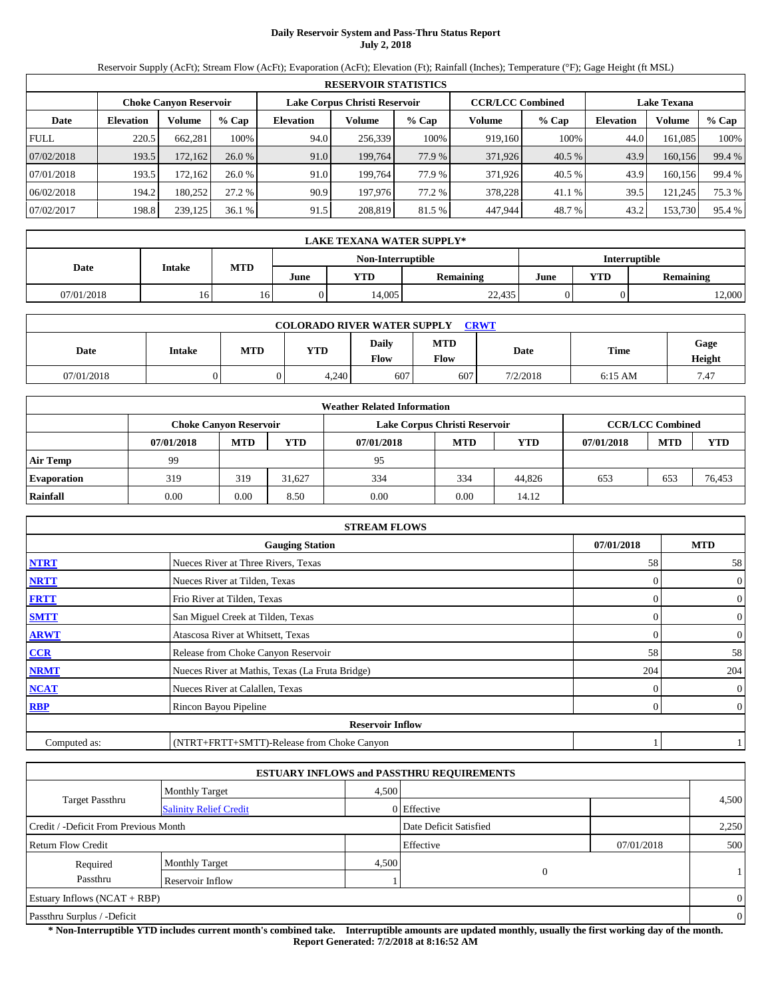# **Daily Reservoir System and Pass-Thru Status Report July 2, 2018**

Reservoir Supply (AcFt); Stream Flow (AcFt); Evaporation (AcFt); Elevation (Ft); Rainfall (Inches); Temperature (°F); Gage Height (ft MSL)

|             | <b>RESERVOIR STATISTICS</b> |                               |         |                               |         |        |                         |         |                    |         |        |  |  |
|-------------|-----------------------------|-------------------------------|---------|-------------------------------|---------|--------|-------------------------|---------|--------------------|---------|--------|--|--|
|             |                             | <b>Choke Canyon Reservoir</b> |         | Lake Corpus Christi Reservoir |         |        | <b>CCR/LCC Combined</b> |         | <b>Lake Texana</b> |         |        |  |  |
| Date        | <b>Elevation</b>            | Volume                        | $%$ Cap | <b>Elevation</b>              | Volume  | % Cap  | Volume                  | $%$ Cap | <b>Elevation</b>   | Volume  | % Cap  |  |  |
| <b>FULL</b> | 220.5                       | 662.281                       | 100%    | 94.0                          | 256,339 | 100%   | 919.160                 | 100%    | 44.0               | 161.085 | 100%   |  |  |
| 07/02/2018  | 193.5                       | 172,162                       | 26.0%   | 91.0                          | 199.764 | 77.9 % | 371,926                 | 40.5 %  | 43.9               | 160,156 | 99.4 % |  |  |
| 07/01/2018  | 193.5                       | 172.162                       | 26.0%   | 91.0                          | 199.764 | 77.9 % | 371.926                 | 40.5 %  | 43.9               | 160,156 | 99.4 % |  |  |
| 06/02/2018  | 194.2                       | 180.252                       | 27.2 %  | 90.9                          | 197.976 | 77.2 % | 378,228                 | 41.1 %  | 39.5               | 121.245 | 75.3 % |  |  |
| 07/02/2017  | 198.8                       | 239,125                       | 36.1%   | 91.5                          | 208,819 | 81.5 % | 447,944                 | 48.7%   | 43.2               | 153,730 | 95.4 % |  |  |

|                                           | <b>LAKE TEXANA WATER SUPPLY*</b> |            |      |            |                  |      |                         |        |  |  |  |  |
|-------------------------------------------|----------------------------------|------------|------|------------|------------------|------|-------------------------|--------|--|--|--|--|
| Non-Interruptible<br><b>Interruptible</b> |                                  |            |      |            |                  |      |                         |        |  |  |  |  |
| Date                                      | <b>Intake</b>                    | <b>MTD</b> | June | <b>YTD</b> | <b>Remaining</b> | June | YTD<br><b>Remaining</b> |        |  |  |  |  |
| 07/01/2018                                | 16 <sup>1</sup>                  | 10.        |      | 14.005     | 22,435           |      |                         | 12,000 |  |  |  |  |

| <b>COLORADO RIVER WATER SUPPLY CRWT</b> |               |            |       |               |                    |          |             |                |  |  |
|-----------------------------------------|---------------|------------|-------|---------------|--------------------|----------|-------------|----------------|--|--|
| Date                                    | <b>Intake</b> | <b>MTD</b> | YTD   | Daily<br>Flow | <b>MTD</b><br>Flow | Date     | <b>Time</b> | Gage<br>Height |  |  |
| 07/01/2018                              |               |            | 4,240 | 607           | 607                | 7/2/2018 | $6:15$ AM   | 7.47           |  |  |

|                    |            |                               |            | <b>Weather Related Information</b> |                               |            |            |                         |            |
|--------------------|------------|-------------------------------|------------|------------------------------------|-------------------------------|------------|------------|-------------------------|------------|
|                    |            | <b>Choke Canvon Reservoir</b> |            |                                    | Lake Corpus Christi Reservoir |            |            | <b>CCR/LCC Combined</b> |            |
|                    | 07/01/2018 | <b>MTD</b>                    | <b>YTD</b> | 07/01/2018                         | <b>MTD</b>                    | <b>YTD</b> | 07/01/2018 | <b>MTD</b>              | <b>YTD</b> |
| <b>Air Temp</b>    | 99         |                               |            | 95                                 |                               |            |            |                         |            |
| <b>Evaporation</b> | 319        | 319                           | 31.627     | 334                                | 334                           | 44,826     | 653        | 653                     | 76,453     |
| Rainfall           | 0.00       | 0.00                          | 8.50       | 0.00                               | 0.00                          | 14.12      |            |                         |            |

|              | <b>STREAM FLOWS</b>                             |            |                |
|--------------|-------------------------------------------------|------------|----------------|
|              | <b>Gauging Station</b>                          | 07/01/2018 | <b>MTD</b>     |
| <b>NTRT</b>  | Nueces River at Three Rivers, Texas             | 58         | 58             |
| <b>NRTT</b>  | Nueces River at Tilden, Texas                   |            | $\overline{0}$ |
| <b>FRTT</b>  | Frio River at Tilden, Texas                     |            | $\overline{0}$ |
| <b>SMTT</b>  | San Miguel Creek at Tilden, Texas               | $\Omega$   | $\overline{0}$ |
| <b>ARWT</b>  | Atascosa River at Whitsett, Texas               | $\theta$   | $\overline{0}$ |
| CCR          | Release from Choke Canyon Reservoir             | 58         | 58             |
| <b>NRMT</b>  | Nueces River at Mathis, Texas (La Fruta Bridge) | 204        | 204            |
| <b>NCAT</b>  | Nueces River at Calallen, Texas                 |            | $\overline{0}$ |
| RBP          | Rincon Bayou Pipeline                           | 0          | $\overline{0}$ |
|              | <b>Reservoir Inflow</b>                         |            |                |
| Computed as: | (NTRT+FRTT+SMTT)-Release from Choke Canyon      |            |                |

|                                       |                               |       | <b>ESTUARY INFLOWS and PASSTHRU REQUIREMENTS</b> |            |                |
|---------------------------------------|-------------------------------|-------|--------------------------------------------------|------------|----------------|
|                                       | <b>Monthly Target</b>         | 4,500 |                                                  |            |                |
| <b>Target Passthru</b>                | <b>Salinity Relief Credit</b> |       | 0 Effective                                      |            | 4,500          |
| Credit / -Deficit From Previous Month |                               |       | Date Deficit Satisfied                           |            | 2,250          |
| <b>Return Flow Credit</b>             |                               |       | Effective                                        | 07/01/2018 | 500            |
| Required                              | <b>Monthly Target</b>         | 4,500 |                                                  |            |                |
| Passthru                              | Reservoir Inflow              |       | 0                                                |            |                |
| Estuary Inflows $(NCAT + RBP)$        |                               |       |                                                  |            | $\overline{0}$ |
| Passthru Surplus / -Deficit           |                               |       |                                                  |            | $\overline{0}$ |

**\* Non-Interruptible YTD includes current month's combined take. Interruptible amounts are updated monthly, usually the first working day of the month. Report Generated: 7/2/2018 at 8:16:52 AM**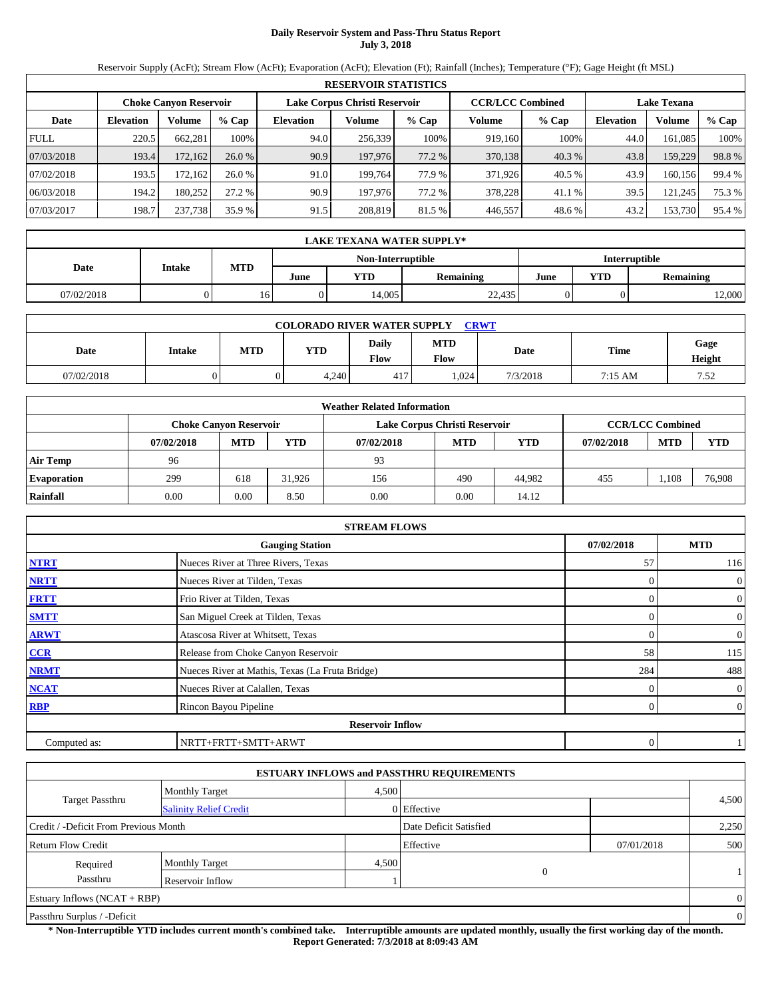# **Daily Reservoir System and Pass-Thru Status Report July 3, 2018**

Reservoir Supply (AcFt); Stream Flow (AcFt); Evaporation (AcFt); Elevation (Ft); Rainfall (Inches); Temperature (°F); Gage Height (ft MSL)

|             | <b>RESERVOIR STATISTICS</b>                                                                                     |         |         |           |         |        |         |         |                  |         |        |  |
|-------------|-----------------------------------------------------------------------------------------------------------------|---------|---------|-----------|---------|--------|---------|---------|------------------|---------|--------|--|
|             | Lake Corpus Christi Reservoir<br><b>CCR/LCC Combined</b><br><b>Choke Canyon Reservoir</b><br><b>Lake Texana</b> |         |         |           |         |        |         |         |                  |         |        |  |
| Date        | <b>Elevation</b>                                                                                                | Volume  | $%$ Cap | Elevation | Volume  | % Cap  | Volume  | $%$ Cap | <b>Elevation</b> | Volume  | % Cap  |  |
| <b>FULL</b> | 220.5                                                                                                           | 662,281 | 100%    | 94.0      | 256,339 | 100%   | 919,160 | 100%    | 44.0             | 161.085 | 100%   |  |
| 07/03/2018  | 193.4                                                                                                           | 172,162 | 26.0%   | 90.9      | 197,976 | 77.2 % | 370,138 | 40.3 %  | 43.8             | 159,229 | 98.8%  |  |
| 07/02/2018  | 193.5                                                                                                           | 172.162 | 26.0%   | 91.0      | 199.764 | 77.9 % | 371.926 | 40.5 %  | 43.9             | 160.156 | 99.4 % |  |
| 06/03/2018  | 194.2                                                                                                           | 180.252 | 27.2 %  | 90.9      | 197.976 | 77.2 % | 378,228 | 41.1 %  | 39.5             | 121.245 | 75.3 % |  |
| 07/03/2017  | 198.7                                                                                                           | 237,738 | 35.9 %  | 91.5      | 208,819 | 81.5 % | 446,557 | 48.6%   | 43.2             | 153,730 | 95.4 % |  |

|                                           | <b>LAKE TEXANA WATER SUPPLY*</b>            |    |  |        |                  |      |     |                  |  |  |  |
|-------------------------------------------|---------------------------------------------|----|--|--------|------------------|------|-----|------------------|--|--|--|
| <b>Interruptible</b><br>Non-Interruptible |                                             |    |  |        |                  |      |     |                  |  |  |  |
|                                           | <b>MTD</b><br>Date<br><b>Intake</b><br>June |    |  |        | <b>Remaining</b> | June | YTD | <b>Remaining</b> |  |  |  |
| 07/02/2018                                |                                             | 16 |  | 14.005 | 22.435           |      |     | 12,000           |  |  |  |

| <b>CRWT</b><br><b>COLORADO RIVER WATER SUPPLY</b> |               |     |       |                      |                    |          |         |                |  |  |
|---------------------------------------------------|---------------|-----|-------|----------------------|--------------------|----------|---------|----------------|--|--|
| Date                                              | <b>Intake</b> | MTD | YTD   | <b>Daily</b><br>Flow | <b>MTD</b><br>Flow | Date     | Time    | Gage<br>Height |  |  |
| 07/02/2018                                        |               |     | 4,240 | 417                  | .024               | 7/3/2018 | 7:15 AM | 7.52           |  |  |

|                    | <b>Weather Related Information</b> |                               |            |            |                               |        |            |                         |        |  |  |
|--------------------|------------------------------------|-------------------------------|------------|------------|-------------------------------|--------|------------|-------------------------|--------|--|--|
|                    |                                    | <b>Choke Canyon Reservoir</b> |            |            | Lake Corpus Christi Reservoir |        |            | <b>CCR/LCC Combined</b> |        |  |  |
|                    | 07/02/2018                         | <b>MTD</b>                    | <b>YTD</b> | 07/02/2018 | <b>MTD</b>                    | YTD    | 07/02/2018 | <b>MTD</b>              | YTD    |  |  |
| <b>Air Temp</b>    | 96                                 |                               |            | 93         |                               |        |            |                         |        |  |  |
| <b>Evaporation</b> | 299                                | 618                           | 31.926     | 156        | 490                           | 44.982 | 455        | .108                    | 76,908 |  |  |
| Rainfall           | 0.00                               | 0.00                          | 8.50       | 0.00       | 0.00                          | 14.12  |            |                         |        |  |  |

|              | <b>STREAM FLOWS</b>                             |            |                  |
|--------------|-------------------------------------------------|------------|------------------|
|              | <b>Gauging Station</b>                          | 07/02/2018 | <b>MTD</b>       |
| <b>NTRT</b>  | Nueces River at Three Rivers, Texas             | 57         | 116              |
| <b>NRTT</b>  | Nueces River at Tilden, Texas                   |            | $\overline{0}$   |
| <b>FRTT</b>  | Frio River at Tilden, Texas                     |            | $\overline{0}$   |
| <b>SMTT</b>  | San Miguel Creek at Tilden, Texas               | $\Omega$   | $\boldsymbol{0}$ |
| <b>ARWT</b>  | Atascosa River at Whitsett, Texas               | $\Omega$   | $\boldsymbol{0}$ |
| CCR          | Release from Choke Canyon Reservoir             | 58         | 115              |
| <b>NRMT</b>  | Nueces River at Mathis, Texas (La Fruta Bridge) | 284        | 488              |
| <b>NCAT</b>  | Nueces River at Calallen, Texas                 |            | $\theta$         |
| <b>RBP</b>   | Rincon Bayou Pipeline                           | $\Omega$   | $\overline{0}$   |
|              | <b>Reservoir Inflow</b>                         |            |                  |
| Computed as: | NRTT+FRTT+SMTT+ARWT                             | 0          |                  |

|                                       |                               |       | <b>ESTUARY INFLOWS and PASSTHRU REQUIREMENTS</b> |            |                |
|---------------------------------------|-------------------------------|-------|--------------------------------------------------|------------|----------------|
|                                       | <b>Monthly Target</b>         | 4,500 |                                                  |            |                |
| <b>Target Passthru</b>                | <b>Salinity Relief Credit</b> |       | 0 Effective                                      |            | 4,500          |
| Credit / -Deficit From Previous Month |                               |       | Date Deficit Satisfied                           |            | 2,250          |
| <b>Return Flow Credit</b>             |                               |       | Effective                                        | 07/01/2018 | 500            |
| Required                              | <b>Monthly Target</b>         | 4,500 |                                                  |            |                |
| Passthru                              | Reservoir Inflow              |       | $\mathbf{0}$                                     |            |                |
| Estuary Inflows $(NCAT + RBP)$        |                               |       |                                                  |            | $\overline{0}$ |
| Passthru Surplus / -Deficit           |                               |       |                                                  |            | $\mathbf{0}$   |

**\* Non-Interruptible YTD includes current month's combined take. Interruptible amounts are updated monthly, usually the first working day of the month. Report Generated: 7/3/2018 at 8:09:43 AM**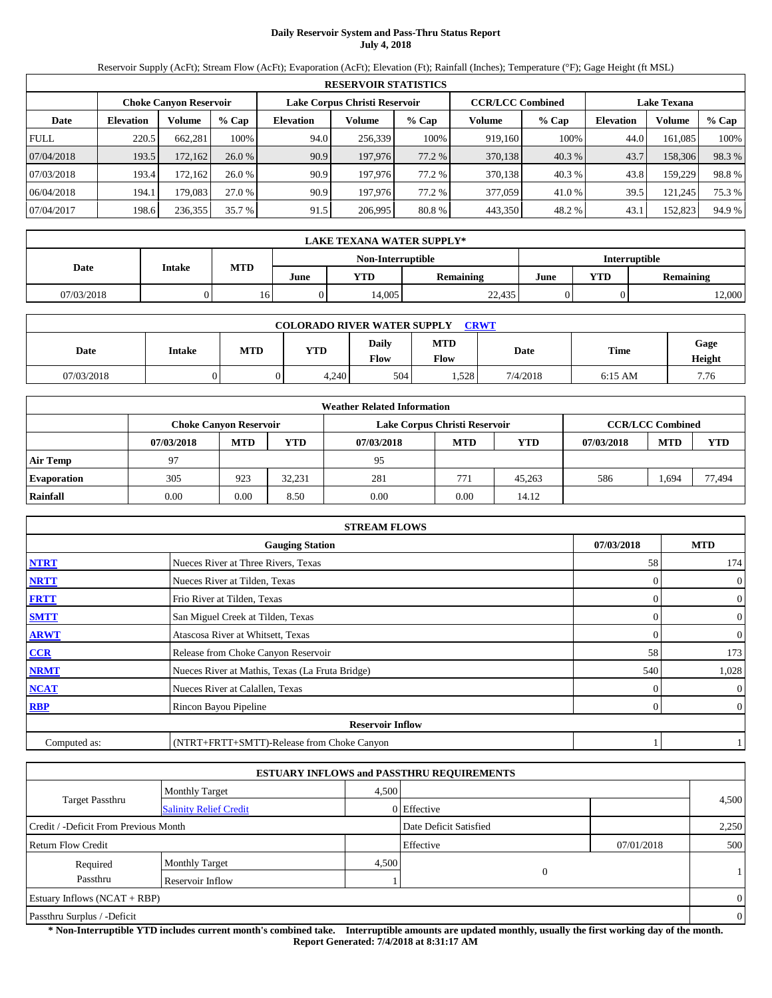# **Daily Reservoir System and Pass-Thru Status Report July 4, 2018**

Reservoir Supply (AcFt); Stream Flow (AcFt); Evaporation (AcFt); Elevation (Ft); Rainfall (Inches); Temperature (°F); Gage Height (ft MSL)

|             | <b>RESERVOIR STATISTICS</b>                                                                                     |          |         |                  |         |        |         |         |                  |         |        |  |
|-------------|-----------------------------------------------------------------------------------------------------------------|----------|---------|------------------|---------|--------|---------|---------|------------------|---------|--------|--|
|             | Lake Corpus Christi Reservoir<br><b>CCR/LCC Combined</b><br><b>Choke Canyon Reservoir</b><br><b>Lake Texana</b> |          |         |                  |         |        |         |         |                  |         |        |  |
| Date        | <b>Elevation</b>                                                                                                | Volume   | $%$ Cap | <b>Elevation</b> | Volume  | % Cap  | Volume  | $%$ Cap | <b>Elevation</b> | Volume  | % Cap  |  |
| <b>FULL</b> | 220.5                                                                                                           | 662.281  | 100%    | 94.0             | 256,339 | 100%   | 919.160 | 100%    | 44.0             | 161.085 | 100%   |  |
| 07/04/2018  | 193.5                                                                                                           | 172,162  | 26.0%   | 90.9             | 197,976 | 77.2 % | 370,138 | 40.3 %  | 43.7             | 158,306 | 98.3%  |  |
| 07/03/2018  | 193.4                                                                                                           | 172.1621 | 26.0%   | 90.9             | 197.976 | 77.2 % | 370,138 | 40.3%   | 43.8             | 159.229 | 98.8%  |  |
| 06/04/2018  | 194.1                                                                                                           | 179.083  | 27.0 %  | 90.9             | 197.976 | 77.2 % | 377,059 | 41.0%   | 39.5             | 121.245 | 75.3 % |  |
| 07/04/2017  | 198.6                                                                                                           | 236,355  | 35.7 %  | 91.5             | 206,995 | 80.8%  | 443,350 | 48.2 %  | 43.1             | 152,823 | 94.9%  |  |

|                                           | <b>LAKE TEXANA WATER SUPPLY*</b> |            |      |       |                  |      |     |                  |  |  |  |
|-------------------------------------------|----------------------------------|------------|------|-------|------------------|------|-----|------------------|--|--|--|
| <b>Interruptible</b><br>Non-Interruptible |                                  |            |      |       |                  |      |     |                  |  |  |  |
| Date<br><b>Intake</b>                     |                                  | <b>MTD</b> | June | VTD   | <b>Remaining</b> | June | YTD | <b>Remaining</b> |  |  |  |
| 07/03/2018                                |                                  | 16         |      | 4.005 | 22,435           |      |     | 12,000           |  |  |  |

| <b>COLORADO RIVER WATER SUPPLY CRWT</b> |               |            |       |                      |                    |          |           |                |  |  |
|-----------------------------------------|---------------|------------|-------|----------------------|--------------------|----------|-----------|----------------|--|--|
| Date                                    | <b>Intake</b> | <b>MTD</b> | YTD   | <b>Daily</b><br>Flow | <b>MTD</b><br>Flow | Date     | Time      | Gage<br>Height |  |  |
| 07/03/2018                              |               |            | 4,240 | 504                  | .528               | 7/4/2018 | $6:15$ AM | 7.76           |  |  |

|                    | <b>Weather Related Information</b> |                               |            |            |                               |        |            |                         |        |  |  |
|--------------------|------------------------------------|-------------------------------|------------|------------|-------------------------------|--------|------------|-------------------------|--------|--|--|
|                    |                                    | <b>Choke Canyon Reservoir</b> |            |            | Lake Corpus Christi Reservoir |        |            | <b>CCR/LCC Combined</b> |        |  |  |
|                    | 07/03/2018                         | <b>MTD</b>                    | <b>YTD</b> | 07/03/2018 | <b>MTD</b>                    | YTD    | 07/03/2018 | <b>MTD</b>              | YTD    |  |  |
| <b>Air Temp</b>    | 97                                 |                               |            | 95         |                               |        |            |                         |        |  |  |
| <b>Evaporation</b> | 305                                | 923                           | 32.231     | 281        | 771                           | 45.263 | 586        | . .694                  | 77.494 |  |  |
| Rainfall           | 0.00                               | 0.00                          | 8.50       | 0.00       | 0.00                          | 14.12  |            |                         |        |  |  |

|              | <b>STREAM FLOWS</b>                             |              |                |
|--------------|-------------------------------------------------|--------------|----------------|
|              | <b>Gauging Station</b>                          | 07/03/2018   | <b>MTD</b>     |
| <b>NTRT</b>  | Nueces River at Three Rivers, Texas             | 58           | 174            |
| <b>NRTT</b>  | Nueces River at Tilden, Texas                   | $\mathbf{0}$ | $\mathbf{0}$   |
| <b>FRTT</b>  | Frio River at Tilden, Texas                     | $\Omega$     | $\mathbf{0}$   |
| <b>SMTT</b>  | San Miguel Creek at Tilden, Texas               | $\Omega$     | $\mathbf{0}$   |
| <b>ARWT</b>  | Atascosa River at Whitsett, Texas               | $\Omega$     | $\mathbf{0}$   |
| CCR          | Release from Choke Canyon Reservoir             | 58           | 173            |
| <b>NRMT</b>  | Nueces River at Mathis, Texas (La Fruta Bridge) | 540          | 1,028          |
| <b>NCAT</b>  | Nueces River at Calallen, Texas                 | 0            | $\overline{0}$ |
| <b>RBP</b>   | Rincon Bayou Pipeline                           | 0            | $\overline{0}$ |
|              | <b>Reservoir Inflow</b>                         |              |                |
| Computed as: | (NTRT+FRTT+SMTT)-Release from Choke Canyon      |              |                |

|                                       |                               |       | <b>ESTUARY INFLOWS and PASSTHRU REQUIREMENTS</b> |            |                |
|---------------------------------------|-------------------------------|-------|--------------------------------------------------|------------|----------------|
|                                       | <b>Monthly Target</b>         | 4,500 |                                                  |            |                |
| <b>Target Passthru</b>                | <b>Salinity Relief Credit</b> |       | 0 Effective                                      |            | 4,500          |
| Credit / -Deficit From Previous Month |                               |       | Date Deficit Satisfied                           |            | 2,250          |
| <b>Return Flow Credit</b>             |                               |       | Effective                                        | 07/01/2018 | 500            |
| Required                              | <b>Monthly Target</b>         | 4,500 |                                                  |            |                |
| Passthru                              | Reservoir Inflow              |       | $\mathbf{0}$                                     |            |                |
| Estuary Inflows $(NCAT + RBP)$        |                               |       |                                                  |            | $\overline{0}$ |
| Passthru Surplus / -Deficit           |                               |       |                                                  |            | $\mathbf{0}$   |

**\* Non-Interruptible YTD includes current month's combined take. Interruptible amounts are updated monthly, usually the first working day of the month. Report Generated: 7/4/2018 at 8:31:17 AM**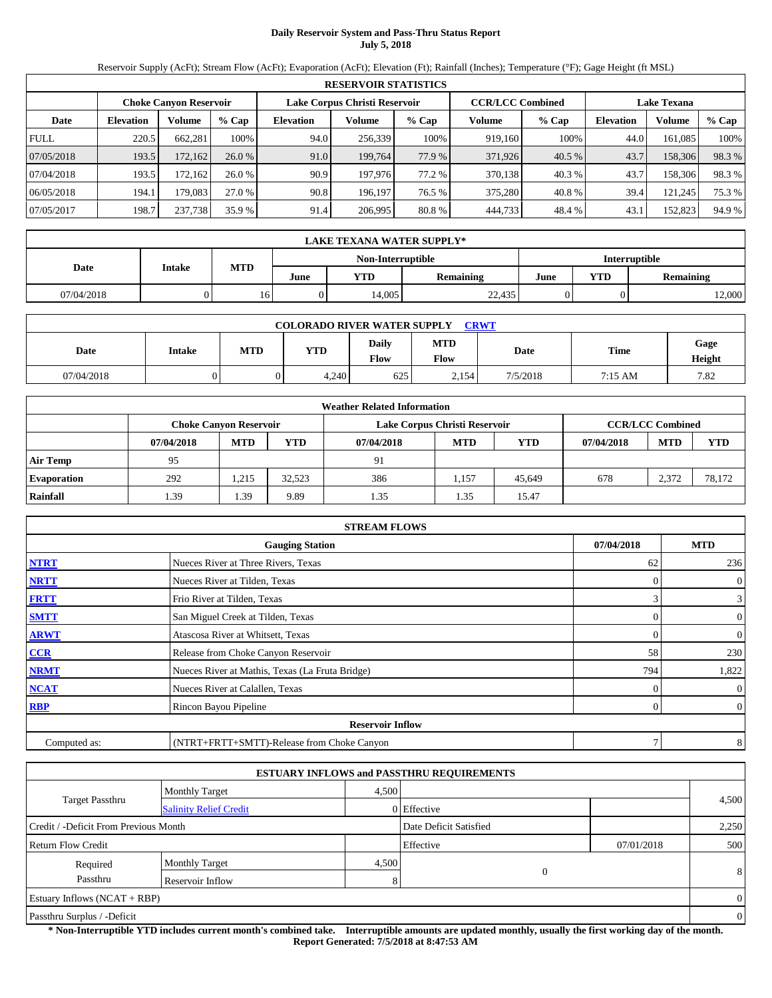# **Daily Reservoir System and Pass-Thru Status Report July 5, 2018**

Reservoir Supply (AcFt); Stream Flow (AcFt); Evaporation (AcFt); Elevation (Ft); Rainfall (Inches); Temperature (°F); Gage Height (ft MSL)

|             | <b>RESERVOIR STATISTICS</b> |                               |         |                  |                               |        |         |                         |                    |         |          |
|-------------|-----------------------------|-------------------------------|---------|------------------|-------------------------------|--------|---------|-------------------------|--------------------|---------|----------|
|             |                             | <b>Choke Canyon Reservoir</b> |         |                  | Lake Corpus Christi Reservoir |        |         | <b>CCR/LCC Combined</b> | <b>Lake Texana</b> |         |          |
| Date        | <b>Elevation</b>            | Volume                        | $%$ Cap | <b>Elevation</b> | Volume                        | % Cap  | Volume  | $%$ Cap                 | <b>Elevation</b>   | Volume  | $\%$ Cap |
| <b>FULL</b> | 220.5                       | 662.281                       | 100%    | 94.0             | 256.339                       | 100%   | 919.160 | 100%                    | 44.0               | 161.085 | 100%     |
| 07/05/2018  | 193.5                       | 172,162                       | 26.0%   | 91.0             | 199.764                       | 77.9 % | 371,926 | 40.5 %                  | 43.7               | 158,306 | 98.3%    |
| 07/04/2018  | 193.5                       | 172.1621                      | 26.0%   | 90.9             | 197.976                       | 77.2 % | 370,138 | 40.3%                   | 43.7               | 158.306 | 98.3%    |
| 06/05/2018  | 194.1                       | 179.083                       | 27.0 %  | 90.8             | 196.197                       | 76.5 % | 375,280 | 40.8%                   | 39.4               | 121.245 | 75.3 %   |
| 07/05/2017  | 198.7                       | 237,738                       | 35.9 %  | 91.4             | 206,995                       | 80.8%  | 444,733 | 48.4%                   | 43.1               | 152,823 | 94.9 %   |

|                                           | <b>LAKE TEXANA WATER SUPPLY*</b> |            |      |            |                  |      |                  |        |  |  |  |
|-------------------------------------------|----------------------------------|------------|------|------------|------------------|------|------------------|--------|--|--|--|
| Non-Interruptible<br><b>Interruptible</b> |                                  |            |      |            |                  |      |                  |        |  |  |  |
| Date                                      | <b>Intake</b>                    | <b>MTD</b> | June | <b>YTD</b> | <b>Remaining</b> | June | <b>Remaining</b> |        |  |  |  |
| 07/04/2018                                |                                  | 10.        |      | 14.005     | 22,435           |      |                  | 12,000 |  |  |  |

| <b>CRWT</b><br><b>COLORADO RIVER WATER SUPPLY</b> |               |            |       |               |                           |             |         |                |  |  |
|---------------------------------------------------|---------------|------------|-------|---------------|---------------------------|-------------|---------|----------------|--|--|
| Date                                              | <b>Intake</b> | <b>MTD</b> | YTD   | Daily<br>Flow | <b>MTD</b><br><b>Flow</b> | <b>Date</b> | Time    | Gage<br>Height |  |  |
| 07/04/2018                                        |               |            | 4.240 | 625           | 2.154                     | 7/5/2018    | 7:15 AM | 7.82           |  |  |

|                    | <b>Weather Related Information</b> |                               |            |            |                               |            |            |                         |            |  |  |
|--------------------|------------------------------------|-------------------------------|------------|------------|-------------------------------|------------|------------|-------------------------|------------|--|--|
|                    |                                    | <b>Choke Canvon Reservoir</b> |            |            | Lake Corpus Christi Reservoir |            |            | <b>CCR/LCC Combined</b> |            |  |  |
|                    | 07/04/2018                         | <b>MTD</b>                    | <b>YTD</b> | 07/04/2018 | <b>MTD</b>                    | <b>YTD</b> | 07/04/2018 | <b>MTD</b>              | <b>YTD</b> |  |  |
| <b>Air Temp</b>    | 95                                 |                               |            | 91         |                               |            |            |                         |            |  |  |
| <b>Evaporation</b> | 292                                | .215                          | 32.523     | 386        | 1,157                         | 45.649     | 678        | 2,372                   | 78.172     |  |  |
| Rainfall           | 1.39                               | 1.39                          | 9.89       | 1.35       | 1.35                          | 15.47      |            |                         |            |  |  |

|              | <b>STREAM FLOWS</b>                             |            |                |
|--------------|-------------------------------------------------|------------|----------------|
|              | <b>Gauging Station</b>                          | 07/04/2018 | <b>MTD</b>     |
| <b>NTRT</b>  | Nueces River at Three Rivers, Texas             | 62         | 236            |
| <b>NRTT</b>  | Nueces River at Tilden, Texas                   |            | $\overline{0}$ |
| <b>FRTT</b>  | Frio River at Tilden, Texas                     | 3          | $\mathbf{3}$   |
| <b>SMTT</b>  | San Miguel Creek at Tilden, Texas               | $\Omega$   | $\overline{0}$ |
| <b>ARWT</b>  | Atascosa River at Whitsett, Texas               | $\Omega$   | $\overline{0}$ |
| CCR          | Release from Choke Canyon Reservoir             | 58         | 230            |
| <b>NRMT</b>  | Nueces River at Mathis, Texas (La Fruta Bridge) | 794        | 1,822          |
| <b>NCAT</b>  | Nueces River at Calallen, Texas                 |            | $\overline{0}$ |
| <b>RBP</b>   | Rincon Bayou Pipeline                           | 0          | $\overline{0}$ |
|              | <b>Reservoir Inflow</b>                         |            |                |
| Computed as: | (NTRT+FRTT+SMTT)-Release from Choke Canyon      | 7          | 8              |

|                                       |                               |       | <b>ESTUARY INFLOWS and PASSTHRU REQUIREMENTS</b> |            |                |
|---------------------------------------|-------------------------------|-------|--------------------------------------------------|------------|----------------|
|                                       | <b>Monthly Target</b>         | 4,500 |                                                  |            |                |
| <b>Target Passthru</b>                | <b>Salinity Relief Credit</b> |       | 0 Effective                                      |            | 4,500          |
| Credit / -Deficit From Previous Month |                               |       | Date Deficit Satisfied                           |            | 2,250          |
| <b>Return Flow Credit</b>             |                               |       | Effective                                        | 07/01/2018 | 500            |
| Required                              | <b>Monthly Target</b>         | 4,500 |                                                  |            |                |
| Passthru                              | Reservoir Inflow              | 8     | 0                                                |            | 8              |
| Estuary Inflows $(NCAT + RBP)$        |                               |       |                                                  |            | $\overline{0}$ |
| Passthru Surplus / -Deficit           |                               |       |                                                  |            | $\overline{0}$ |

**\* Non-Interruptible YTD includes current month's combined take. Interruptible amounts are updated monthly, usually the first working day of the month. Report Generated: 7/5/2018 at 8:47:53 AM**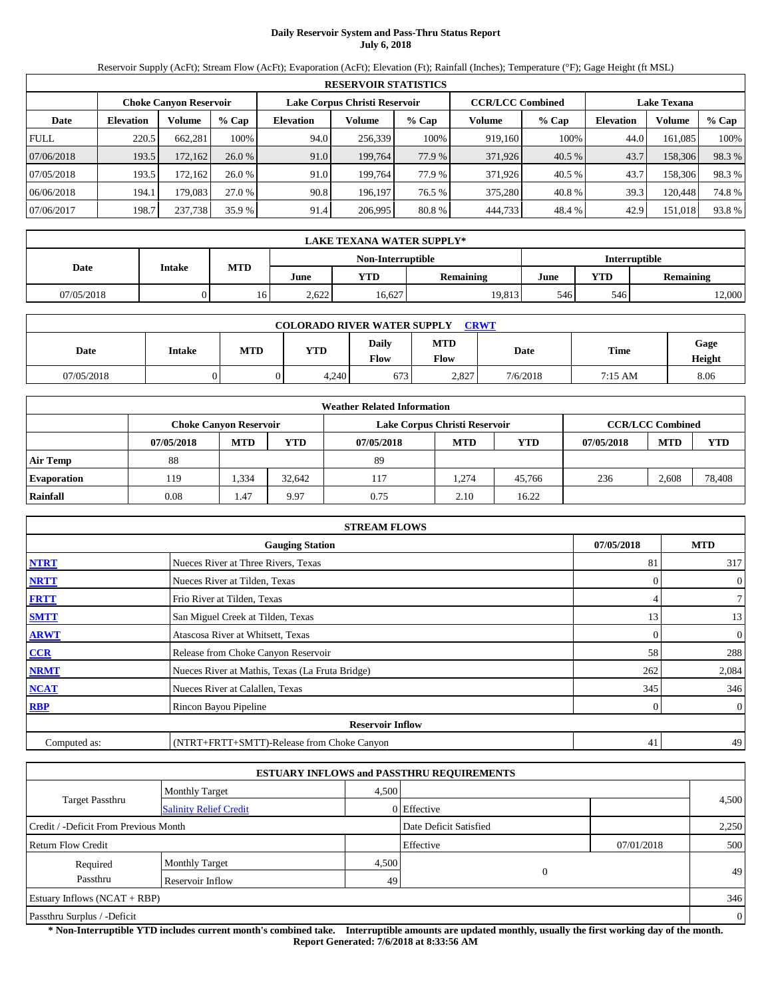# **Daily Reservoir System and Pass-Thru Status Report July 6, 2018**

Reservoir Supply (AcFt); Stream Flow (AcFt); Evaporation (AcFt); Elevation (Ft); Rainfall (Inches); Temperature (°F); Gage Height (ft MSL)

|                                                                                                                 | <b>RESERVOIR STATISTICS</b> |         |         |                  |         |        |         |         |                  |         |       |  |
|-----------------------------------------------------------------------------------------------------------------|-----------------------------|---------|---------|------------------|---------|--------|---------|---------|------------------|---------|-------|--|
| Lake Corpus Christi Reservoir<br><b>CCR/LCC Combined</b><br><b>Choke Canyon Reservoir</b><br><b>Lake Texana</b> |                             |         |         |                  |         |        |         |         |                  |         |       |  |
| Date                                                                                                            | <b>Elevation</b>            | Volume  | $%$ Cap | <b>Elevation</b> | Volume  | % Cap  | Volume  | $%$ Cap | <b>Elevation</b> | Volume  | % Cap |  |
| <b>FULL</b>                                                                                                     | 220.5                       | 662.281 | 100%    | 94.0             | 256,339 | 100%   | 919.160 | 100%    | 44.0             | 161.085 | 100%  |  |
| 07/06/2018                                                                                                      | 193.5                       | 172,162 | 26.0%   | 91.0             | 199.764 | 77.9 % | 371,926 | 40.5 %  | 43.7             | 158,306 | 98.3% |  |
| 07/05/2018                                                                                                      | 193.5                       | 172.162 | 26.0%   | 91.0             | 199.764 | 77.9 % | 371.926 | 40.5 %  | 43.7             | 158,306 | 98.3% |  |
| 06/06/2018                                                                                                      | 194.1                       | 179.083 | 27.0 %  | 90.8             | 196.197 | 76.5 % | 375,280 | 40.8%   | 39.3             | 120.448 | 74.8% |  |
| 07/06/2017                                                                                                      | 198.7                       | 237,738 | 35.9 %  | 91.4             | 206,995 | 80.8%  | 444,733 | 48.4%   | 42.9             | 151,018 | 93.8% |  |

|                                    | <b>LAKE TEXANA WATER SUPPLY*</b> |            |       |        |                  |      |            |                  |  |  |  |
|------------------------------------|----------------------------------|------------|-------|--------|------------------|------|------------|------------------|--|--|--|
| Non-Interruptible<br>Interruptible |                                  |            |       |        |                  |      |            |                  |  |  |  |
| Date                               | Intake                           | <b>MTD</b> | June  | YTD    | <b>Remaining</b> | June | <b>YTD</b> | <b>Remaining</b> |  |  |  |
| 07/05/2018                         |                                  | 16         | 2,622 | 16,627 | 19,813           | 546  | 546        | 12,000           |  |  |  |

| <b>CRWT</b><br><b>COLORADO RIVER WATER SUPPLY</b>                                                                                 |  |  |       |     |       |          |         |      |  |  |
|-----------------------------------------------------------------------------------------------------------------------------------|--|--|-------|-----|-------|----------|---------|------|--|--|
| <b>MTD</b><br>Daily<br>Gage<br>Time<br>YTD<br><b>MTD</b><br>Date<br><b>Date</b><br><b>Intake</b><br>Flow<br><b>Flow</b><br>Height |  |  |       |     |       |          |         |      |  |  |
| 07/05/2018                                                                                                                        |  |  | 4.240 | 673 | 2.827 | 7/6/2018 | 7:15 AM | 8.06 |  |  |

|                    | <b>Weather Related Information</b> |                               |        |            |                               |            |            |                         |            |  |  |
|--------------------|------------------------------------|-------------------------------|--------|------------|-------------------------------|------------|------------|-------------------------|------------|--|--|
|                    |                                    | <b>Choke Canvon Reservoir</b> |        |            | Lake Corpus Christi Reservoir |            |            | <b>CCR/LCC Combined</b> |            |  |  |
|                    | 07/05/2018                         | <b>MTD</b>                    | YTD    | 07/05/2018 | <b>MTD</b>                    | <b>YTD</b> | 07/05/2018 | <b>MTD</b>              | <b>YTD</b> |  |  |
| <b>Air Temp</b>    | 88                                 |                               |        | 89         |                               |            |            |                         |            |  |  |
| <b>Evaporation</b> | 119                                | 1.334                         | 32.642 | 117        | 1.274                         | 45.766     | 236        | 2,608                   | 78,408     |  |  |
| Rainfall           | 0.08                               | 1.47                          | 9.97   | 0.75       | 2.10                          | 16.22      |            |                         |            |  |  |

|              | <b>STREAM FLOWS</b>                             |            |                  |
|--------------|-------------------------------------------------|------------|------------------|
|              | <b>Gauging Station</b>                          | 07/05/2018 | <b>MTD</b>       |
| <b>NTRT</b>  | Nueces River at Three Rivers, Texas             | 81         | 317              |
| <b>NRTT</b>  | Nueces River at Tilden, Texas                   | $\Omega$   | $\boldsymbol{0}$ |
| <b>FRTT</b>  | Frio River at Tilden, Texas                     | 4          | 7                |
| <b>SMTT</b>  | San Miguel Creek at Tilden, Texas               | 13         | 13               |
| <b>ARWT</b>  | Atascosa River at Whitsett, Texas               | $\Omega$   | $\overline{0}$   |
| CCR          | Release from Choke Canyon Reservoir             | 58         | 288              |
| <b>NRMT</b>  | Nueces River at Mathis, Texas (La Fruta Bridge) | 262        | 2,084            |
| <b>NCAT</b>  | Nueces River at Calallen, Texas                 | 345        | 346              |
| <b>RBP</b>   | Rincon Bayou Pipeline                           | 0          | $\overline{0}$   |
|              | <b>Reservoir Inflow</b>                         |            |                  |
| Computed as: | (NTRT+FRTT+SMTT)-Release from Choke Canyon      | 41         | 49               |

|                                       |                               |       | <b>ESTUARY INFLOWS and PASSTHRU REQUIREMENTS</b> |            |                |
|---------------------------------------|-------------------------------|-------|--------------------------------------------------|------------|----------------|
|                                       | <b>Monthly Target</b>         | 4,500 |                                                  |            |                |
| <b>Target Passthru</b>                | <b>Salinity Relief Credit</b> |       | 0 Effective                                      |            | 4,500          |
| Credit / -Deficit From Previous Month |                               |       | Date Deficit Satisfied                           |            | 2,250          |
| <b>Return Flow Credit</b>             |                               |       | Effective                                        | 07/01/2018 | 500            |
| Required                              | <b>Monthly Target</b>         | 4,500 |                                                  |            |                |
| Passthru                              | Reservoir Inflow              | 49    | $\mathbf{0}$                                     |            | 49             |
| Estuary Inflows $(NCAT + RBP)$        |                               |       |                                                  |            | 346            |
| Passthru Surplus / -Deficit           |                               |       |                                                  |            | $\overline{0}$ |

**\* Non-Interruptible YTD includes current month's combined take. Interruptible amounts are updated monthly, usually the first working day of the month. Report Generated: 7/6/2018 at 8:33:56 AM**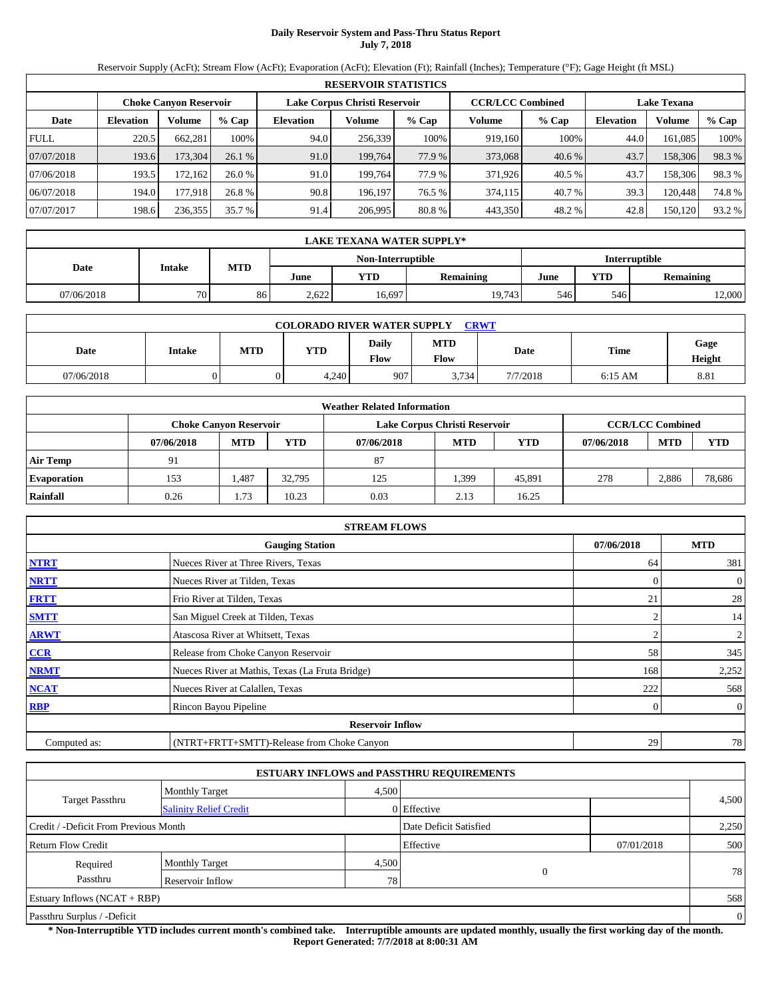# **Daily Reservoir System and Pass-Thru Status Report July 7, 2018**

Reservoir Supply (AcFt); Stream Flow (AcFt); Evaporation (AcFt); Elevation (Ft); Rainfall (Inches); Temperature (°F); Gage Height (ft MSL)

|                                                                                                                 | <b>RESERVOIR STATISTICS</b> |          |         |                  |         |        |         |         |                  |         |          |  |
|-----------------------------------------------------------------------------------------------------------------|-----------------------------|----------|---------|------------------|---------|--------|---------|---------|------------------|---------|----------|--|
| <b>CCR/LCC Combined</b><br>Lake Corpus Christi Reservoir<br><b>Lake Texana</b><br><b>Choke Canyon Reservoir</b> |                             |          |         |                  |         |        |         |         |                  |         |          |  |
| Date                                                                                                            | <b>Elevation</b>            | Volume   | $%$ Cap | <b>Elevation</b> | Volume  | % Cap  | Volume  | $%$ Cap | <b>Elevation</b> | Volume  | $\%$ Cap |  |
| <b>FULL</b>                                                                                                     | 220.5                       | 662.281  | 100%    | 94.0             | 256.339 | 100%   | 919.160 | 100%    | 44.0             | 161.085 | 100%     |  |
| 07/07/2018                                                                                                      | 193.6                       | 173,304  | 26.1%   | 91.0             | 199.764 | 77.9 % | 373,068 | 40.6 %  | 43.7             | 158,306 | 98.3%    |  |
| 07/06/2018                                                                                                      | 193.5                       | 172.1621 | 26.0%   | 91.0             | 199.764 | 77.9 % | 371.926 | 40.5 %  | 43.7             | 158.306 | 98.3%    |  |
| 06/07/2018                                                                                                      | 194.0                       | 177.918  | 26.8 %  | 90.8             | 196.197 | 76.5 % | 374.115 | 40.7 %  | 39.3             | 120.448 | 74.8%    |  |
| 07/07/2017                                                                                                      | 198.6                       | 236,355  | 35.7 %  | 91.4             | 206,995 | 80.8 % | 443,350 | 48.2 %  | 42.8             | 150.120 | 93.2 %   |  |

|            | LAKE TEXANA WATER SUPPLY* |               |       |        |                  |      |            |                  |  |  |  |
|------------|---------------------------|---------------|-------|--------|------------------|------|------------|------------------|--|--|--|
|            |                           | Interruptible |       |        |                  |      |            |                  |  |  |  |
| Date       | <b>Intake</b>             | <b>MTD</b>    | June  | YTD    | <b>Remaining</b> | June | <b>YTD</b> | <b>Remaining</b> |  |  |  |
| 07/06/2018 | 70                        | 86            | 2.622 | 16,697 | 19.743           | 546  | 546        | 12,000           |  |  |  |

| <b>COLORADO RIVER WATER SUPPLY</b><br><b>CRWT</b>                                                                          |  |  |       |     |       |          |           |      |  |  |
|----------------------------------------------------------------------------------------------------------------------------|--|--|-------|-----|-------|----------|-----------|------|--|--|
| <b>MTD</b><br>Daily<br>Gage<br>Time<br>YTD<br><b>MTD</b><br>Date<br><b>Intake</b><br>Date<br>Flow<br><b>Flow</b><br>Height |  |  |       |     |       |          |           |      |  |  |
| 07/06/2018                                                                                                                 |  |  | 4,240 | 907 | 3.734 | 7/7/2018 | $6:15$ AM | 8.81 |  |  |

|                    | <b>Weather Related Information</b>                                                        |            |        |            |            |        |            |            |            |  |  |  |
|--------------------|-------------------------------------------------------------------------------------------|------------|--------|------------|------------|--------|------------|------------|------------|--|--|--|
|                    | <b>CCR/LCC Combined</b><br>Lake Corpus Christi Reservoir<br><b>Choke Canyon Reservoir</b> |            |        |            |            |        |            |            |            |  |  |  |
|                    | 07/06/2018                                                                                | <b>MTD</b> | YTD    | 07/06/2018 | <b>MTD</b> | YTD    | 07/06/2018 | <b>MTD</b> | <b>YTD</b> |  |  |  |
| <b>Air Temp</b>    | 91                                                                                        |            |        | 87         |            |        |            |            |            |  |  |  |
| <b>Evaporation</b> | 153                                                                                       | 1.487      | 32.795 | 125        | 1,399      | 45.891 | 278        | 2,886      | 78,686     |  |  |  |
| Rainfall           | 0.26                                                                                      | 1.73       | 10.23  | 0.03       | 2.13       | 16.25  |            |            |            |  |  |  |

|              | <b>STREAM FLOWS</b>                             |                |                |
|--------------|-------------------------------------------------|----------------|----------------|
|              | <b>Gauging Station</b>                          | 07/06/2018     | <b>MTD</b>     |
| <b>NTRT</b>  | Nueces River at Three Rivers, Texas             | 64             | 381            |
| <b>NRTT</b>  | Nueces River at Tilden, Texas                   | $\Omega$       | $\theta$       |
| <b>FRTT</b>  | Frio River at Tilden, Texas                     | 21             | 28             |
| <b>SMTT</b>  | San Miguel Creek at Tilden, Texas               | $\overline{c}$ | 14             |
| <b>ARWT</b>  | Atascosa River at Whitsett, Texas               | 2              | 2              |
| CCR          | Release from Choke Canyon Reservoir             | 58             | 345            |
| <b>NRMT</b>  | Nueces River at Mathis, Texas (La Fruta Bridge) | 168            | 2,252          |
| <b>NCAT</b>  | Nueces River at Calallen, Texas                 | 222            | 568            |
| <b>RBP</b>   | Rincon Bayou Pipeline                           | 0              | $\overline{0}$ |
|              | <b>Reservoir Inflow</b>                         |                |                |
| Computed as: | (NTRT+FRTT+SMTT)-Release from Choke Canyon      | 29             | 78             |

|                                       |                               |       | <b>ESTUARY INFLOWS and PASSTHRU REQUIREMENTS</b> |            |                |
|---------------------------------------|-------------------------------|-------|--------------------------------------------------|------------|----------------|
|                                       | <b>Monthly Target</b>         | 4,500 |                                                  |            |                |
| <b>Target Passthru</b>                | <b>Salinity Relief Credit</b> |       | 0 Effective                                      |            | 4,500          |
| Credit / -Deficit From Previous Month |                               |       | Date Deficit Satisfied                           |            | 2,250          |
| <b>Return Flow Credit</b>             |                               |       | Effective                                        | 07/01/2018 | 500            |
| Required                              | <b>Monthly Target</b>         | 4,500 |                                                  |            |                |
| Passthru                              | Reservoir Inflow              | 78    | $\mathbf{0}$                                     |            | 78             |
| Estuary Inflows $(NCAT + RBP)$        |                               |       |                                                  |            | 568            |
| Passthru Surplus / -Deficit           |                               |       |                                                  |            | $\overline{0}$ |

**\* Non-Interruptible YTD includes current month's combined take. Interruptible amounts are updated monthly, usually the first working day of the month. Report Generated: 7/7/2018 at 8:00:31 AM**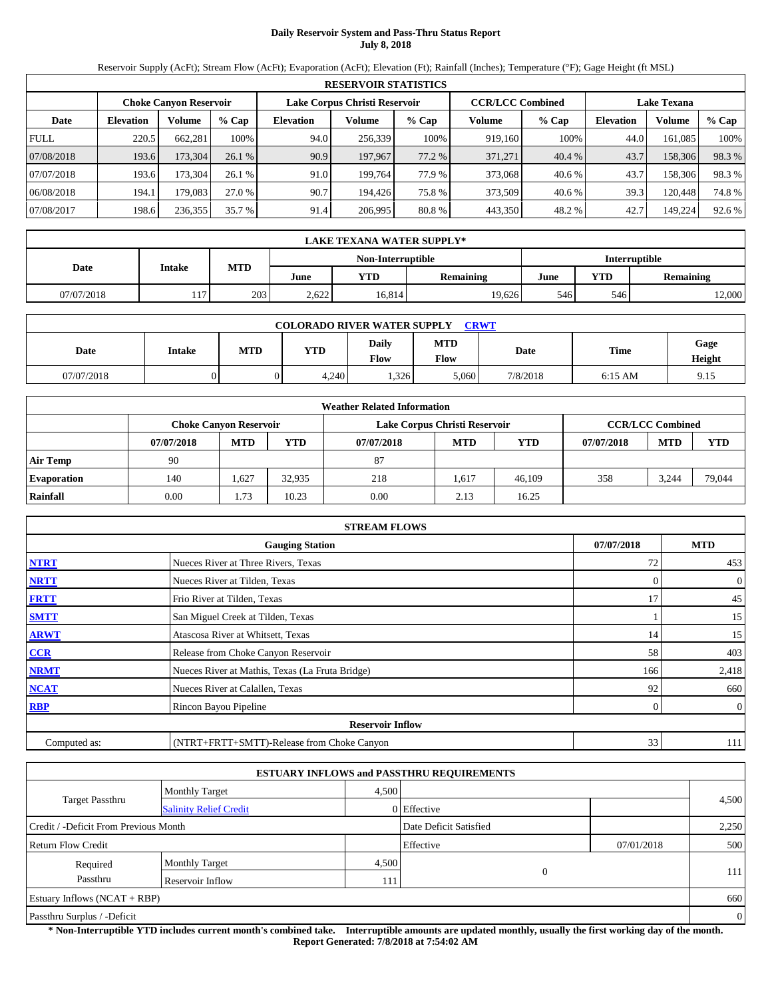# **Daily Reservoir System and Pass-Thru Status Report July 8, 2018**

Reservoir Supply (AcFt); Stream Flow (AcFt); Evaporation (AcFt); Elevation (Ft); Rainfall (Inches); Temperature (°F); Gage Height (ft MSL)

|                                                                                                                 | <b>RESERVOIR STATISTICS</b> |         |         |                  |         |        |         |         |                  |         |          |  |
|-----------------------------------------------------------------------------------------------------------------|-----------------------------|---------|---------|------------------|---------|--------|---------|---------|------------------|---------|----------|--|
| <b>CCR/LCC Combined</b><br>Lake Corpus Christi Reservoir<br><b>Lake Texana</b><br><b>Choke Canyon Reservoir</b> |                             |         |         |                  |         |        |         |         |                  |         |          |  |
| Date                                                                                                            | <b>Elevation</b>            | Volume  | $%$ Cap | <b>Elevation</b> | Volume  | % Cap  | Volume  | $%$ Cap | <b>Elevation</b> | Volume  | $\%$ Cap |  |
| <b>FULL</b>                                                                                                     | 220.5                       | 662.281 | 100%    | 94.0             | 256.339 | 100%   | 919.160 | 100%    | 44.0             | 161.085 | 100%     |  |
| 07/08/2018                                                                                                      | 193.6                       | 173.304 | 26.1%   | 90.9             | 197.967 | 77.2 % | 371,271 | 40.4 %  | 43.7             | 158,306 | 98.3%    |  |
| 07/07/2018                                                                                                      | 193.6                       | 173.304 | 26.1%   | 91.0             | 199.764 | 77.9 % | 373,068 | 40.6 %  | 43.7             | 158.306 | 98.3%    |  |
| 06/08/2018                                                                                                      | 194.1                       | 179.083 | 27.0 %  | 90.7             | 194.426 | 75.8 % | 373.509 | 40.6 %  | 39.3             | 120.448 | 74.8%    |  |
| 07/08/2017                                                                                                      | 198.6                       | 236,355 | 35.7 %  | 91.4             | 206,995 | 80.8%  | 443,350 | 48.2 %  | 42.7             | 149.224 | 92.6 %   |  |

|                                    | <b>LAKE TEXANA WATER SUPPLY*</b> |            |       |        |                  |      |            |                  |  |  |  |  |
|------------------------------------|----------------------------------|------------|-------|--------|------------------|------|------------|------------------|--|--|--|--|
| Non-Interruptible<br>Interruptible |                                  |            |       |        |                  |      |            |                  |  |  |  |  |
| Date                               | <b>Intake</b>                    | <b>MTD</b> | June  | YTD    | <b>Remaining</b> | June | <b>YTD</b> | <b>Remaining</b> |  |  |  |  |
| 07/07/2018                         | 117                              | 203        | 2.622 | 16.814 | 19.626           | 546  | 546        | 2,000            |  |  |  |  |

| <b>CRWT</b><br><b>COLORADO RIVER WATER SUPPLY</b>                                                                   |  |  |       |      |       |          |           |      |  |  |
|---------------------------------------------------------------------------------------------------------------------|--|--|-------|------|-------|----------|-----------|------|--|--|
| <b>MTD</b><br>Dailv<br>Gage<br>MTD<br>Time<br><b>YTD</b><br>Date<br>Date<br><b>Intake</b><br>Flow<br>Flow<br>Height |  |  |       |      |       |          |           |      |  |  |
| 07/07/2018                                                                                                          |  |  | 4.240 | .326 | 5,060 | 7/8/2018 | $6:15$ AM | 9.15 |  |  |

|                    | <b>Weather Related Information</b>                                                        |            |            |            |            |            |            |            |            |  |  |  |
|--------------------|-------------------------------------------------------------------------------------------|------------|------------|------------|------------|------------|------------|------------|------------|--|--|--|
|                    | <b>CCR/LCC Combined</b><br>Lake Corpus Christi Reservoir<br><b>Choke Canvon Reservoir</b> |            |            |            |            |            |            |            |            |  |  |  |
|                    | 07/07/2018                                                                                | <b>MTD</b> | <b>YTD</b> | 07/07/2018 | <b>MTD</b> | <b>YTD</b> | 07/07/2018 | <b>MTD</b> | <b>YTD</b> |  |  |  |
| <b>Air Temp</b>    | 90                                                                                        |            |            | 87         |            |            |            |            |            |  |  |  |
| <b>Evaporation</b> | 140                                                                                       | 1,627      | 32.935     | 218        | 1,617      | 46,109     | 358        | 3.244      | 79,044     |  |  |  |
| Rainfall           | 0.00                                                                                      | 1.73       | 10.23      | 0.00       | 2.13       | 16.25      |            |            |            |  |  |  |

|              | <b>STREAM FLOWS</b>                             |            |                |
|--------------|-------------------------------------------------|------------|----------------|
|              | <b>Gauging Station</b>                          | 07/07/2018 | <b>MTD</b>     |
| <b>NTRT</b>  | Nueces River at Three Rivers, Texas             | 72         | 453            |
| <b>NRTT</b>  | Nueces River at Tilden, Texas                   | $\Omega$   | $\overline{0}$ |
| <b>FRTT</b>  | Frio River at Tilden, Texas                     | 17         | 45             |
| <b>SMTT</b>  | San Miguel Creek at Tilden, Texas               |            | 15             |
| <b>ARWT</b>  | Atascosa River at Whitsett, Texas               | 14         | 15             |
| CCR          | Release from Choke Canyon Reservoir             | 58         | 403            |
| <b>NRMT</b>  | Nueces River at Mathis, Texas (La Fruta Bridge) | 166        | 2,418          |
| <b>NCAT</b>  | Nueces River at Calallen, Texas                 | 92         | 660            |
| <b>RBP</b>   | Rincon Bayou Pipeline                           | 0          | $\overline{0}$ |
|              | <b>Reservoir Inflow</b>                         |            |                |
| Computed as: | (NTRT+FRTT+SMTT)-Release from Choke Canyon      | 33         | 111            |

|                                       |                               |       | <b>ESTUARY INFLOWS and PASSTHRU REQUIREMENTS</b> |            |       |  |  |
|---------------------------------------|-------------------------------|-------|--------------------------------------------------|------------|-------|--|--|
|                                       | <b>Monthly Target</b>         | 4,500 |                                                  |            |       |  |  |
| <b>Target Passthru</b>                | <b>Salinity Relief Credit</b> |       | 0 Effective                                      |            | 4,500 |  |  |
| Credit / -Deficit From Previous Month |                               |       | Date Deficit Satisfied                           |            | 2,250 |  |  |
| <b>Return Flow Credit</b>             |                               |       | Effective                                        | 07/01/2018 | 500   |  |  |
| Required                              | <b>Monthly Target</b>         | 4,500 |                                                  |            |       |  |  |
| Passthru                              | Reservoir Inflow              | 111   | 0                                                |            | 111   |  |  |
| Estuary Inflows $(NCAT + RBP)$        |                               |       |                                                  |            |       |  |  |
| Passthru Surplus / -Deficit           |                               |       |                                                  |            |       |  |  |

**\* Non-Interruptible YTD includes current month's combined take. Interruptible amounts are updated monthly, usually the first working day of the month. Report Generated: 7/8/2018 at 7:54:02 AM**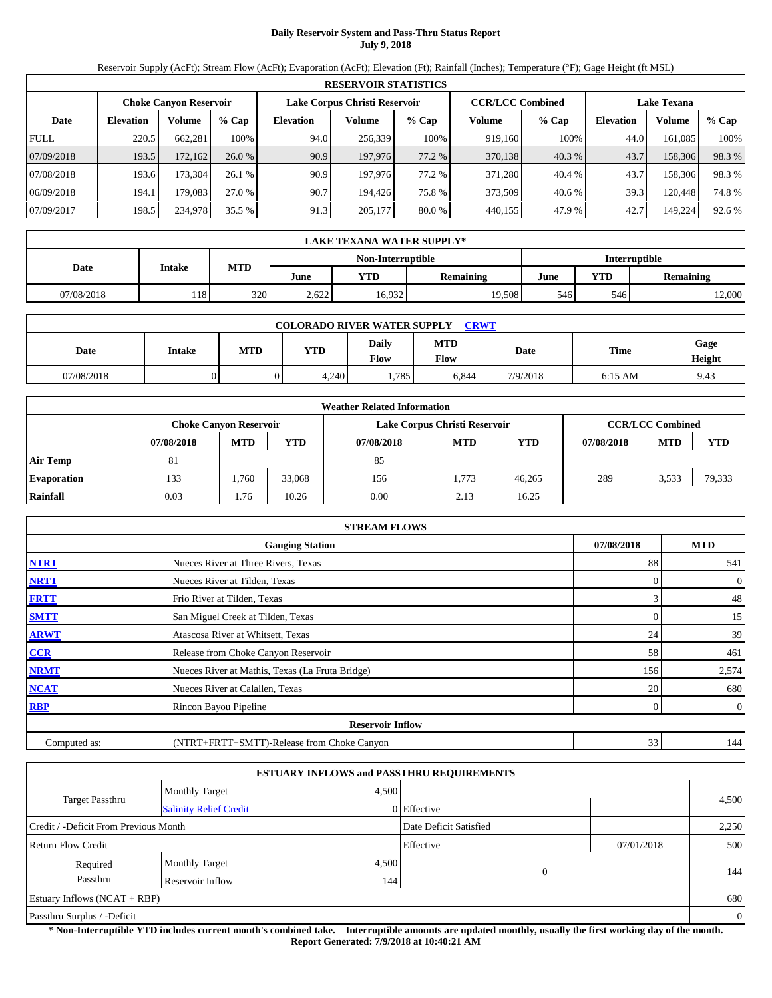# **Daily Reservoir System and Pass-Thru Status Report July 9, 2018**

Reservoir Supply (AcFt); Stream Flow (AcFt); Evaporation (AcFt); Elevation (Ft); Rainfall (Inches); Temperature (°F); Gage Height (ft MSL)

|                                                                                                                 | <b>RESERVOIR STATISTICS</b> |         |         |                  |         |        |         |         |                  |         |        |  |  |
|-----------------------------------------------------------------------------------------------------------------|-----------------------------|---------|---------|------------------|---------|--------|---------|---------|------------------|---------|--------|--|--|
| Lake Corpus Christi Reservoir<br><b>CCR/LCC Combined</b><br><b>Choke Canyon Reservoir</b><br><b>Lake Texana</b> |                             |         |         |                  |         |        |         |         |                  |         |        |  |  |
| Date                                                                                                            | <b>Elevation</b>            | Volume  | $%$ Cap | <b>Elevation</b> | Volume  | % Cap  | Volume  | $%$ Cap | <b>Elevation</b> | Volume  | % Cap  |  |  |
| <b>FULL</b>                                                                                                     | 220.5                       | 662.281 | 100%    | 94.0             | 256,339 | 100%   | 919.160 | 100%    | 44.0             | 161.085 | 100%   |  |  |
| 07/09/2018                                                                                                      | 193.5                       | 172,162 | 26.0%   | 90.9             | 197,976 | 77.2 % | 370,138 | 40.3 %  | 43.7             | 158,306 | 98.3%  |  |  |
| 07/08/2018                                                                                                      | 193.6                       | 173.304 | 26.1%   | 90.9             | 197.976 | 77.2 % | 371.280 | 40.4 %  | 43.7             | 158,306 | 98.3%  |  |  |
| 06/09/2018                                                                                                      | 194.1                       | 179.083 | 27.0 %  | 90.7             | 194.426 | 75.8 % | 373.509 | 40.6 %  | 39.3             | 120.448 | 74.8%  |  |  |
| 07/09/2017                                                                                                      | 198.5                       | 234,978 | 35.5 %  | 91.3             | 205,177 | 80.0 % | 440,155 | 47.9%   | 42.7             | 149.224 | 92.6 % |  |  |

|                                    |            | <b>LAKE TEXANA WATER SUPPLY*</b>                        |     |       |        |            |                  |     |        |  |  |  |  |
|------------------------------------|------------|---------------------------------------------------------|-----|-------|--------|------------|------------------|-----|--------|--|--|--|--|
| Interruptible<br>Non-Interruptible |            |                                                         |     |       |        |            |                  |     |        |  |  |  |  |
|                                    | Date       | <b>MTD</b><br>Intake<br>YTD<br><b>Remaining</b><br>June |     |       | June   | <b>YTD</b> | <b>Remaining</b> |     |        |  |  |  |  |
|                                    | 07/08/2018 | 118                                                     | 320 | 2.622 | 16.932 | 19.508     | 546              | 546 | 12,000 |  |  |  |  |

| <b>CRWT</b><br><b>COLORADO RIVER WATER SUPPLY</b>                                                                          |  |  |       |      |       |          |           |      |  |  |
|----------------------------------------------------------------------------------------------------------------------------|--|--|-------|------|-------|----------|-----------|------|--|--|
| <b>MTD</b><br>Daily<br>Gage<br>Time<br><b>MTD</b><br><b>YTD</b><br>Date<br><b>Intake</b><br>Date<br>Flow<br>Flow<br>Height |  |  |       |      |       |          |           |      |  |  |
| 07/08/2018                                                                                                                 |  |  | 4,240 | .785 | 6,844 | 7/9/2018 | $6:15$ AM | 9.43 |  |  |

|                    | <b>Weather Related Information</b>                                                        |            |            |            |            |            |            |            |        |  |  |  |  |
|--------------------|-------------------------------------------------------------------------------------------|------------|------------|------------|------------|------------|------------|------------|--------|--|--|--|--|
|                    | <b>CCR/LCC Combined</b><br>Lake Corpus Christi Reservoir<br><b>Choke Canvon Reservoir</b> |            |            |            |            |            |            |            |        |  |  |  |  |
|                    | 07/08/2018                                                                                | <b>MTD</b> | <b>YTD</b> | 07/08/2018 | <b>MTD</b> | <b>YTD</b> | 07/08/2018 | <b>MTD</b> | YTD    |  |  |  |  |
| <b>Air Temp</b>    | 81                                                                                        |            |            | 85         |            |            |            |            |        |  |  |  |  |
| <b>Evaporation</b> | 133                                                                                       | .760       | 33,068     | 156        | 1.773      | 46.265     | 289        | 3.533      | 79,333 |  |  |  |  |
| Rainfall           | 0.03                                                                                      | 1.76       | 10.26      | 0.00       | 2.13       | 16.25      |            |            |        |  |  |  |  |

|              | <b>STREAM FLOWS</b>                             |            |                |
|--------------|-------------------------------------------------|------------|----------------|
|              | <b>Gauging Station</b>                          | 07/08/2018 | <b>MTD</b>     |
| <b>NTRT</b>  | Nueces River at Three Rivers, Texas             | 88         | 541            |
| <b>NRTT</b>  | Nueces River at Tilden, Texas                   | $\Omega$   | $\overline{0}$ |
| <b>FRTT</b>  | Frio River at Tilden, Texas                     | 3          | 48             |
| <b>SMTT</b>  | San Miguel Creek at Tilden, Texas               | 0          | 15             |
| <b>ARWT</b>  | Atascosa River at Whitsett, Texas               | 24         | 39             |
| CCR          | Release from Choke Canyon Reservoir             | 58         | 461            |
| <b>NRMT</b>  | Nueces River at Mathis, Texas (La Fruta Bridge) | 156        | 2,574          |
| <b>NCAT</b>  | Nueces River at Calallen, Texas                 | 20         | 680            |
| <b>RBP</b>   | Rincon Bayou Pipeline                           | 0          | $\overline{0}$ |
|              | <b>Reservoir Inflow</b>                         |            |                |
| Computed as: | (NTRT+FRTT+SMTT)-Release from Choke Canyon      | 33         | 144            |

|                                       |                               |       | <b>ESTUARY INFLOWS and PASSTHRU REQUIREMENTS</b> |            |                |
|---------------------------------------|-------------------------------|-------|--------------------------------------------------|------------|----------------|
|                                       | <b>Monthly Target</b>         | 4.500 |                                                  |            |                |
| <b>Target Passthru</b>                | <b>Salinity Relief Credit</b> |       | 0 Effective                                      |            | 4,500          |
| Credit / -Deficit From Previous Month |                               |       | Date Deficit Satisfied                           |            | 2,250          |
| <b>Return Flow Credit</b>             |                               |       | Effective                                        | 07/01/2018 | 500            |
| Required                              | <b>Monthly Target</b>         | 4,500 |                                                  |            |                |
| Passthru                              | Reservoir Inflow              | 144   | $\Omega$                                         |            | 144            |
| Estuary Inflows $(NCAT + RBP)$        |                               |       |                                                  |            | 680            |
| Passthru Surplus / -Deficit           |                               |       |                                                  |            | $\overline{0}$ |

**\* Non-Interruptible YTD includes current month's combined take. Interruptible amounts are updated monthly, usually the first working day of the month. Report Generated: 7/9/2018 at 10:40:21 AM**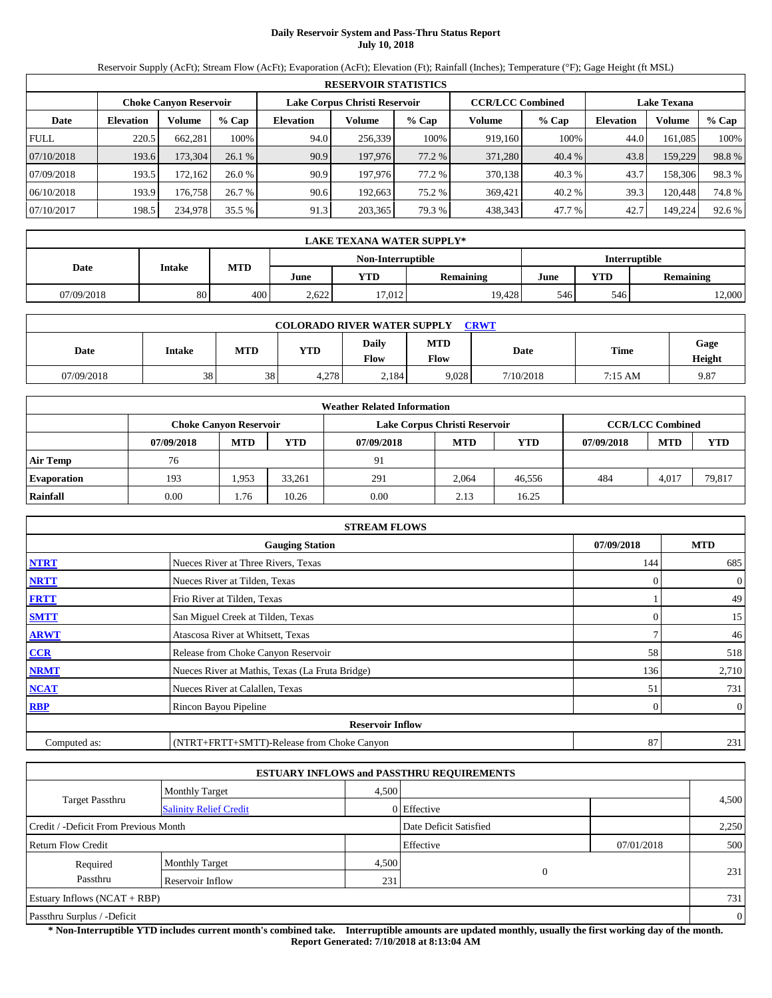# **Daily Reservoir System and Pass-Thru Status Report July 10, 2018**

Reservoir Supply (AcFt); Stream Flow (AcFt); Evaporation (AcFt); Elevation (Ft); Rainfall (Inches); Temperature (°F); Gage Height (ft MSL)

|                                                                                                                 | <b>RESERVOIR STATISTICS</b> |         |         |                  |         |        |         |         |                  |         |        |  |  |
|-----------------------------------------------------------------------------------------------------------------|-----------------------------|---------|---------|------------------|---------|--------|---------|---------|------------------|---------|--------|--|--|
| Lake Corpus Christi Reservoir<br><b>CCR/LCC Combined</b><br><b>Choke Canyon Reservoir</b><br><b>Lake Texana</b> |                             |         |         |                  |         |        |         |         |                  |         |        |  |  |
| Date                                                                                                            | <b>Elevation</b>            | Volume  | $%$ Cap | <b>Elevation</b> | Volume  | % Cap  | Volume  | $%$ Cap | <b>Elevation</b> | Volume  | % Cap  |  |  |
| <b>FULL</b>                                                                                                     | 220.5                       | 662.281 | 100%    | 94.0             | 256,339 | 100%   | 919.160 | 100%    | 44.0             | 161.085 | 100%   |  |  |
| 07/10/2018                                                                                                      | 193.6                       | 173,304 | 26.1%   | 90.9             | 197,976 | 77.2 % | 371,280 | 40.4 %  | 43.8             | 159,229 | 98.8%  |  |  |
| 07/09/2018                                                                                                      | 193.5                       | 172.162 | 26.0%   | 90.9             | 197.976 | 77.2 % | 370,138 | 40.3%   | 43.7             | 158,306 | 98.3%  |  |  |
| 06/10/2018                                                                                                      | 193.9                       | 176.758 | 26.7 %  | 90.6             | 192.663 | 75.2 % | 369.421 | 40.2 %  | 39.3             | 120.448 | 74.8%  |  |  |
| 07/10/2017                                                                                                      | 198.5                       | 234,978 | 35.5 %  | 91.3             | 203,365 | 79.3%  | 438,343 | 47.7 %  | 42.7             | 149.224 | 92.6 % |  |  |

|                                    | LAKE TEXANA WATER SUPPLY*     |     |       |                  |        |            |                  |        |  |  |  |  |
|------------------------------------|-------------------------------|-----|-------|------------------|--------|------------|------------------|--------|--|--|--|--|
| Interruptible<br>Non-Interruptible |                               |     |       |                  |        |            |                  |        |  |  |  |  |
|                                    | MTD<br>Date<br>Intake<br>June |     | YTD   | <b>Remaining</b> | June   | <b>YTD</b> | <b>Remaining</b> |        |  |  |  |  |
| 07/09/2018                         | 80                            | 400 | 2.622 | 17.012           | 19.428 | 546        | 546              | 12,000 |  |  |  |  |

| <b>CRWT</b><br><b>COLORADO RIVER WATER SUPPLY</b> |        |            |            |               |                    |           |         |                |  |  |  |
|---------------------------------------------------|--------|------------|------------|---------------|--------------------|-----------|---------|----------------|--|--|--|
| Date                                              | Intake | <b>MTD</b> | <b>YTD</b> | Daily<br>Flow | <b>MTD</b><br>Flow | Date      | Time    | Gage<br>Height |  |  |  |
| 07/09/2018                                        | 38     | 38         | 4,278      | 2,184         | 9,028              | 7/10/2018 | 7:15 AM | 9.87           |  |  |  |

|                    | <b>Weather Related Information</b>                                                        |            |            |            |            |            |            |            |            |  |  |  |  |
|--------------------|-------------------------------------------------------------------------------------------|------------|------------|------------|------------|------------|------------|------------|------------|--|--|--|--|
|                    | <b>CCR/LCC Combined</b><br>Lake Corpus Christi Reservoir<br><b>Choke Canvon Reservoir</b> |            |            |            |            |            |            |            |            |  |  |  |  |
|                    | 07/09/2018                                                                                | <b>MTD</b> | <b>YTD</b> | 07/09/2018 | <b>MTD</b> | <b>YTD</b> | 07/09/2018 | <b>MTD</b> | <b>YTD</b> |  |  |  |  |
| <b>Air Temp</b>    | 76                                                                                        |            |            | 91         |            |            |            |            |            |  |  |  |  |
| <b>Evaporation</b> | 193                                                                                       | 1.953      | 33,261     | 291        | 2,064      | 46.556     | 484        | 4,017      | 79,817     |  |  |  |  |
| Rainfall           | 0.00                                                                                      | 1.76       | 10.26      | 0.00       | 2.13       | 16.25      |            |            |            |  |  |  |  |

|              | <b>STREAM FLOWS</b>                             |            |                              |
|--------------|-------------------------------------------------|------------|------------------------------|
|              | <b>Gauging Station</b>                          | 07/09/2018 | <b>MTD</b>                   |
| <b>NTRT</b>  | Nueces River at Three Rivers, Texas             | 144        | 685                          |
| <b>NRTT</b>  | Nueces River at Tilden, Texas                   |            | $\boldsymbol{0}$<br>$\Omega$ |
| <b>FRTT</b>  | Frio River at Tilden, Texas                     |            | 49                           |
| <b>SMTT</b>  | San Miguel Creek at Tilden, Texas               |            | 15<br>$\Omega$               |
| <b>ARWT</b>  | Atascosa River at Whitsett, Texas               |            | ┑<br>46                      |
| CCR          | Release from Choke Canyon Reservoir             | 58         | 518                          |
| <b>NRMT</b>  | Nueces River at Mathis, Texas (La Fruta Bridge) | 136        | 2,710                        |
| <b>NCAT</b>  | Nueces River at Calallen, Texas                 | 51         | 731                          |
| <b>RBP</b>   | Rincon Bayou Pipeline                           |            | $\overline{0}$<br>0          |
|              | <b>Reservoir Inflow</b>                         |            |                              |
| Computed as: | (NTRT+FRTT+SMTT)-Release from Choke Canyon      | 87         | 231                          |

|                                       |                               |       | <b>ESTUARY INFLOWS and PASSTHRU REQUIREMENTS</b> |            |                |
|---------------------------------------|-------------------------------|-------|--------------------------------------------------|------------|----------------|
|                                       | <b>Monthly Target</b>         | 4,500 |                                                  |            |                |
| <b>Target Passthru</b>                | <b>Salinity Relief Credit</b> |       | 0 Effective                                      |            | 4,500          |
| Credit / -Deficit From Previous Month |                               |       | Date Deficit Satisfied                           |            | 2,250          |
| <b>Return Flow Credit</b>             |                               |       | Effective                                        | 07/01/2018 | 500            |
| Required                              | <b>Monthly Target</b>         | 4,500 |                                                  |            |                |
| Passthru                              | Reservoir Inflow              | 231   | $\Omega$                                         |            | 231            |
| Estuary Inflows $(NCAT + RBP)$        |                               |       |                                                  |            | 731            |
| Passthru Surplus / -Deficit           |                               |       |                                                  |            | $\overline{0}$ |

**\* Non-Interruptible YTD includes current month's combined take. Interruptible amounts are updated monthly, usually the first working day of the month. Report Generated: 7/10/2018 at 8:13:04 AM**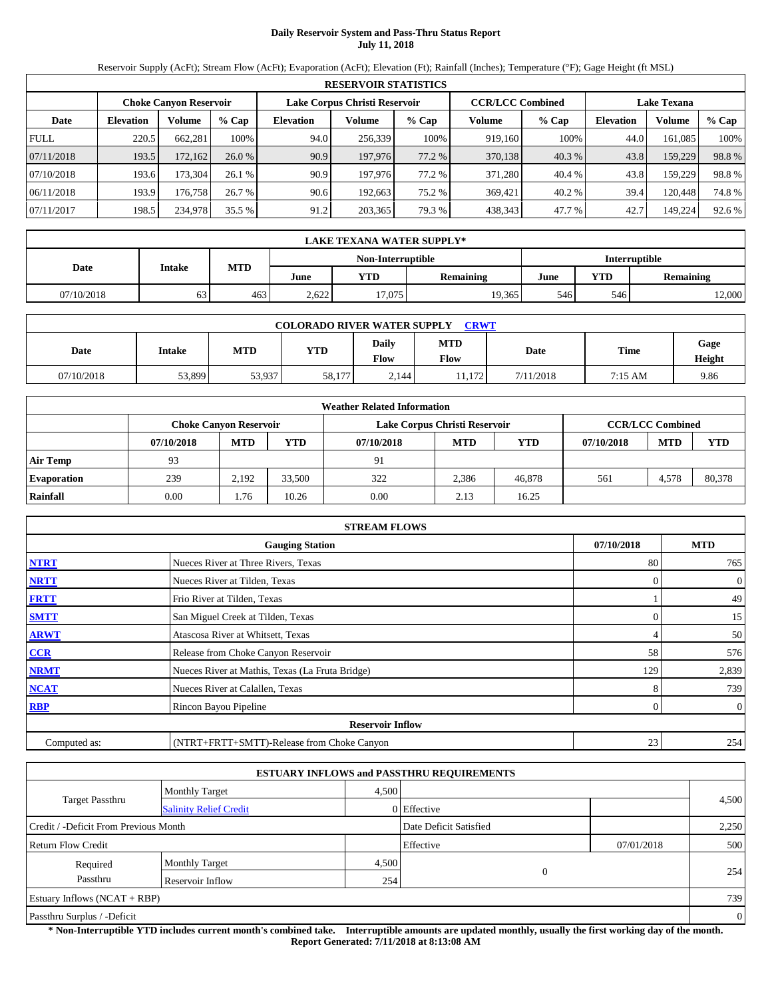# **Daily Reservoir System and Pass-Thru Status Report July 11, 2018**

Reservoir Supply (AcFt); Stream Flow (AcFt); Evaporation (AcFt); Elevation (Ft); Rainfall (Inches); Temperature (°F); Gage Height (ft MSL)

|             | <b>RESERVOIR STATISTICS</b> |                               |         |           |                               |        |                         |         |                  |                    |        |  |
|-------------|-----------------------------|-------------------------------|---------|-----------|-------------------------------|--------|-------------------------|---------|------------------|--------------------|--------|--|
|             |                             | <b>Choke Canyon Reservoir</b> |         |           | Lake Corpus Christi Reservoir |        | <b>CCR/LCC Combined</b> |         |                  | <b>Lake Texana</b> |        |  |
| Date        | <b>Elevation</b>            | Volume                        | $%$ Cap | Elevation | Volume                        | % Cap  | Volume                  | $%$ Cap | <b>Elevation</b> | Volume             | % Cap  |  |
| <b>FULL</b> | 220.5                       | 662,281                       | 100%    | 94.0      | 256,339                       | 100%   | 919,160                 | 100%    | 44.0             | 161.085            | 100%   |  |
| 07/11/2018  | 193.5                       | 172,162                       | 26.0%   | 90.9      | 197,976                       | 77.2 % | 370,138                 | 40.3 %  | 43.8             | 159,229            | 98.8%  |  |
| 07/10/2018  | 193.6                       | 173.304                       | 26.1%   | 90.9      | 197.976                       | 77.2 % | 371.280                 | 40.4 %  | 43.8             | 159.229            | 98.8%  |  |
| 06/11/2018  | 193.9                       | 176.758                       | 26.7 %  | 90.6      | 192.663                       | 75.2 % | 369.421                 | 40.2 %  | 39.4             | 120.448            | 74.8%  |  |
| 07/11/2017  | 198.5                       | 234,978                       | 35.5 %  | 91.2      | 203,365                       | 79.3 % | 438,343                 | 47.7 %  | 42.7             | 149,224            | 92.6 % |  |

|                                    |            | LAKE TEXANA WATER SUPPLY* |                  |       |        |                  |      |            |                  |  |  |  |
|------------------------------------|------------|---------------------------|------------------|-------|--------|------------------|------|------------|------------------|--|--|--|
| Interruptible<br>Non-Interruptible |            |                           |                  |       |        |                  |      |            |                  |  |  |  |
|                                    | Date       | <b>Intake</b>             | <b>MTD</b>       | June  | YTD    | <b>Remaining</b> | June | <b>YTD</b> | <b>Remaining</b> |  |  |  |
|                                    | 07/10/2018 | 63                        | 463 <sub>1</sub> | 2.622 | 17.075 | 19.365           | 546  | 546        | 12,000           |  |  |  |

|            | <b>CRWT</b><br><b>COLORADO RIVER WATER SUPPLY</b> |            |        |                             |                    |             |         |                |  |  |  |
|------------|---------------------------------------------------|------------|--------|-----------------------------|--------------------|-------------|---------|----------------|--|--|--|
| Date       | <b>Intake</b>                                     | <b>MTD</b> | YTD    | <b>Daily</b><br><b>Flow</b> | <b>MTD</b><br>Flow | <b>Date</b> | Time    | Gage<br>Height |  |  |  |
| 07/10/2018 | 53.899                                            | 53,937     | 58,177 | 2,144                       | 11.172             | 7/11/2018   | 7:15 AM | 9.86           |  |  |  |

|                    | <b>Weather Related Information</b> |                               |            |            |                               |            |            |                         |            |  |  |  |
|--------------------|------------------------------------|-------------------------------|------------|------------|-------------------------------|------------|------------|-------------------------|------------|--|--|--|
|                    |                                    | <b>Choke Canvon Reservoir</b> |            |            | Lake Corpus Christi Reservoir |            |            | <b>CCR/LCC Combined</b> |            |  |  |  |
|                    | 07/10/2018                         | <b>MTD</b>                    | <b>YTD</b> | 07/10/2018 | <b>MTD</b>                    | <b>YTD</b> | 07/10/2018 | <b>MTD</b>              | <b>YTD</b> |  |  |  |
| <b>Air Temp</b>    | 93                                 |                               |            | 91         |                               |            |            |                         |            |  |  |  |
| <b>Evaporation</b> | 239                                | 2.192                         | 33,500     | 322        | 2,386                         | 46,878     | 561        | 4,578                   | 80,378     |  |  |  |
| Rainfall           | 0.00                               | 1.76                          | 10.26      | 0.00       | 2.13                          | 16.25      |            |                         |            |  |  |  |

|              | <b>STREAM FLOWS</b>                             |            |                |
|--------------|-------------------------------------------------|------------|----------------|
|              | <b>Gauging Station</b>                          | 07/10/2018 | <b>MTD</b>     |
| <b>NTRT</b>  | Nueces River at Three Rivers, Texas             | 80         | 765            |
| <b>NRTT</b>  | Nueces River at Tilden, Texas                   | $\Omega$   | $\theta$       |
| <b>FRTT</b>  | Frio River at Tilden, Texas                     |            | 49             |
| <b>SMTT</b>  | San Miguel Creek at Tilden, Texas               | $\Omega$   | 15             |
| <b>ARWT</b>  | Atascosa River at Whitsett, Texas               | 4          | 50             |
| CCR          | Release from Choke Canyon Reservoir             | 58         | 576            |
| <b>NRMT</b>  | Nueces River at Mathis, Texas (La Fruta Bridge) | 129        | 2,839          |
| <b>NCAT</b>  | Nueces River at Calallen, Texas                 | 8          | 739            |
| <b>RBP</b>   | Rincon Bayou Pipeline                           | 0          | $\overline{0}$ |
|              | <b>Reservoir Inflow</b>                         |            |                |
| Computed as: | (NTRT+FRTT+SMTT)-Release from Choke Canyon      | 23         | 254            |

|                                       |                               |       | <b>ESTUARY INFLOWS and PASSTHRU REQUIREMENTS</b> |            |                |
|---------------------------------------|-------------------------------|-------|--------------------------------------------------|------------|----------------|
|                                       | <b>Monthly Target</b>         | 4,500 |                                                  |            |                |
| <b>Target Passthru</b>                | <b>Salinity Relief Credit</b> |       | 0 Effective                                      |            | 4,500          |
| Credit / -Deficit From Previous Month |                               |       | Date Deficit Satisfied                           |            | 2,250          |
| <b>Return Flow Credit</b>             |                               |       | Effective                                        | 07/01/2018 | 500            |
| Required                              | <b>Monthly Target</b>         | 4,500 |                                                  |            |                |
| Passthru                              | Reservoir Inflow              | 254   | $\mathbf{0}$                                     |            | 254            |
| Estuary Inflows $(NCAT + RBP)$        |                               |       |                                                  |            | 739            |
| Passthru Surplus / -Deficit           |                               |       |                                                  |            | $\overline{0}$ |

**\* Non-Interruptible YTD includes current month's combined take. Interruptible amounts are updated monthly, usually the first working day of the month. Report Generated: 7/11/2018 at 8:13:08 AM**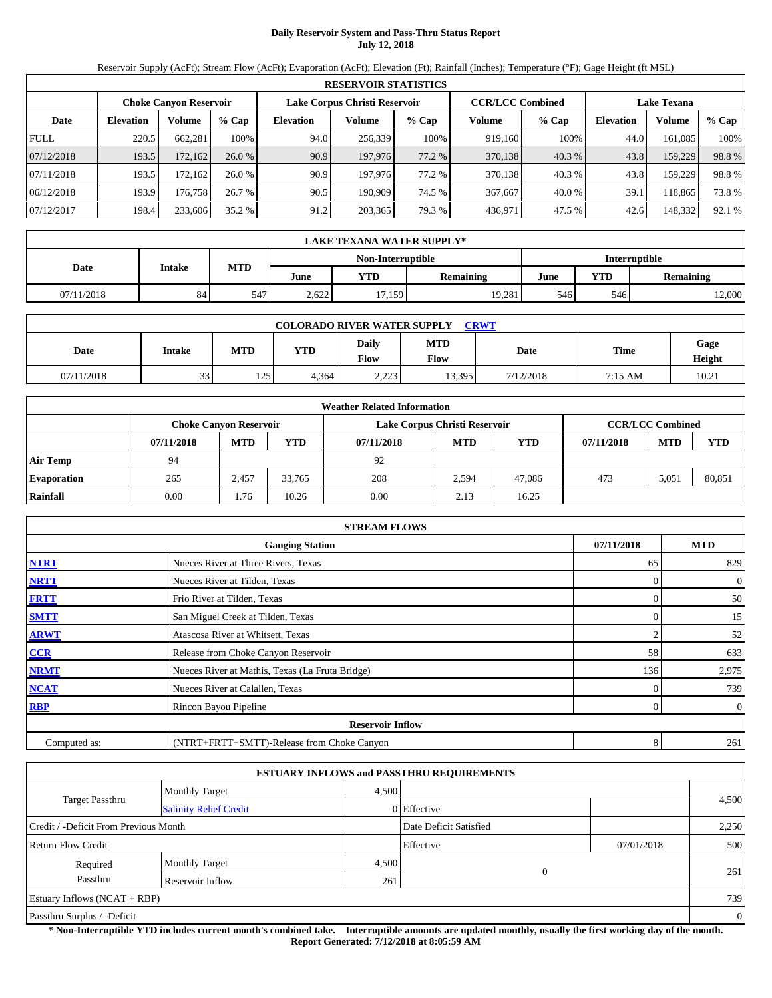# **Daily Reservoir System and Pass-Thru Status Report July 12, 2018**

Reservoir Supply (AcFt); Stream Flow (AcFt); Evaporation (AcFt); Elevation (Ft); Rainfall (Inches); Temperature (°F); Gage Height (ft MSL)

|             | <b>RESERVOIR STATISTICS</b> |                               |         |                  |                               |        |                         |        |                    |         |        |  |
|-------------|-----------------------------|-------------------------------|---------|------------------|-------------------------------|--------|-------------------------|--------|--------------------|---------|--------|--|
|             |                             | <b>Choke Canyon Reservoir</b> |         |                  | Lake Corpus Christi Reservoir |        | <b>CCR/LCC Combined</b> |        | <b>Lake Texana</b> |         |        |  |
| Date        | <b>Elevation</b>            | Volume                        | $%$ Cap | <b>Elevation</b> | Volume                        | % Cap  | Volume                  | % Cap  | <b>Elevation</b>   | Volume  | % Cap  |  |
| <b>FULL</b> | 220.5                       | 662.281                       | 100%    | 94.0             | 256.339                       | 100%   | 919.160                 | 100%   | 44.0               | 161.085 | 100%   |  |
| 07/12/2018  | 193.5                       | 172,162                       | 26.0%   | 90.9             | 197,976                       | 77.2 % | 370,138                 | 40.3 % | 43.8               | 159,229 | 98.8%  |  |
| 07/11/2018  | 193.5                       | 172.1621                      | 26.0%   | 90.9             | 197.976                       | 77.2 % | 370,138                 | 40.3%  | 43.8               | 159.229 | 98.8%  |  |
| 06/12/2018  | 193.9                       | 176.758                       | 26.7%   | 90.5             | 190.909                       | 74.5 % | 367,667                 | 40.0 % | 39.1               | 118.865 | 73.8%  |  |
| 07/12/2017  | 198.4                       | 233,606                       | 35.2 %  | 91.2             | 203,365                       | 79.3 % | 436,971                 | 47.5 % | 42.6               | 148,332 | 92.1 % |  |

|                                    | <b>LAKE TEXANA WATER SUPPLY*</b> |     |                                                       |        |            |                  |     |        |  |  |  |
|------------------------------------|----------------------------------|-----|-------------------------------------------------------|--------|------------|------------------|-----|--------|--|--|--|
| Non-Interruptible<br>Interruptible |                                  |     |                                                       |        |            |                  |     |        |  |  |  |
| Date                               | Intake                           |     | <b>MTD</b><br>June<br>YTD<br><b>Remaining</b><br>June |        | <b>YTD</b> | <b>Remaining</b> |     |        |  |  |  |
| 07/11/2018                         | 84                               | 547 | 2.622                                                 | 17.159 | 19.281     | 546              | 546 | 12,000 |  |  |  |

|            | <b>CRWT</b><br><b>COLORADO RIVER WATER SUPPLY</b> |     |            |                             |                    |           |         |                |  |  |  |  |  |
|------------|---------------------------------------------------|-----|------------|-----------------------------|--------------------|-----------|---------|----------------|--|--|--|--|--|
| Date       | <b>Intake</b>                                     | MTD | <b>YTD</b> | <b>Daily</b><br><b>Flow</b> | <b>MTD</b><br>Flow | Date      | Time    | Gage<br>Height |  |  |  |  |  |
| 07/11/2018 | 33                                                | 125 | 4.364      | 2.223                       | 13,395             | 7/12/2018 | 7:15 AM | 10.21          |  |  |  |  |  |

|                    |            |                               |            | <b>Weather Related Information</b> |                               |            |            |                         |            |
|--------------------|------------|-------------------------------|------------|------------------------------------|-------------------------------|------------|------------|-------------------------|------------|
|                    |            | <b>Choke Canyon Reservoir</b> |            |                                    | Lake Corpus Christi Reservoir |            |            | <b>CCR/LCC Combined</b> |            |
|                    | 07/11/2018 | <b>MTD</b>                    | <b>YTD</b> | 07/11/2018                         | <b>MTD</b>                    | <b>YTD</b> | 07/11/2018 | <b>MTD</b>              | <b>YTD</b> |
| <b>Air Temp</b>    | 94         |                               |            | 92                                 |                               |            |            |                         |            |
| <b>Evaporation</b> | 265        | 2,457                         | 33.765     | 208                                | 2.594                         | 47,086     | 473        | 5.051                   | 80.851     |
| Rainfall           | 0.00       | 1.76                          | 10.26      | 0.00                               | 2.13                          | 16.25      |            |                         |            |

|              | <b>STREAM FLOWS</b>                             |            |                |
|--------------|-------------------------------------------------|------------|----------------|
|              | <b>Gauging Station</b>                          | 07/11/2018 | <b>MTD</b>     |
| <b>NTRT</b>  | Nueces River at Three Rivers, Texas             | 65         | 829            |
| <b>NRTT</b>  | Nueces River at Tilden, Texas                   | $\Omega$   | $\overline{0}$ |
| <b>FRTT</b>  | Frio River at Tilden, Texas                     |            | 50             |
| <b>SMTT</b>  | San Miguel Creek at Tilden, Texas               | $\Omega$   | 15             |
| <b>ARWT</b>  | Atascosa River at Whitsett, Texas               | 2          | 52             |
| CCR          | Release from Choke Canyon Reservoir             | 58         | 633            |
| <b>NRMT</b>  | Nueces River at Mathis, Texas (La Fruta Bridge) | 136        | 2,975          |
| <b>NCAT</b>  | Nueces River at Calallen, Texas                 |            | 739            |
| <b>RBP</b>   | Rincon Bayou Pipeline                           | $\Omega$   | $\overline{0}$ |
|              | <b>Reservoir Inflow</b>                         |            |                |
| Computed as: | (NTRT+FRTT+SMTT)-Release from Choke Canyon      | 8          | 261            |

|                                       |                                |       | <b>ESTUARY INFLOWS and PASSTHRU REQUIREMENTS</b> |            |       |  |  |  |
|---------------------------------------|--------------------------------|-------|--------------------------------------------------|------------|-------|--|--|--|
|                                       | <b>Monthly Target</b>          | 4.500 |                                                  |            |       |  |  |  |
| <b>Target Passthru</b>                | <b>Salinity Relief Credit</b>  |       | 0 Effective                                      |            | 4,500 |  |  |  |
| Credit / -Deficit From Previous Month |                                |       | Date Deficit Satisfied                           |            | 2,250 |  |  |  |
| <b>Return Flow Credit</b>             |                                |       | Effective                                        | 07/01/2018 | 500   |  |  |  |
| Required                              | <b>Monthly Target</b>          | 4,500 |                                                  |            |       |  |  |  |
| Passthru                              | Reservoir Inflow               | 261   | 0                                                |            | 261   |  |  |  |
|                                       | Estuary Inflows $(NCAT + RBP)$ |       |                                                  |            |       |  |  |  |
| Passthru Surplus / -Deficit           |                                |       |                                                  |            |       |  |  |  |

**\* Non-Interruptible YTD includes current month's combined take. Interruptible amounts are updated monthly, usually the first working day of the month. Report Generated: 7/12/2018 at 8:05:59 AM**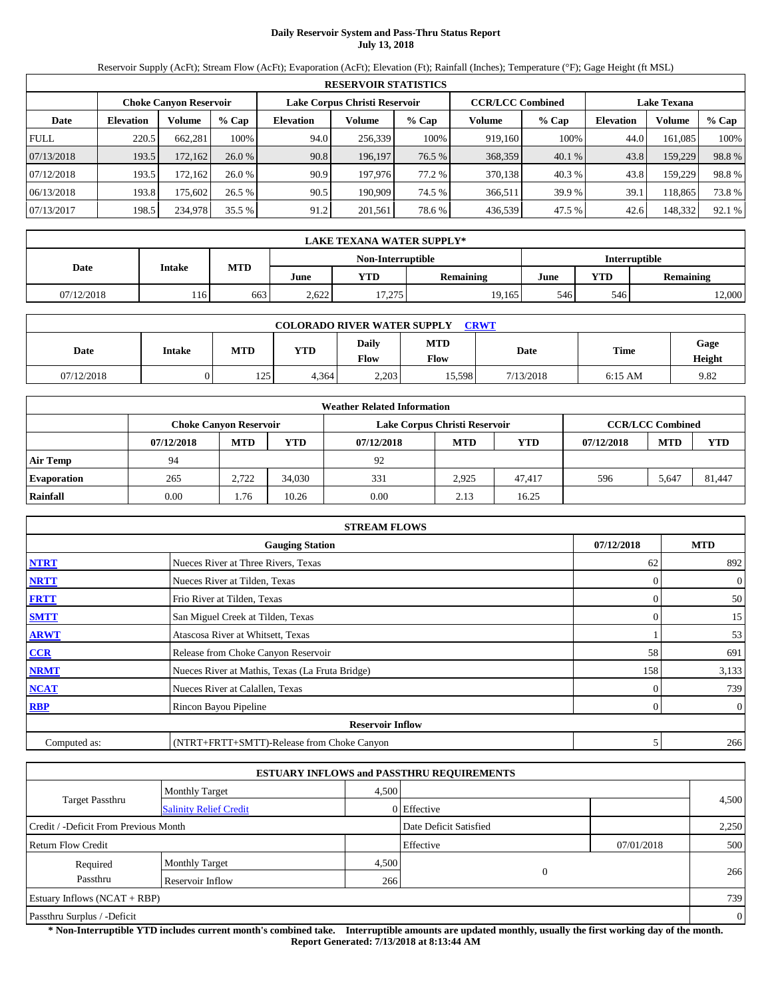# **Daily Reservoir System and Pass-Thru Status Report July 13, 2018**

Reservoir Supply (AcFt); Stream Flow (AcFt); Evaporation (AcFt); Elevation (Ft); Rainfall (Inches); Temperature (°F); Gage Height (ft MSL)

|             | <b>RESERVOIR STATISTICS</b> |                               |         |                               |         |        |                         |        |                    |         |        |  |  |
|-------------|-----------------------------|-------------------------------|---------|-------------------------------|---------|--------|-------------------------|--------|--------------------|---------|--------|--|--|
|             |                             | <b>Choke Canyon Reservoir</b> |         | Lake Corpus Christi Reservoir |         |        | <b>CCR/LCC Combined</b> |        | <b>Lake Texana</b> |         |        |  |  |
| Date        | <b>Elevation</b>            | Volume                        | $%$ Cap | <b>Elevation</b>              | Volume  | % Cap  | Volume                  | % Cap  | <b>Elevation</b>   | Volume  | % Cap  |  |  |
| <b>FULL</b> | 220.5                       | 662.281                       | 100%    | 94.0                          | 256,339 | 100%   | 919.160                 | 100%   | 44.0               | 161.085 | 100%   |  |  |
| 07/13/2018  | 193.5                       | 172,162                       | 26.0%   | 90.8                          | 196.197 | 76.5 % | 368,359                 | 40.1 % | 43.8               | 159,229 | 98.8%  |  |  |
| 07/12/2018  | 193.5                       | 172.1621                      | 26.0%   | 90.9                          | 197.976 | 77.2 % | 370,138                 | 40.3%  | 43.8               | 159.229 | 98.8%  |  |  |
| 06/13/2018  | 193.8                       | 175.6021                      | 26.5%   | 90.5                          | 190.909 | 74.5 % | 366.511                 | 39.9 % | 39.1               | 118.865 | 73.8%  |  |  |
| 07/13/2017  | 198.5                       | 234,978                       | 35.5 %  | 91.2                          | 201,561 | 78.6%  | 436,539                 | 47.5 % | 42.6               | 148,332 | 92.1 % |  |  |

|            | LAKE TEXANA WATER SUPPLY* |     |                   |               |                  |      |                  |        |  |  |  |
|------------|---------------------------|-----|-------------------|---------------|------------------|------|------------------|--------|--|--|--|
|            |                           |     | Non-Interruptible | Interruptible |                  |      |                  |        |  |  |  |
| Date       | Intake                    | MTD | June              | YTD           | <b>Remaining</b> | June | <b>Remaining</b> |        |  |  |  |
| 07/12/2018 | 116                       | 663 | 2.622             | 17.275        | 19.165           | 546  | 546              | 12,000 |  |  |  |

|            | <b>COLORADO RIVER WATER SUPPLY</b><br><b>CRWT</b> |     |            |                      |                    |           |           |                |  |  |  |  |
|------------|---------------------------------------------------|-----|------------|----------------------|--------------------|-----------|-----------|----------------|--|--|--|--|
| Date       | <b>Intake</b>                                     | MTD | <b>YTD</b> | Daily<br><b>Flow</b> | <b>MTD</b><br>Flow | Date      | Time      | Gage<br>Height |  |  |  |  |
| 07/12/2018 |                                                   | 125 | 4.364      | 2.203                | 15,598             | 7/13/2018 | $6:15$ AM | 9.82           |  |  |  |  |

|                    |            |                               |            | <b>Weather Related Information</b> |                               |            |            |                         |            |
|--------------------|------------|-------------------------------|------------|------------------------------------|-------------------------------|------------|------------|-------------------------|------------|
|                    |            | <b>Choke Canyon Reservoir</b> |            |                                    | Lake Corpus Christi Reservoir |            |            | <b>CCR/LCC Combined</b> |            |
|                    | 07/12/2018 | <b>MTD</b>                    | <b>YTD</b> | 07/12/2018                         | <b>MTD</b>                    | <b>YTD</b> | 07/12/2018 | <b>MTD</b>              | <b>YTD</b> |
| <b>Air Temp</b>    | 94         |                               |            | 92                                 |                               |            |            |                         |            |
| <b>Evaporation</b> | 265        | 2.722                         | 34.030     | 331                                | 2,925                         | 47.417     | 596        | 5.647                   | 81.447     |
| Rainfall           | 0.00       | 1.76                          | 10.26      | 0.00                               | 2.13                          | 16.25      |            |                         |            |

|              | <b>STREAM FLOWS</b>                             |            |                |
|--------------|-------------------------------------------------|------------|----------------|
|              | <b>Gauging Station</b>                          | 07/12/2018 | <b>MTD</b>     |
| <b>NTRT</b>  | Nueces River at Three Rivers, Texas             | 62         | 892            |
| <b>NRTT</b>  | Nueces River at Tilden, Texas                   | $\Omega$   | $\overline{0}$ |
| <b>FRTT</b>  | Frio River at Tilden, Texas                     |            | 50             |
| <b>SMTT</b>  | San Miguel Creek at Tilden, Texas               | $\Omega$   | 15             |
| <b>ARWT</b>  | Atascosa River at Whitsett, Texas               |            | 53             |
| CCR          | Release from Choke Canyon Reservoir             | 58         | 691            |
| <b>NRMT</b>  | Nueces River at Mathis, Texas (La Fruta Bridge) | 158        | 3,133          |
| <b>NCAT</b>  | Nueces River at Calallen, Texas                 |            | 739            |
| <b>RBP</b>   | Rincon Bayou Pipeline                           | $\Omega$   | $\overline{0}$ |
|              | <b>Reservoir Inflow</b>                         |            |                |
| Computed as: | (NTRT+FRTT+SMTT)-Release from Choke Canyon      | 5          | 266            |

|                                       |                               |       | <b>ESTUARY INFLOWS and PASSTHRU REQUIREMENTS</b> |            |                |  |
|---------------------------------------|-------------------------------|-------|--------------------------------------------------|------------|----------------|--|
|                                       | <b>Monthly Target</b>         | 4,500 |                                                  |            |                |  |
| <b>Target Passthru</b>                | <b>Salinity Relief Credit</b> |       | 0 Effective                                      |            | 4,500          |  |
| Credit / -Deficit From Previous Month |                               |       | Date Deficit Satisfied                           |            | 2,250          |  |
| <b>Return Flow Credit</b>             |                               |       | Effective                                        | 07/01/2018 | 500            |  |
| Required                              | <b>Monthly Target</b>         | 4,500 |                                                  |            |                |  |
| Passthru                              | Reservoir Inflow              | 266   | 0                                                |            | 266            |  |
| Estuary Inflows $(NCAT + RBP)$        |                               |       |                                                  |            | 739            |  |
| Passthru Surplus / -Deficit           |                               |       |                                                  |            | $\overline{0}$ |  |

**\* Non-Interruptible YTD includes current month's combined take. Interruptible amounts are updated monthly, usually the first working day of the month. Report Generated: 7/13/2018 at 8:13:44 AM**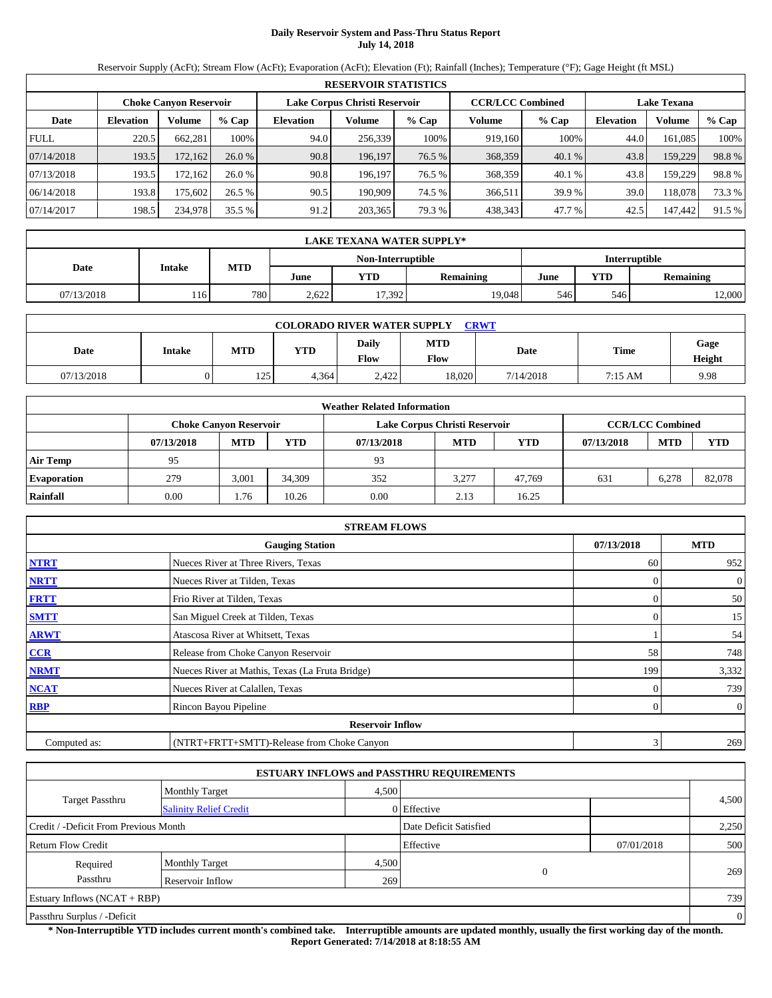# **Daily Reservoir System and Pass-Thru Status Report July 14, 2018**

Reservoir Supply (AcFt); Stream Flow (AcFt); Evaporation (AcFt); Elevation (Ft); Rainfall (Inches); Temperature (°F); Gage Height (ft MSL)

|             | <b>RESERVOIR STATISTICS</b> |                               |         |                               |         |        |                         |        |                    |         |        |  |  |
|-------------|-----------------------------|-------------------------------|---------|-------------------------------|---------|--------|-------------------------|--------|--------------------|---------|--------|--|--|
|             |                             | <b>Choke Canyon Reservoir</b> |         | Lake Corpus Christi Reservoir |         |        | <b>CCR/LCC Combined</b> |        | <b>Lake Texana</b> |         |        |  |  |
| Date        | <b>Elevation</b>            | Volume                        | $%$ Cap | <b>Elevation</b>              | Volume  | % Cap  | Volume                  | % Cap  | <b>Elevation</b>   | Volume  | % Cap  |  |  |
| <b>FULL</b> | 220.5                       | 662.281                       | 100%    | 94.0                          | 256.339 | 100%   | 919.160                 | 100%   | 44.0               | 161.085 | 100%   |  |  |
| 07/14/2018  | 193.5                       | 172,162                       | 26.0%   | 90.8                          | 196,197 | 76.5 % | 368,359                 | 40.1 % | 43.8               | 159,229 | 98.8%  |  |  |
| 07/13/2018  | 193.5                       | 172.1621                      | 26.0%   | 90.8                          | 196.197 | 76.5 % | 368,359                 | 40.1 % | 43.8               | 159.229 | 98.8%  |  |  |
| 06/14/2018  | 193.8                       | 175.602                       | 26.5%   | 90.5                          | 190.909 | 74.5 % | 366,511                 | 39.9%  | 39.0               | 118.078 | 73.3 % |  |  |
| 07/14/2017  | 198.5                       | 234,978                       | 35.5 %  | 91.2                          | 203,365 | 79.3 % | 438,343                 | 47.7 % | 42.5               | 147,442 | 91.5 % |  |  |

|            | LAKE TEXANA WATER SUPPLY* |      |       |        |                  |      |                  |        |  |  |  |
|------------|---------------------------|------|-------|--------|------------------|------|------------------|--------|--|--|--|
|            | Interruptible             |      |       |        |                  |      |                  |        |  |  |  |
| Date       | Intake                    | MTD  | June  | YTD    | <b>Remaining</b> | June | <b>Remaining</b> |        |  |  |  |
| 07/13/2018 | 116                       | 7801 | 2.622 | 17.392 | 19.048           | 546  | 546              | 12,000 |  |  |  |

|            | <b>COLORADO RIVER WATER SUPPLY</b><br><b>CRWT</b> |            |            |                      |                    |           |         |                |  |  |  |  |
|------------|---------------------------------------------------|------------|------------|----------------------|--------------------|-----------|---------|----------------|--|--|--|--|
| Date       | <b>Intake</b>                                     | <b>MTD</b> | <b>YTD</b> | Daily<br><b>Flow</b> | <b>MTD</b><br>Flow | Date      | Time    | Gage<br>Height |  |  |  |  |
| 07/13/2018 |                                                   | 125        | 4.364      | 2,422                | 18.020             | 7/14/2018 | 7:15 AM | 9.98           |  |  |  |  |

|                    |            |                               |            | <b>Weather Related Information</b> |                               |            |            |                         |            |
|--------------------|------------|-------------------------------|------------|------------------------------------|-------------------------------|------------|------------|-------------------------|------------|
|                    |            | <b>Choke Canyon Reservoir</b> |            |                                    | Lake Corpus Christi Reservoir |            |            | <b>CCR/LCC Combined</b> |            |
|                    | 07/13/2018 | <b>MTD</b>                    | <b>YTD</b> | 07/13/2018                         | <b>MTD</b>                    | <b>YTD</b> | 07/13/2018 | <b>MTD</b>              | <b>YTD</b> |
| <b>Air Temp</b>    | 95         |                               |            | 93                                 |                               |            |            |                         |            |
| <b>Evaporation</b> | 279        | 3,001                         | 34.309     | 352                                | 3.277                         | 47.769     | 631        | 6,278                   | 82.078     |
| Rainfall           | 0.00       | 1.76                          | 10.26      | 0.00                               | 2.13                          | 16.25      |            |                         |            |

|              | <b>STREAM FLOWS</b>                             |            |                |
|--------------|-------------------------------------------------|------------|----------------|
|              | <b>Gauging Station</b>                          | 07/13/2018 | <b>MTD</b>     |
| <b>NTRT</b>  | Nueces River at Three Rivers, Texas             | 60         | 952            |
| <b>NRTT</b>  | Nueces River at Tilden, Texas                   | $\Omega$   | $\overline{0}$ |
| <b>FRTT</b>  | Frio River at Tilden, Texas                     |            | 50             |
| <b>SMTT</b>  | San Miguel Creek at Tilden, Texas               | $\Omega$   | 15             |
| <b>ARWT</b>  | Atascosa River at Whitsett, Texas               |            | 54             |
| CCR          | Release from Choke Canyon Reservoir             | 58         | 748            |
| <b>NRMT</b>  | Nueces River at Mathis, Texas (La Fruta Bridge) | 199        | 3,332          |
| <b>NCAT</b>  | Nueces River at Calallen, Texas                 |            | 739            |
| <b>RBP</b>   | Rincon Bayou Pipeline                           | $\Omega$   | $\overline{0}$ |
|              | <b>Reservoir Inflow</b>                         |            |                |
| Computed as: | (NTRT+FRTT+SMTT)-Release from Choke Canyon      | 3          | 269            |

|                                       |                               |       | <b>ESTUARY INFLOWS and PASSTHRU REQUIREMENTS</b> |            |              |
|---------------------------------------|-------------------------------|-------|--------------------------------------------------|------------|--------------|
|                                       | <b>Monthly Target</b>         | 4.500 |                                                  |            |              |
| <b>Target Passthru</b>                | <b>Salinity Relief Credit</b> |       | 0 Effective                                      |            | 4,500        |
| Credit / -Deficit From Previous Month |                               |       | Date Deficit Satisfied                           |            | 2,250        |
| <b>Return Flow Credit</b>             |                               |       | Effective                                        | 07/01/2018 | 500          |
| Required                              | <b>Monthly Target</b>         | 4,500 |                                                  |            |              |
| Passthru                              | Reservoir Inflow              | 269   | 0                                                |            | 269          |
| Estuary Inflows $(NCAT + RBP)$        |                               |       |                                                  |            | 739          |
| Passthru Surplus / -Deficit           |                               |       |                                                  |            | $\mathbf{0}$ |

**\* Non-Interruptible YTD includes current month's combined take. Interruptible amounts are updated monthly, usually the first working day of the month. Report Generated: 7/14/2018 at 8:18:55 AM**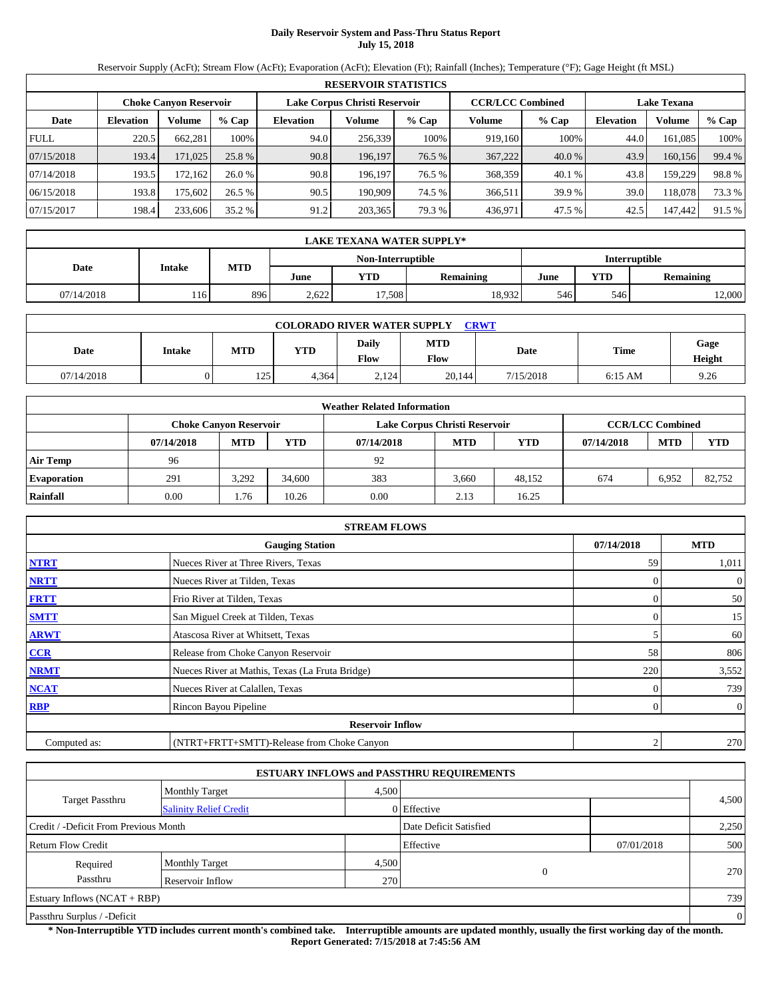# **Daily Reservoir System and Pass-Thru Status Report July 15, 2018**

Reservoir Supply (AcFt); Stream Flow (AcFt); Evaporation (AcFt); Elevation (Ft); Rainfall (Inches); Temperature (°F); Gage Height (ft MSL)

|             | <b>RESERVOIR STATISTICS</b> |                               |         |                               |         |        |                         |         |                    |         |        |  |
|-------------|-----------------------------|-------------------------------|---------|-------------------------------|---------|--------|-------------------------|---------|--------------------|---------|--------|--|
|             |                             | <b>Choke Canyon Reservoir</b> |         | Lake Corpus Christi Reservoir |         |        | <b>CCR/LCC Combined</b> |         | <b>Lake Texana</b> |         |        |  |
| Date        | <b>Elevation</b>            | Volume                        | $%$ Cap | Elevation                     | Volume  | % Cap  | Volume                  | $%$ Cap | <b>Elevation</b>   | Volume  | % Cap  |  |
| <b>FULL</b> | 220.5                       | 662,281                       | 100%    | 94.0                          | 256,339 | 100%   | 919,160                 | 100%    | 44.0               | 161.085 | 100%   |  |
| 07/15/2018  | 193.4                       | 171,025                       | 25.8 %  | 90.8                          | 196,197 | 76.5 % | 367,222                 | 40.0 %  | 43.9               | 160,156 | 99.4 % |  |
| 07/14/2018  | 193.5                       | 172.162                       | 26.0%   | 90.8                          | 196.197 | 76.5 % | 368,359                 | 40.1 %  | 43.8               | 159.229 | 98.8%  |  |
| 06/15/2018  | 193.8                       | 175.602                       | 26.5 %  | 90.5                          | 190.909 | 74.5 % | 366,511                 | 39.9%   | 39.0               | 118,078 | 73.3 % |  |
| 07/15/2017  | 198.4                       | 233,606                       | 35.2 %  | 91.2                          | 203,365 | 79.3 % | 436,971                 | 47.5 %  | 42.5               | 147,442 | 91.5 % |  |

|                                    | LAKE TEXANA WATER SUPPLY* |     |       |        |                  |      |            |                  |  |  |  |
|------------------------------------|---------------------------|-----|-------|--------|------------------|------|------------|------------------|--|--|--|
| Interruptible<br>Non-Interruptible |                           |     |       |        |                  |      |            |                  |  |  |  |
| Date                               | Intake                    | MTD | June  | YTD    | <b>Remaining</b> | June | <b>YTD</b> | <b>Remaining</b> |  |  |  |
| 07/14/2018                         | 116                       | 896 | 2.622 | 17.508 | 18.932           | 546  | 546        | 12,000           |  |  |  |

| <b>COLORADO RIVER WATER SUPPLY</b><br><b>CRWT</b> |        |     |            |               |                    |           |           |                |  |  |  |
|---------------------------------------------------|--------|-----|------------|---------------|--------------------|-----------|-----------|----------------|--|--|--|
| Date                                              | Intake | MTD | <b>YTD</b> | Daily<br>Flow | <b>MTD</b><br>Flow | Date      | Time      | Gage<br>Height |  |  |  |
| 07/14/2018                                        |        | 125 | 4.364      | 2,124         | 20,144             | 7/15/2018 | $6:15$ AM | 9.26           |  |  |  |

|                    | <b>Weather Related Information</b> |                               |            |            |                               |            |            |                         |            |  |  |
|--------------------|------------------------------------|-------------------------------|------------|------------|-------------------------------|------------|------------|-------------------------|------------|--|--|
|                    |                                    | <b>Choke Canvon Reservoir</b> |            |            | Lake Corpus Christi Reservoir |            |            | <b>CCR/LCC Combined</b> |            |  |  |
|                    | 07/14/2018                         | <b>MTD</b>                    | <b>YTD</b> | 07/14/2018 | <b>MTD</b>                    | <b>YTD</b> | 07/14/2018 | <b>MTD</b>              | <b>YTD</b> |  |  |
| <b>Air Temp</b>    | 96                                 |                               |            | 92         |                               |            |            |                         |            |  |  |
| <b>Evaporation</b> | 291                                | 3,292                         | 34,600     | 383        | 3.660                         | 48.152     | 674        | 6,952                   | 82.752     |  |  |
| Rainfall           | 0.00                               | 1.76                          | 10.26      | 0.00       | 2.13                          | 16.25      |            |                         |            |  |  |

|              | <b>STREAM FLOWS</b>                             |                  |                |
|--------------|-------------------------------------------------|------------------|----------------|
|              | <b>Gauging Station</b>                          | 07/14/2018       | <b>MTD</b>     |
| <b>NTRT</b>  | Nueces River at Three Rivers, Texas             | 59               | 1,011          |
| <b>NRTT</b>  | Nueces River at Tilden, Texas                   |                  | $\overline{0}$ |
| <b>FRTT</b>  | Frio River at Tilden, Texas                     |                  | 50             |
| <b>SMTT</b>  | San Miguel Creek at Tilden, Texas               | $\Omega$         | 15             |
| <b>ARWT</b>  | Atascosa River at Whitsett, Texas               | 5                | 60             |
| CCR          | Release from Choke Canyon Reservoir             | 58               | 806            |
| <b>NRMT</b>  | Nueces River at Mathis, Texas (La Fruta Bridge) | 220              | 3,552          |
| <b>NCAT</b>  | Nueces River at Calallen, Texas                 |                  | 739            |
| <b>RBP</b>   | Rincon Bayou Pipeline                           | $\Omega$         | $\overline{0}$ |
|              | <b>Reservoir Inflow</b>                         |                  |                |
| Computed as: | (NTRT+FRTT+SMTT)-Release from Choke Canyon      | $\boldsymbol{2}$ | 270            |

|                                       |                               |       | <b>ESTUARY INFLOWS and PASSTHRU REQUIREMENTS</b> |            |       |  |
|---------------------------------------|-------------------------------|-------|--------------------------------------------------|------------|-------|--|
|                                       | <b>Monthly Target</b>         | 4.500 |                                                  |            |       |  |
| <b>Target Passthru</b>                | <b>Salinity Relief Credit</b> |       | 0 Effective                                      |            | 4,500 |  |
| Credit / -Deficit From Previous Month |                               |       | Date Deficit Satisfied                           |            | 2,250 |  |
| <b>Return Flow Credit</b>             |                               |       | Effective                                        | 07/01/2018 | 500   |  |
| Required                              | <b>Monthly Target</b>         | 4,500 |                                                  |            |       |  |
| Passthru                              | Reservoir Inflow              | 270   | $\mathbf{0}$                                     |            | 270   |  |
| Estuary Inflows $(NCAT + RBP)$        |                               |       |                                                  |            | 739   |  |
| Passthru Surplus / -Deficit           |                               |       |                                                  |            |       |  |

**\* Non-Interruptible YTD includes current month's combined take. Interruptible amounts are updated monthly, usually the first working day of the month. Report Generated: 7/15/2018 at 7:45:56 AM**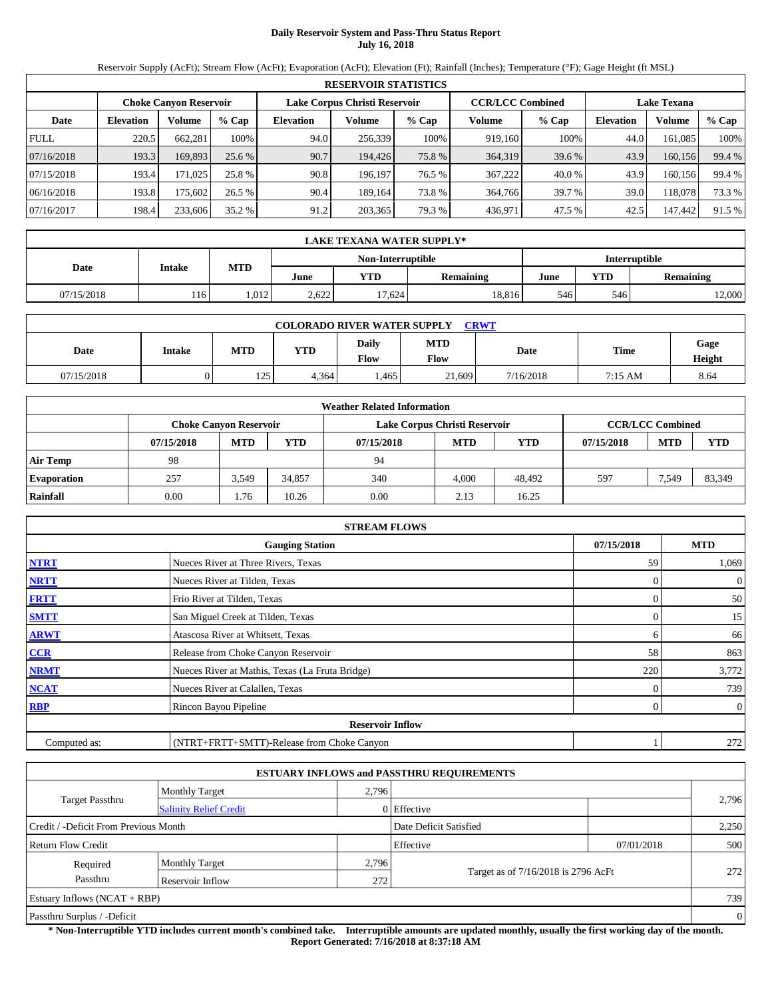# **Daily Reservoir System and Pass-Thru Status Report July 16, 2018**

Reservoir Supply (AcFt); Stream Flow (AcFt); Evaporation (AcFt); Elevation (Ft); Rainfall (Inches); Temperature (°F); Gage Height (ft MSL)

|             | <b>RESERVOIR STATISTICS</b> |                               |         |                               |         |        |                         |         |                    |         |        |  |  |
|-------------|-----------------------------|-------------------------------|---------|-------------------------------|---------|--------|-------------------------|---------|--------------------|---------|--------|--|--|
|             |                             | <b>Choke Canyon Reservoir</b> |         | Lake Corpus Christi Reservoir |         |        | <b>CCR/LCC Combined</b> |         | <b>Lake Texana</b> |         |        |  |  |
| Date        | <b>Elevation</b>            | Volume                        | $%$ Cap | Elevation                     | Volume  | % Cap  | Volume                  | $%$ Cap | <b>Elevation</b>   | Volume  | % Cap  |  |  |
| <b>FULL</b> | 220.5                       | 662,281                       | 100%    | 94.0                          | 256,339 | 100%   | 919,160                 | 100%    | 44.0               | 161.085 | 100%   |  |  |
| 07/16/2018  | 193.3                       | 169,893                       | 25.6 %  | 90.7                          | 194.426 | 75.8 % | 364,319                 | 39.6 %  | 43.9               | 160,156 | 99.4 % |  |  |
| 07/15/2018  | 193.4                       | 171.025                       | 25.8 %  | 90.8                          | 196.197 | 76.5 % | 367,222                 | 40.0 %  | 43.9               | 160.156 | 99.4 % |  |  |
| 06/16/2018  | 193.8                       | 175.602                       | 26.5 %  | 90.4                          | 189.164 | 73.8 % | 364,766                 | 39.7 %  | 39.0               | 118,078 | 73.3 % |  |  |
| 07/16/2017  | 198.4                       | 233,606                       | 35.2 %  | 91.2                          | 203,365 | 79.3 % | 436,971                 | 47.5 %  | 42.5               | 147,442 | 91.5 % |  |  |

|                                    | <b>LAKE TEXANA WATER SUPPLY*</b> |            |       |        |                  |      |            |                  |  |  |
|------------------------------------|----------------------------------|------------|-------|--------|------------------|------|------------|------------------|--|--|
| Interruptible<br>Non-Interruptible |                                  |            |       |        |                  |      |            |                  |  |  |
| Date                               | <b>Intake</b>                    | <b>MTD</b> | June  | YTD    | <b>Remaining</b> | June | <b>YTD</b> | <b>Remaining</b> |  |  |
| 07/15/2018                         | 116                              | 1.012      | 2.622 | 17.624 | 18.816           | 546  | 546        | 12,000           |  |  |

|            | <b>COLORADO RIVER WATER SUPPLY</b><br><b>CRWT</b> |            |            |                      |                    |           |         |                |  |  |  |  |
|------------|---------------------------------------------------|------------|------------|----------------------|--------------------|-----------|---------|----------------|--|--|--|--|
| Date       | <b>Intake</b>                                     | <b>MTD</b> | <b>YTD</b> | Daily<br><b>Flow</b> | <b>MTD</b><br>Flow | Date      | Time    | Gage<br>Height |  |  |  |  |
| 07/15/2018 |                                                   | 125        | 4.364      | .465                 | 21,609             | 7/16/2018 | 7:15 AM | 8.64           |  |  |  |  |

|                    |            |                               |            | <b>Weather Related Information</b> |                               |            |            |                         |            |
|--------------------|------------|-------------------------------|------------|------------------------------------|-------------------------------|------------|------------|-------------------------|------------|
|                    |            | <b>Choke Canyon Reservoir</b> |            |                                    | Lake Corpus Christi Reservoir |            |            | <b>CCR/LCC Combined</b> |            |
|                    | 07/15/2018 | <b>MTD</b>                    | <b>YTD</b> | 07/15/2018                         | <b>MTD</b>                    | <b>YTD</b> | 07/15/2018 | <b>MTD</b>              | <b>YTD</b> |
| <b>Air Temp</b>    | 98         |                               |            | 94                                 |                               |            |            |                         |            |
| <b>Evaporation</b> | 257        | 3.549                         | 34.857     | 340                                | 4.000                         | 48.492     | 597        | 7,549                   | 83,349     |
| Rainfall           | 0.00       | 1.76                          | 10.26      | 0.00                               | 2.13                          | 16.25      |            |                         |            |

|              | <b>STREAM FLOWS</b>                             |            |                |
|--------------|-------------------------------------------------|------------|----------------|
|              | <b>Gauging Station</b>                          | 07/15/2018 | <b>MTD</b>     |
| <b>NTRT</b>  | Nueces River at Three Rivers, Texas             | 59         | 1,069          |
| <b>NRTT</b>  | Nueces River at Tilden, Texas                   |            | $\overline{0}$ |
| <b>FRTT</b>  | Frio River at Tilden, Texas                     |            | 50             |
| <b>SMTT</b>  | San Miguel Creek at Tilden, Texas               | 0          | 15             |
| <b>ARWT</b>  | Atascosa River at Whitsett, Texas               | 6          | 66             |
| CCR          | Release from Choke Canyon Reservoir             | 58         | 863            |
| <b>NRMT</b>  | Nueces River at Mathis, Texas (La Fruta Bridge) | 220        | 3,772          |
| <b>NCAT</b>  | Nueces River at Calallen, Texas                 |            | 739            |
| <b>RBP</b>   | Rincon Bayou Pipeline                           | $\Omega$   | $\overline{0}$ |
|              | <b>Reservoir Inflow</b>                         |            |                |
| Computed as: | (NTRT+FRTT+SMTT)-Release from Choke Canyon      |            | 272            |

|                                                         |                                |       | <b>ESTUARY INFLOWS and PASSTHRU REQUIREMENTS</b> |            |       |  |  |  |
|---------------------------------------------------------|--------------------------------|-------|--------------------------------------------------|------------|-------|--|--|--|
|                                                         | <b>Monthly Target</b>          | 2,796 |                                                  |            |       |  |  |  |
| <b>Target Passthru</b><br><b>Salinity Relief Credit</b> |                                |       | $0$ Effective                                    |            | 2,796 |  |  |  |
| Credit / -Deficit From Previous Month                   |                                |       | Date Deficit Satisfied                           |            | 2,250 |  |  |  |
| Return Flow Credit                                      |                                |       | Effective                                        | 07/01/2018 | 500   |  |  |  |
| Required                                                | <b>Monthly Target</b>          | 2,796 |                                                  |            |       |  |  |  |
| Passthru                                                | Reservoir Inflow               | 272   | Target as of 7/16/2018 is 2796 AcFt              |            | 272   |  |  |  |
|                                                         | Estuary Inflows $(NCAT + RBP)$ |       |                                                  |            |       |  |  |  |
| Passthru Surplus / -Deficit                             |                                |       |                                                  |            |       |  |  |  |

**\* Non-Interruptible YTD includes current month's combined take. Interruptible amounts are updated monthly, usually the first working day of the month. Report Generated: 7/16/2018 at 8:37:18 AM**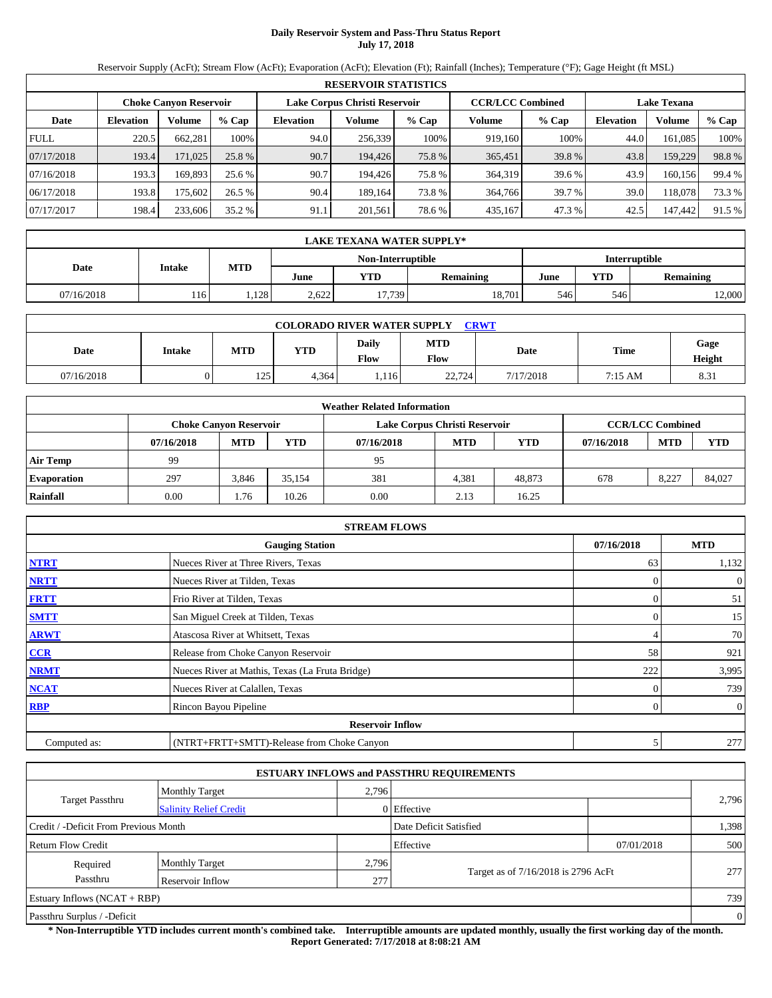# **Daily Reservoir System and Pass-Thru Status Report July 17, 2018**

Reservoir Supply (AcFt); Stream Flow (AcFt); Evaporation (AcFt); Elevation (Ft); Rainfall (Inches); Temperature (°F); Gage Height (ft MSL)

|                                                                                                                 | <b>RESERVOIR STATISTICS</b> |          |         |                  |         |        |         |         |                  |         |        |  |  |
|-----------------------------------------------------------------------------------------------------------------|-----------------------------|----------|---------|------------------|---------|--------|---------|---------|------------------|---------|--------|--|--|
| Lake Corpus Christi Reservoir<br><b>CCR/LCC Combined</b><br><b>Choke Canyon Reservoir</b><br><b>Lake Texana</b> |                             |          |         |                  |         |        |         |         |                  |         |        |  |  |
| Date                                                                                                            | <b>Elevation</b>            | Volume   | $%$ Cap | <b>Elevation</b> | Volume  | % Cap  | Volume  | $%$ Cap | <b>Elevation</b> | Volume  | % Cap  |  |  |
| <b>FULL</b>                                                                                                     | 220.5                       | 662.281  | 100%    | 94.0             | 256,339 | 100%   | 919.160 | 100%    | 44.0             | 161.085 | 100%   |  |  |
| 07/17/2018                                                                                                      | 193.4                       | 171,025  | 25.8 %  | 90.7             | 194.426 | 75.8 % | 365,451 | 39.8%   | 43.8             | 159,229 | 98.8%  |  |  |
| 07/16/2018                                                                                                      | 193.3                       | 169.893  | 25.6 %  | 90.7             | 194,426 | 75.8 % | 364,319 | 39.6 %  | 43.9             | 160,156 | 99.4 % |  |  |
| 06/17/2018                                                                                                      | 193.8                       | 175.6021 | 26.5%   | 90.4             | 189.164 | 73.8 % | 364,766 | 39.7 %  | 39.0             | 118.078 | 73.3 % |  |  |
| 07/17/2017                                                                                                      | 198.4                       | 233,606  | 35.2 %  | 91.1             | 201,561 | 78.6%  | 435,167 | 47.3%   | 42.5             | 147,442 | 91.5 % |  |  |

|            | LAKE TEXANA WATER SUPPLY* |            |       |                   |                  |               |            |                  |  |  |  |
|------------|---------------------------|------------|-------|-------------------|------------------|---------------|------------|------------------|--|--|--|
|            |                           |            |       | Non-Interruptible |                  | Interruptible |            |                  |  |  |  |
| Date       | Intake                    | <b>MTD</b> | June  | <b>YTD</b>        | <b>Remaining</b> | June          | <b>YTD</b> | <b>Remaining</b> |  |  |  |
| 07/16/2018 | 116                       | .128       | 2.622 | 17.739            | 18.701           | 546           | 546        | 2,000            |  |  |  |

| <b>COLORADO RIVER WATER SUPPLY</b><br><b>CRWT</b> |        |     |            |               |                    |           |         |                |  |  |  |
|---------------------------------------------------|--------|-----|------------|---------------|--------------------|-----------|---------|----------------|--|--|--|
| Date                                              | Intake | MTD | <b>YTD</b> | Daily<br>Flow | <b>MTD</b><br>Flow | Date      | Time    | Gage<br>Height |  |  |  |
| 07/16/2018                                        |        | 125 | 4.364      | .116          | 22,724             | 7/17/2018 | 7:15 AM | 8.31           |  |  |  |

|                    | <b>Weather Related Information</b> |                                                                                           |            |            |            |            |            |            |            |  |  |  |
|--------------------|------------------------------------|-------------------------------------------------------------------------------------------|------------|------------|------------|------------|------------|------------|------------|--|--|--|
|                    |                                    | <b>CCR/LCC Combined</b><br>Lake Corpus Christi Reservoir<br><b>Choke Canvon Reservoir</b> |            |            |            |            |            |            |            |  |  |  |
|                    | 07/16/2018                         | <b>MTD</b>                                                                                | <b>YTD</b> | 07/16/2018 | <b>MTD</b> | <b>YTD</b> | 07/16/2018 | <b>MTD</b> | <b>YTD</b> |  |  |  |
| <b>Air Temp</b>    | 99                                 |                                                                                           |            | 95         |            |            |            |            |            |  |  |  |
| <b>Evaporation</b> | 297                                | 3,846                                                                                     | 35.154     | 381        | 4,381      | 48.873     | 678        | 8.227      | 84,027     |  |  |  |
| Rainfall           | 0.00                               | 1.76                                                                                      | 10.26      | 0.00       | 2.13       | 16.25      |            |            |            |  |  |  |

|              | <b>STREAM FLOWS</b>                             |            |          |                |
|--------------|-------------------------------------------------|------------|----------|----------------|
|              | <b>Gauging Station</b>                          | 07/16/2018 |          | <b>MTD</b>     |
| <b>NTRT</b>  | Nueces River at Three Rivers, Texas             |            | 63       | 1,132          |
| <b>NRTT</b>  | Nueces River at Tilden, Texas                   |            | $\Omega$ | $\theta$       |
| <b>FRTT</b>  | Frio River at Tilden, Texas                     |            | 0        | 51             |
| <b>SMTT</b>  | San Miguel Creek at Tilden, Texas               |            | $\Omega$ | 15             |
| <b>ARWT</b>  | Atascosa River at Whitsett, Texas               |            | 4        | 70             |
| CCR          | Release from Choke Canyon Reservoir             |            | 58       | 921            |
| <b>NRMT</b>  | Nueces River at Mathis, Texas (La Fruta Bridge) |            | 222      | 3,995          |
| <b>NCAT</b>  | Nueces River at Calallen, Texas                 |            | $\Omega$ | 739            |
| <b>RBP</b>   | Rincon Bayou Pipeline                           |            | 0        | $\overline{0}$ |
|              | <b>Reservoir Inflow</b>                         |            |          |                |
| Computed as: | (NTRT+FRTT+SMTT)-Release from Choke Canyon      |            | 5        | 277            |

|                                                         |                       |       | <b>ESTUARY INFLOWS and PASSTHRU REQUIREMENTS</b> |            |                |  |
|---------------------------------------------------------|-----------------------|-------|--------------------------------------------------|------------|----------------|--|
|                                                         | <b>Monthly Target</b> | 2,796 |                                                  |            |                |  |
| <b>Target Passthru</b><br><b>Salinity Relief Credit</b> |                       |       | $0$ Effective                                    |            | 2,796          |  |
| Credit / -Deficit From Previous Month                   |                       |       | Date Deficit Satisfied                           |            | 1,398          |  |
| Return Flow Credit                                      |                       |       | Effective                                        | 07/01/2018 | 500            |  |
| Required                                                | <b>Monthly Target</b> | 2,796 |                                                  |            |                |  |
| Passthru                                                | Reservoir Inflow      | 277   | Target as of 7/16/2018 is 2796 AcFt              |            | 277            |  |
| Estuary Inflows $(NCAT + RBP)$                          |                       |       |                                                  |            | 739            |  |
| Passthru Surplus / -Deficit                             |                       |       |                                                  |            | $\overline{0}$ |  |

**\* Non-Interruptible YTD includes current month's combined take. Interruptible amounts are updated monthly, usually the first working day of the month. Report Generated: 7/17/2018 at 8:08:21 AM**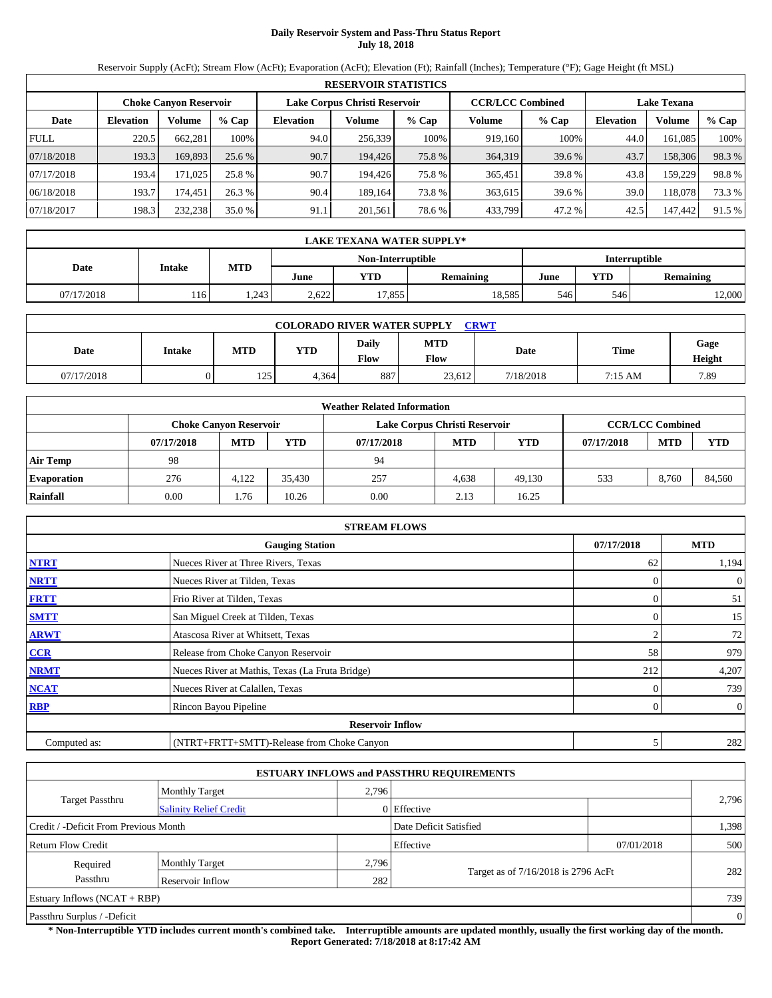# **Daily Reservoir System and Pass-Thru Status Report July 18, 2018**

Reservoir Supply (AcFt); Stream Flow (AcFt); Evaporation (AcFt); Elevation (Ft); Rainfall (Inches); Temperature (°F); Gage Height (ft MSL)

|             | <b>RESERVOIR STATISTICS</b>                                                                                     |         |         |                  |         |        |         |         |                  |               |        |  |  |
|-------------|-----------------------------------------------------------------------------------------------------------------|---------|---------|------------------|---------|--------|---------|---------|------------------|---------------|--------|--|--|
|             | Lake Corpus Christi Reservoir<br><b>CCR/LCC Combined</b><br><b>Choke Canyon Reservoir</b><br><b>Lake Texana</b> |         |         |                  |         |        |         |         |                  |               |        |  |  |
| Date        | <b>Elevation</b>                                                                                                | Volume  | $%$ Cap | <b>Elevation</b> | Volume  | % Cap  | Volume  | $%$ Cap | <b>Elevation</b> | <b>Volume</b> | % Cap  |  |  |
| <b>FULL</b> | 220.5                                                                                                           | 662.281 | 100%    | 94.0             | 256.339 | 100%   | 919.160 | 100%    | 44.0             | 161.085       | 100%   |  |  |
| 07/18/2018  | 193.3                                                                                                           | 169,893 | 25.6 %  | 90.7             | 194.426 | 75.8 % | 364,319 | 39.6 %  | 43.7             | 158,306       | 98.3%  |  |  |
| 07/17/2018  | 193.4                                                                                                           | 171,025 | 25.8 %  | 90.7             | 194.426 | 75.8%  | 365,451 | 39.8%   | 43.8             | 159.229       | 98.8%  |  |  |
| 06/18/2018  | 193.7                                                                                                           | 174.451 | 26.3 %  | 90.4             | 189.164 | 73.8%  | 363,615 | 39.6 %  | 39.0             | 118,078       | 73.3 % |  |  |
| 07/18/2017  | 198.3                                                                                                           | 232,238 | 35.0 %  | 91.1             | 201,561 | 78.6%  | 433,799 | 47.2 %  | 42.5             | 147,442       | 91.5 % |  |  |

|            | LAKE TEXANA WATER SUPPLY* |            |       |                   |               |      |            |                  |  |  |  |
|------------|---------------------------|------------|-------|-------------------|---------------|------|------------|------------------|--|--|--|
|            |                           |            |       | Non-Interruptible | Interruptible |      |            |                  |  |  |  |
| Date       | <b>Intake</b>             | <b>MTD</b> | June  | YTD               | Remaining     | June | <b>YTD</b> | <b>Remaining</b> |  |  |  |
| 07/17/2018 | 116                       | .243       | 2.622 | 17.855            | 18.585        | 546  | 546        | 12,000           |  |  |  |

| <b>CRWT</b><br><b>COLORADO RIVER WATER SUPPLY</b> |               |     |       |                      |                    |           |             |                |  |  |  |
|---------------------------------------------------|---------------|-----|-------|----------------------|--------------------|-----------|-------------|----------------|--|--|--|
| Date                                              | <b>Intake</b> | MTD | YTD   | Daily<br><b>Flow</b> | <b>MTD</b><br>Flow | Date      | <b>Time</b> | Gage<br>Height |  |  |  |
| 07/17/2018                                        |               | 125 | 4,364 | 887                  | 23,612             | 7/18/2018 | 7:15 AM     | 7.89           |  |  |  |

|                    | <b>Weather Related Information</b> |                                                                                           |            |            |            |            |            |            |            |  |  |  |
|--------------------|------------------------------------|-------------------------------------------------------------------------------------------|------------|------------|------------|------------|------------|------------|------------|--|--|--|
|                    |                                    | <b>CCR/LCC Combined</b><br>Lake Corpus Christi Reservoir<br><b>Choke Canyon Reservoir</b> |            |            |            |            |            |            |            |  |  |  |
|                    | 07/17/2018                         | <b>MTD</b>                                                                                | <b>YTD</b> | 07/17/2018 | <b>MTD</b> | <b>YTD</b> | 07/17/2018 | <b>MTD</b> | <b>YTD</b> |  |  |  |
| <b>Air Temp</b>    | 98                                 |                                                                                           |            | 94         |            |            |            |            |            |  |  |  |
| <b>Evaporation</b> | 276                                | 4.122                                                                                     | 35.430     | 257        | 4.638      | 49.130     | 533        | 8.760      | 84.560     |  |  |  |
| Rainfall           | 0.00                               | 1.76                                                                                      | 10.26      | 0.00       | 2.13       | 16.25      |            |            |            |  |  |  |

|              | <b>STREAM FLOWS</b>                             |            |                |
|--------------|-------------------------------------------------|------------|----------------|
|              | <b>Gauging Station</b>                          | 07/17/2018 | <b>MTD</b>     |
| <b>NTRT</b>  | Nueces River at Three Rivers, Texas             | 62         | 1,194          |
| <b>NRTT</b>  | Nueces River at Tilden, Texas                   |            | $\overline{0}$ |
| <b>FRTT</b>  | Frio River at Tilden, Texas                     | $\Omega$   | 51             |
| <b>SMTT</b>  | San Miguel Creek at Tilden, Texas               | $\Omega$   | 15             |
| <b>ARWT</b>  | Atascosa River at Whitsett, Texas               | 2          | 72             |
| CCR          | Release from Choke Canyon Reservoir             | 58         | 979            |
| <b>NRMT</b>  | Nueces River at Mathis, Texas (La Fruta Bridge) | 212        | 4,207          |
| <b>NCAT</b>  | Nueces River at Calallen, Texas                 |            | 739            |
| <b>RBP</b>   | Rincon Bayou Pipeline                           | 0          | $\overline{0}$ |
|              | <b>Reservoir Inflow</b>                         |            |                |
| Computed as: | (NTRT+FRTT+SMTT)-Release from Choke Canyon      | 5          | 282            |

|                                       |                               |       | <b>ESTUARY INFLOWS and PASSTHRU REQUIREMENTS</b> |            |                |  |
|---------------------------------------|-------------------------------|-------|--------------------------------------------------|------------|----------------|--|
|                                       | <b>Monthly Target</b>         | 2,796 |                                                  |            |                |  |
| <b>Target Passthru</b>                | <b>Salinity Relief Credit</b> |       | $0$ Effective                                    |            | 2,796          |  |
| Credit / -Deficit From Previous Month |                               |       | Date Deficit Satisfied                           |            | 1,398          |  |
| Return Flow Credit                    |                               |       | Effective                                        | 07/01/2018 | 500            |  |
| Required                              | <b>Monthly Target</b>         | 2,796 |                                                  |            |                |  |
| Passthru                              | Reservoir Inflow              | 282   | Target as of 7/16/2018 is 2796 AcFt              |            | 282            |  |
| Estuary Inflows $(NCAT + RBP)$        |                               |       |                                                  |            | 739            |  |
| Passthru Surplus / -Deficit           |                               |       |                                                  |            | $\overline{0}$ |  |

**\* Non-Interruptible YTD includes current month's combined take. Interruptible amounts are updated monthly, usually the first working day of the month. Report Generated: 7/18/2018 at 8:17:42 AM**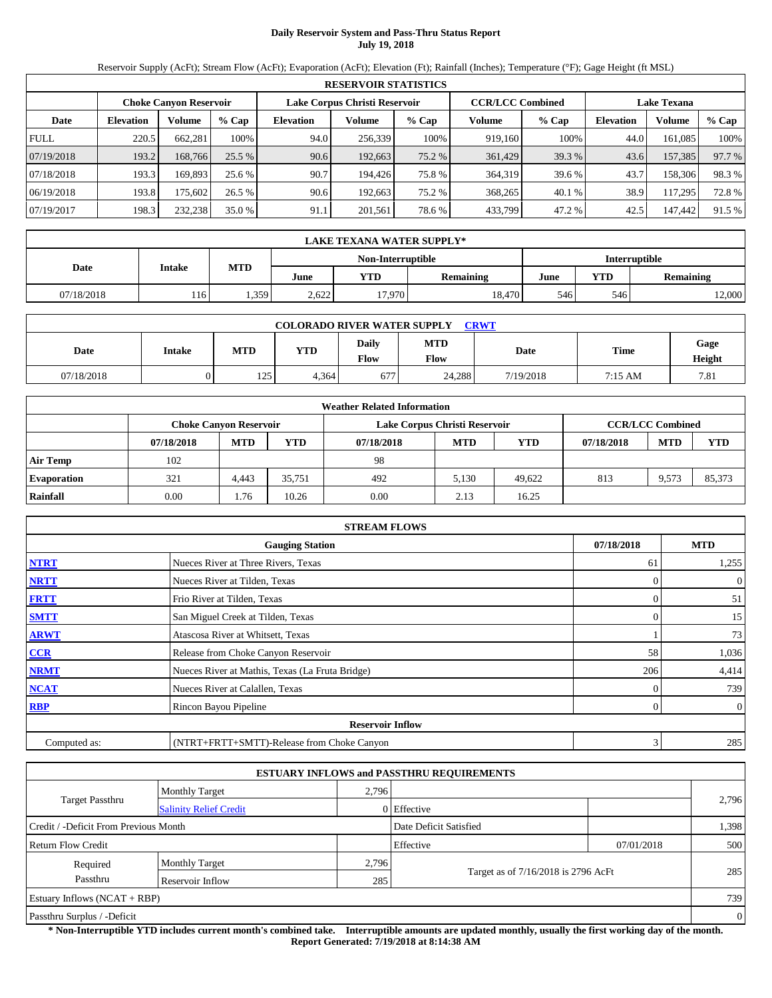# **Daily Reservoir System and Pass-Thru Status Report July 19, 2018**

Reservoir Supply (AcFt); Stream Flow (AcFt); Evaporation (AcFt); Elevation (Ft); Rainfall (Inches); Temperature (°F); Gage Height (ft MSL)

|             | <b>RESERVOIR STATISTICS</b> |                               |          |                               |         |        |                         |        |                    |         |        |  |  |
|-------------|-----------------------------|-------------------------------|----------|-------------------------------|---------|--------|-------------------------|--------|--------------------|---------|--------|--|--|
|             |                             | <b>Choke Canyon Reservoir</b> |          | Lake Corpus Christi Reservoir |         |        | <b>CCR/LCC Combined</b> |        | <b>Lake Texana</b> |         |        |  |  |
| Date        | <b>Elevation</b>            | Volume                        | $%$ Cap  | <b>Elevation</b>              | Volume  | % Cap  | Volume                  | % Cap  | <b>Elevation</b>   | Volume  | % Cap  |  |  |
| <b>FULL</b> | 220.5                       | 662.281                       | 100%     | 94.0                          | 256,339 | 100%   | 919.160                 | 100%   | 44.0               | 161.085 | 100%   |  |  |
| 07/19/2018  | 193.2                       | 168,766                       | $25.5\%$ | 90.6                          | 192,663 | 75.2 % | 361,429                 | 39.3 % | 43.6               | 157,385 | 97.7 % |  |  |
| 07/18/2018  | 193.3                       | 169.893                       | 25.6 %   | 90.7                          | 194,426 | 75.8 % | 364,319                 | 39.6 % | 43.7               | 158,306 | 98.3%  |  |  |
| 06/19/2018  | 193.8                       | 175.6021                      | 26.5%    | 90.6                          | 192.663 | 75.2 % | 368,265                 | 40.1 % | 38.9               | 117.295 | 72.8%  |  |  |
| 07/19/2017  | 198.3                       | 232,238                       | 35.0 %   | 91.1                          | 201,561 | 78.6%  | 433,799                 | 47.2 % | 42.5               | 147,442 | 91.5 % |  |  |

|                                    | LAKE TEXANA WATER SUPPLY* |            |       |        |                  |      |                  |        |  |  |  |
|------------------------------------|---------------------------|------------|-------|--------|------------------|------|------------------|--------|--|--|--|
| Non-Interruptible<br>Interruptible |                           |            |       |        |                  |      |                  |        |  |  |  |
| Date                               | <b>Intake</b>             | <b>MTD</b> | June  | YTD    | <b>Remaining</b> | June | <b>Remaining</b> |        |  |  |  |
| 07/18/2018                         | 116                       | .359       | 2.622 | 17.970 | 18.470           | 546  | 546              | 12,000 |  |  |  |

| <b>COLORADO RIVER WATER SUPPLY</b><br><b>CRWT</b> |               |     |       |                      |                    |           |         |                |  |  |  |
|---------------------------------------------------|---------------|-----|-------|----------------------|--------------------|-----------|---------|----------------|--|--|--|
| Date                                              | <b>Intake</b> | MTD | YTD   | Daily<br><b>Flow</b> | <b>MTD</b><br>Flow | Date      | Time    | Gage<br>Height |  |  |  |
| 07/18/2018                                        |               | 125 | 4.364 | 677                  | 24,288             | 7/19/2018 | 7:15 AM | 7.81           |  |  |  |

|                    |            |                               |            | <b>Weather Related Information</b> |                               |            |            |                         |            |
|--------------------|------------|-------------------------------|------------|------------------------------------|-------------------------------|------------|------------|-------------------------|------------|
|                    |            | <b>Choke Canyon Reservoir</b> |            |                                    | Lake Corpus Christi Reservoir |            |            | <b>CCR/LCC Combined</b> |            |
|                    | 07/18/2018 | <b>MTD</b>                    | <b>YTD</b> | 07/18/2018                         | <b>MTD</b>                    | <b>YTD</b> | 07/18/2018 | <b>MTD</b>              | <b>YTD</b> |
| <b>Air Temp</b>    | 102        |                               |            | 98                                 |                               |            |            |                         |            |
| <b>Evaporation</b> | 321        | 4.443                         | 35.751     | 492                                | 5.130                         | 49.622     | 813        | 9.573                   | 85.373     |
| Rainfall           | 0.00       | 1.76                          | 10.26      | 0.00                               | 2.13                          | 16.25      |            |                         |            |

|              | <b>STREAM FLOWS</b>                             |            |                |
|--------------|-------------------------------------------------|------------|----------------|
|              | <b>Gauging Station</b>                          | 07/18/2018 | <b>MTD</b>     |
| <b>NTRT</b>  | Nueces River at Three Rivers, Texas             | 61         | 1,255          |
| <b>NRTT</b>  | Nueces River at Tilden, Texas                   |            | $\overline{0}$ |
| <b>FRTT</b>  | Frio River at Tilden, Texas                     |            | 51             |
| <b>SMTT</b>  | San Miguel Creek at Tilden, Texas               | $\Omega$   | 15             |
| <b>ARWT</b>  | Atascosa River at Whitsett, Texas               |            | 73             |
| CCR          | Release from Choke Canyon Reservoir             | 58         | 1,036          |
| <b>NRMT</b>  | Nueces River at Mathis, Texas (La Fruta Bridge) | 206        | 4,414          |
| <b>NCAT</b>  | Nueces River at Calallen, Texas                 |            | 739            |
| <b>RBP</b>   | Rincon Bayou Pipeline                           | 0          | $\overline{0}$ |
|              | <b>Reservoir Inflow</b>                         |            |                |
| Computed as: | (NTRT+FRTT+SMTT)-Release from Choke Canyon      | 3          | 285            |

|                                       |                                |       | <b>ESTUARY INFLOWS and PASSTHRU REQUIREMENTS</b> |            |       |  |  |  |
|---------------------------------------|--------------------------------|-------|--------------------------------------------------|------------|-------|--|--|--|
|                                       | <b>Monthly Target</b>          | 2,796 |                                                  |            |       |  |  |  |
| <b>Target Passthru</b>                | <b>Salinity Relief Credit</b>  |       | 0 Effective                                      |            | 2,796 |  |  |  |
| Credit / -Deficit From Previous Month |                                |       | Date Deficit Satisfied                           |            | 1,398 |  |  |  |
| Return Flow Credit                    |                                |       | Effective                                        | 07/01/2018 | 500   |  |  |  |
| Required                              | <b>Monthly Target</b>          | 2,796 |                                                  |            |       |  |  |  |
| Passthru                              | Reservoir Inflow               | 285   | Target as of 7/16/2018 is 2796 AcFt              |            | 285   |  |  |  |
|                                       | Estuary Inflows $(NCAT + RBP)$ |       |                                                  |            |       |  |  |  |
| Passthru Surplus / -Deficit           |                                |       |                                                  |            |       |  |  |  |

**\* Non-Interruptible YTD includes current month's combined take. Interruptible amounts are updated monthly, usually the first working day of the month. Report Generated: 7/19/2018 at 8:14:38 AM**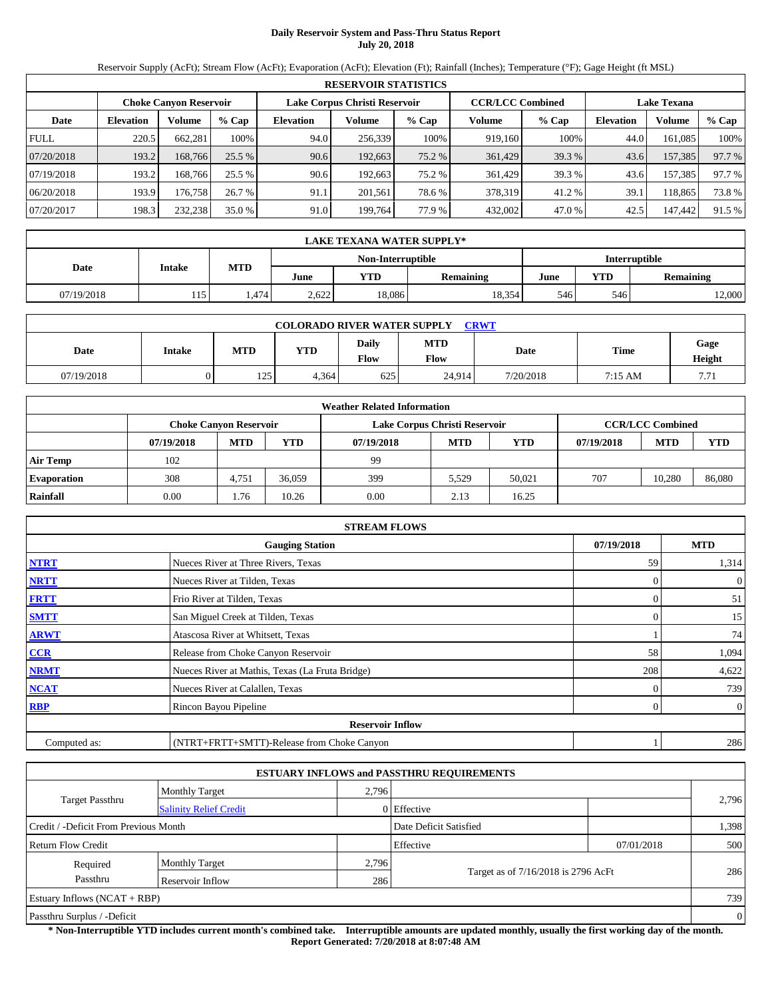# **Daily Reservoir System and Pass-Thru Status Report July 20, 2018**

Reservoir Supply (AcFt); Stream Flow (AcFt); Evaporation (AcFt); Elevation (Ft); Rainfall (Inches); Temperature (°F); Gage Height (ft MSL)

|             | <b>RESERVOIR STATISTICS</b> |                               |          |                               |         |        |                         |        |                    |         |          |  |
|-------------|-----------------------------|-------------------------------|----------|-------------------------------|---------|--------|-------------------------|--------|--------------------|---------|----------|--|
|             |                             | <b>Choke Canyon Reservoir</b> |          | Lake Corpus Christi Reservoir |         |        | <b>CCR/LCC Combined</b> |        | <b>Lake Texana</b> |         |          |  |
| Date        | <b>Elevation</b>            | Volume                        | $%$ Cap  | <b>Elevation</b>              | Volume  | % Cap  | Volume                  | % Cap  | <b>Elevation</b>   | Volume  | $\%$ Cap |  |
| <b>FULL</b> | 220.5                       | 662.281                       | 100%     | 94.0                          | 256.339 | 100%   | 919.160                 | 100%   | 44.0               | 161.085 | 100%     |  |
| 07/20/2018  | 193.2                       | 168,766                       | $25.5\%$ | 90.6                          | 192,663 | 75.2 % | 361,429                 | 39.3 % | 43.6               | 157,385 | 97.7 %   |  |
| 07/19/2018  | 193.2                       | 168.766                       | 25.5 %   | 90.6                          | 192.663 | 75.2 % | 361.429                 | 39.3 % | 43.6               | 157.385 | 97.7 %   |  |
| 06/20/2018  | 193.9                       | 176.758                       | 26.7%    | 91.1                          | 201.561 | 78.6 % | 378.319                 | 41.2%  | 39.1               | 118.865 | 73.8%    |  |
| 07/20/2017  | 198.3                       | 232,238                       | 35.0 %   | 91.0                          | 199.764 | 77.9 % | 432,002                 | 47.0 % | 42.5               | 147,442 | 91.5 %   |  |

|                                    | <b>LAKE TEXANA WATER SUPPLY*</b> |            |       |        |                  |      |                  |        |  |  |
|------------------------------------|----------------------------------|------------|-------|--------|------------------|------|------------------|--------|--|--|
| Interruptible<br>Non-Interruptible |                                  |            |       |        |                  |      |                  |        |  |  |
| Date                               | <b>Intake</b>                    | <b>MTD</b> | June  | YTD    | <b>Remaining</b> | June | <b>Remaining</b> |        |  |  |
| 07/19/2018                         | 115                              | l.474      | 2.622 | 18,086 | 18,354           | 546  | 546              | 12,000 |  |  |

| <b>COLORADO RIVER WATER SUPPLY</b><br><b>CRWT</b> |               |            |       |               |                    |           |             |                |  |  |  |
|---------------------------------------------------|---------------|------------|-------|---------------|--------------------|-----------|-------------|----------------|--|--|--|
| Date                                              | <b>Intake</b> | <b>MTD</b> | YTD   | Daily<br>Flow | <b>MTD</b><br>Flow | Date      | <b>Time</b> | Gage<br>Height |  |  |  |
| 07/19/2018                                        |               | 125        | 4.364 | 625           | 24,914             | 7/20/2018 | 7:15 AM     | 7.71           |  |  |  |

|                    |            |                               |        | <b>Weather Related Information</b> |                               |            |            |                         |        |
|--------------------|------------|-------------------------------|--------|------------------------------------|-------------------------------|------------|------------|-------------------------|--------|
|                    |            | <b>Choke Canyon Reservoir</b> |        |                                    | Lake Corpus Christi Reservoir |            |            | <b>CCR/LCC Combined</b> |        |
|                    | 07/19/2018 | <b>MTD</b>                    | YTD    | 07/19/2018                         | <b>MTD</b>                    | <b>YTD</b> | 07/19/2018 | <b>MTD</b>              | YTD    |
| <b>Air Temp</b>    | 102        |                               |        | 99                                 |                               |            |            |                         |        |
| <b>Evaporation</b> | 308        | 4.751                         | 36.059 | 399                                | 5.529                         | 50.021     | 707        | 10.280                  | 86,080 |
| Rainfall           | 0.00       | . 76                          | 10.26  | 0.00                               | 2.13                          | 16.25      |            |                         |        |

|              | <b>STREAM FLOWS</b>                             |            |                |
|--------------|-------------------------------------------------|------------|----------------|
|              | <b>Gauging Station</b>                          | 07/19/2018 | <b>MTD</b>     |
| <b>NTRT</b>  | Nueces River at Three Rivers, Texas             | 59         | 1,314          |
| <b>NRTT</b>  | Nueces River at Tilden, Texas                   |            | $\overline{0}$ |
| <b>FRTT</b>  | Frio River at Tilden, Texas                     | $\Omega$   | 51             |
| <b>SMTT</b>  | San Miguel Creek at Tilden, Texas               | $\Omega$   | 15             |
| <b>ARWT</b>  | Atascosa River at Whitsett, Texas               |            | 74             |
| CCR          | Release from Choke Canyon Reservoir             | 58         | 1,094          |
| <b>NRMT</b>  | Nueces River at Mathis, Texas (La Fruta Bridge) | 208        | 4,622          |
| <b>NCAT</b>  | Nueces River at Calallen, Texas                 |            | 739            |
| <b>RBP</b>   | Rincon Bayou Pipeline                           | 0          | $\overline{0}$ |
|              | <b>Reservoir Inflow</b>                         |            |                |
| Computed as: | (NTRT+FRTT+SMTT)-Release from Choke Canyon      |            | 286            |

|                                       |                               |       | <b>ESTUARY INFLOWS and PASSTHRU REQUIREMENTS</b> |            |       |  |
|---------------------------------------|-------------------------------|-------|--------------------------------------------------|------------|-------|--|
|                                       | <b>Monthly Target</b>         | 2,796 |                                                  |            |       |  |
| <b>Target Passthru</b>                | <b>Salinity Relief Credit</b> |       | $0$ Effective                                    |            | 2,796 |  |
| Credit / -Deficit From Previous Month |                               |       | Date Deficit Satisfied                           |            | 1,398 |  |
| Return Flow Credit                    |                               |       | Effective                                        | 07/01/2018 | 500   |  |
| Required                              | <b>Monthly Target</b>         | 2,796 |                                                  |            |       |  |
| Passthru                              | Reservoir Inflow              | 286   | Target as of 7/16/2018 is 2796 AcFt              |            | 286   |  |
| Estuary Inflows $(NCAT + RBP)$        |                               |       |                                                  |            | 739   |  |
| Passthru Surplus / -Deficit           |                               |       |                                                  |            |       |  |

**\* Non-Interruptible YTD includes current month's combined take. Interruptible amounts are updated monthly, usually the first working day of the month. Report Generated: 7/20/2018 at 8:07:48 AM**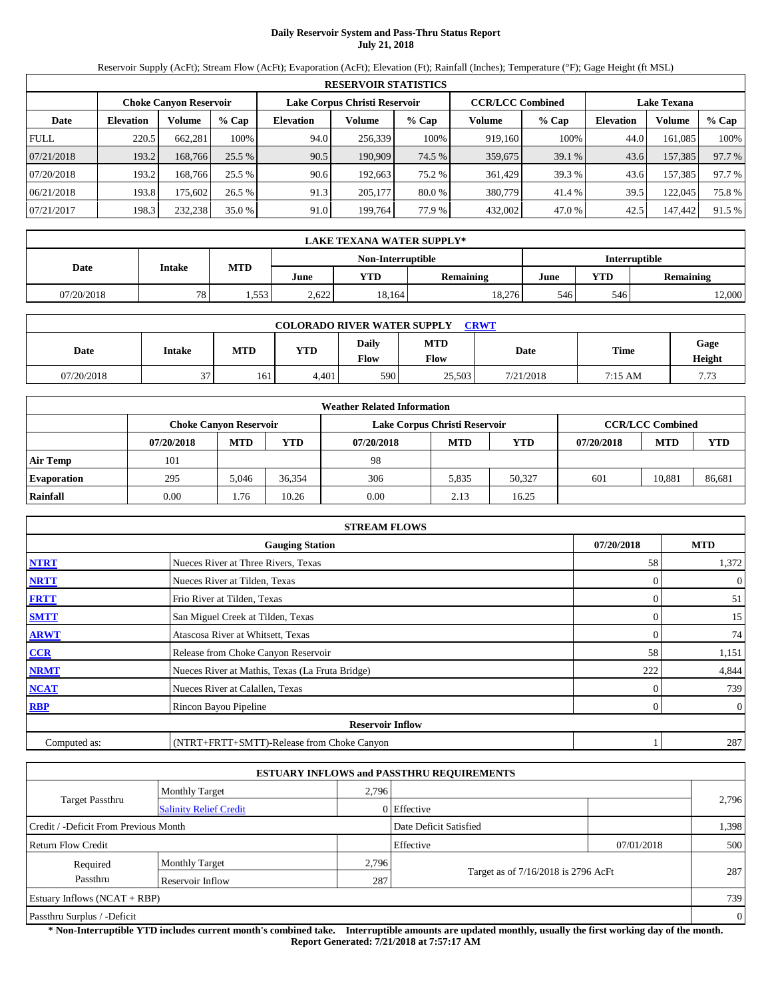# **Daily Reservoir System and Pass-Thru Status Report July 21, 2018**

Reservoir Supply (AcFt); Stream Flow (AcFt); Evaporation (AcFt); Elevation (Ft); Rainfall (Inches); Temperature (°F); Gage Height (ft MSL)

|             | <b>RESERVOIR STATISTICS</b> |                               |         |                               |         |          |                         |        |                    |         |        |  |
|-------------|-----------------------------|-------------------------------|---------|-------------------------------|---------|----------|-------------------------|--------|--------------------|---------|--------|--|
|             |                             | <b>Choke Canyon Reservoir</b> |         | Lake Corpus Christi Reservoir |         |          | <b>CCR/LCC Combined</b> |        | <b>Lake Texana</b> |         |        |  |
| Date        | <b>Elevation</b>            | Volume                        | $%$ Cap | <b>Elevation</b>              | Volume  | % Cap    | Volume                  | % Cap  | Elevation          | Volume  | % Cap  |  |
| <b>FULL</b> | 220.5                       | 662.281                       | 100%    | 94.0                          | 256.339 | 100%     | 919.160                 | 100%   | 44.0               | 161,085 | 100%   |  |
| 07/21/2018  | 193.2                       | 168,766                       | 25.5%   | 90.5                          | 190.909 | 74.5 %   | 359,675                 | 39.1 % | 43.6               | 157,385 | 97.7 % |  |
| 07/20/2018  | 193.2                       | 168.766                       | 25.5 %  | 90.6                          | 192.663 | 75.2 %   | 361,429                 | 39.3 % | 43.6               | 157.385 | 97.7 % |  |
| 06/21/2018  | 193.8                       | 175.602                       | 26.5 %  | 91.3                          | 205.177 | $80.0\%$ | 380,779                 | 41.4 % | 39.5               | 122,045 | 75.8%  |  |
| 07/21/2017  | 198.3                       | 232,238                       | 35.0%   | 91.0                          | 199.764 | 77.9 %   | 432,002                 | 47.0 % | 42.5               | 147,442 | 91.5 % |  |

|                                    | LAKE TEXANA WATER SUPPLY* |            |       |        |           |      |                                |        |  |  |  |
|------------------------------------|---------------------------|------------|-------|--------|-----------|------|--------------------------------|--------|--|--|--|
| Non-Interruptible<br>Interruptible |                           |            |       |        |           |      |                                |        |  |  |  |
| Date                               | Intake                    | <b>MTD</b> | June  | YTD    | Remaining | June | <b>YTD</b><br><b>Remaining</b> |        |  |  |  |
| 07/20/2018                         | 78                        | .553       | 2.622 | 18,164 | 18.276    | 546  | 546                            | 12,000 |  |  |  |

| <b>COLORADO RIVER WATER SUPPLY</b><br><b>CRWT</b> |               |            |       |               |                    |           |         |                |  |  |  |
|---------------------------------------------------|---------------|------------|-------|---------------|--------------------|-----------|---------|----------------|--|--|--|
| Date                                              | <b>Intake</b> | <b>MTD</b> | YTD   | Daily<br>Flow | <b>MTD</b><br>Flow | Date      | Time    | Gage<br>Height |  |  |  |
| 07/20/2018                                        | $\sim$<br>J . | 161        | 4.401 | 590           | 25,503             | 7/21/2018 | 7:15 AM | 7.73           |  |  |  |

|                    |            |                               |        | <b>Weather Related Information</b> |                               |        |            |                         |            |
|--------------------|------------|-------------------------------|--------|------------------------------------|-------------------------------|--------|------------|-------------------------|------------|
|                    |            | <b>Choke Canyon Reservoir</b> |        |                                    | Lake Corpus Christi Reservoir |        |            | <b>CCR/LCC Combined</b> |            |
|                    | 07/20/2018 | <b>MTD</b>                    | YTD    | 07/20/2018                         | <b>MTD</b>                    | YTD    | 07/20/2018 | <b>MTD</b>              | <b>YTD</b> |
| <b>Air Temp</b>    | 101        |                               |        | 98                                 |                               |        |            |                         |            |
| <b>Evaporation</b> | 295        | 5.046                         | 36.354 | 306                                | 5.835                         | 50.327 | 601        | 10,881                  | 86,681     |
| Rainfall           | 0.00       | 1.76                          | 10.26  | 0.00                               | 2.13                          | 16.25  |            |                         |            |

|              | <b>STREAM FLOWS</b>                             |              |                |
|--------------|-------------------------------------------------|--------------|----------------|
|              | <b>Gauging Station</b>                          | 07/20/2018   | <b>MTD</b>     |
| <b>NTRT</b>  | Nueces River at Three Rivers, Texas             | 58           | 1,372          |
| <b>NRTT</b>  | Nueces River at Tilden, Texas                   |              | $\overline{0}$ |
| <b>FRTT</b>  | Frio River at Tilden, Texas                     | $\Omega$     | 51             |
| <b>SMTT</b>  | San Miguel Creek at Tilden, Texas               | $\Omega$     | 15             |
| <b>ARWT</b>  | Atascosa River at Whitsett, Texas               | $\mathbf{0}$ | 74             |
| CCR          | Release from Choke Canyon Reservoir             | 58           | 1,151          |
| <b>NRMT</b>  | Nueces River at Mathis, Texas (La Fruta Bridge) | 222          | 4,844          |
| <b>NCAT</b>  | Nueces River at Calallen, Texas                 |              | 739            |
| <b>RBP</b>   | Rincon Bayou Pipeline                           | 0            | $\overline{0}$ |
|              | <b>Reservoir Inflow</b>                         |              |                |
| Computed as: | (NTRT+FRTT+SMTT)-Release from Choke Canyon      |              | 287            |

|                                       |                               |       | <b>ESTUARY INFLOWS and PASSTHRU REQUIREMENTS</b> |            |                |
|---------------------------------------|-------------------------------|-------|--------------------------------------------------|------------|----------------|
|                                       | <b>Monthly Target</b>         | 2,796 |                                                  |            |                |
| <b>Target Passthru</b>                | <b>Salinity Relief Credit</b> |       | $0$ Effective                                    |            | 2,796          |
| Credit / -Deficit From Previous Month |                               |       | Date Deficit Satisfied                           |            | 1,398          |
| Return Flow Credit                    |                               |       | Effective                                        | 07/01/2018 | 500            |
| Required                              | <b>Monthly Target</b>         | 2,796 |                                                  |            |                |
| Passthru                              | Reservoir Inflow              | 287   | Target as of 7/16/2018 is 2796 AcFt              |            | 287            |
| Estuary Inflows $(NCAT + RBP)$        |                               |       |                                                  |            | 739            |
| Passthru Surplus / -Deficit           |                               |       |                                                  |            | $\overline{0}$ |

**\* Non-Interruptible YTD includes current month's combined take. Interruptible amounts are updated monthly, usually the first working day of the month. Report Generated: 7/21/2018 at 7:57:17 AM**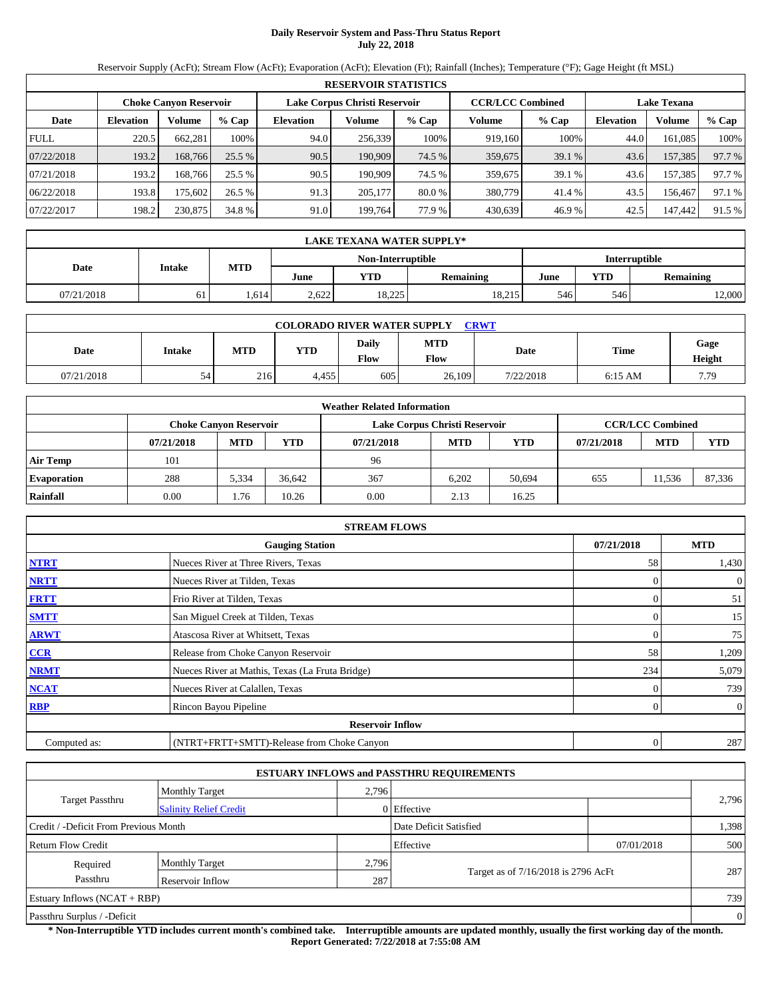# **Daily Reservoir System and Pass-Thru Status Report July 22, 2018**

Reservoir Supply (AcFt); Stream Flow (AcFt); Evaporation (AcFt); Elevation (Ft); Rainfall (Inches); Temperature (°F); Gage Height (ft MSL)

|             | <b>RESERVOIR STATISTICS</b> |                               |          |                               |         |        |                         |         |                    |         |        |  |
|-------------|-----------------------------|-------------------------------|----------|-------------------------------|---------|--------|-------------------------|---------|--------------------|---------|--------|--|
|             |                             | <b>Choke Canyon Reservoir</b> |          | Lake Corpus Christi Reservoir |         |        | <b>CCR/LCC Combined</b> |         | <b>Lake Texana</b> |         |        |  |
| Date        | <b>Elevation</b>            | Volume                        | $%$ Cap  | <b>Elevation</b>              | Volume  | % Cap  | Volume                  | $%$ Cap | <b>Elevation</b>   | Volume  | % Cap  |  |
| <b>FULL</b> | 220.5                       | 662.281                       | 100%     | 94.0                          | 256,339 | 100%   | 919.160                 | 100%    | 44.0               | 161.085 | 100%   |  |
| 07/22/2018  | 193.2                       | 168,766                       | $25.5\%$ | 90.5                          | 190.909 | 74.5 % | 359,675                 | 39.1 %  | 43.6               | 157,385 | 97.7 % |  |
| 07/21/2018  | 193.2                       | 168.766                       | 25.5 %   | 90.5                          | 190.909 | 74.5 % | 359,675                 | 39.1 %  | 43.6               | 157,385 | 97.7 % |  |
| 06/22/2018  | 193.8                       | 175.6021                      | 26.5%    | 91.3                          | 205,177 | 80.0 % | 380,779                 | 41.4 %  | 43.5               | 156.467 | 97.1 % |  |
| 07/22/2017  | 198.2                       | 230,875                       | 34.8 %   | 91.0                          | 199,764 | 77.9 % | 430.639                 | 46.9%   | 42.5               | 147,442 | 91.5 % |  |

|                                           | LAKE TEXANA WATER SUPPLY* |            |       |        |           |      |     |                  |  |  |  |
|-------------------------------------------|---------------------------|------------|-------|--------|-----------|------|-----|------------------|--|--|--|
| <b>Interruptible</b><br>Non-Interruptible |                           |            |       |        |           |      |     |                  |  |  |  |
| Date                                      | Intake                    | <b>MTD</b> | June  | YTD    | Remaining | June | YTD | <b>Remaining</b> |  |  |  |
| 07/21/2018                                | 61                        | .614       | 2.622 | 18,225 | 18.215    | 546  | 546 | 12,000           |  |  |  |

| <b>COLORADO RIVER WATER SUPPLY</b><br><b>CRWT</b> |               |            |       |                      |                    |           |             |                |  |  |  |
|---------------------------------------------------|---------------|------------|-------|----------------------|--------------------|-----------|-------------|----------------|--|--|--|
| Date                                              | <b>Intake</b> | <b>MTD</b> | YTD   | Daily<br><b>Flow</b> | <b>MTD</b><br>Flow | Date      | <b>Time</b> | Gage<br>Height |  |  |  |
| 07/21/2018                                        | 54            | 216        | 4.455 | 605                  | 26,109             | 7/22/2018 | $6:15$ AM   | 7.79           |  |  |  |

|                    |            |                               |        | <b>Weather Related Information</b> |                               |            |            |                         |        |
|--------------------|------------|-------------------------------|--------|------------------------------------|-------------------------------|------------|------------|-------------------------|--------|
|                    |            | <b>Choke Canyon Reservoir</b> |        |                                    | Lake Corpus Christi Reservoir |            |            | <b>CCR/LCC Combined</b> |        |
|                    | 07/21/2018 | <b>MTD</b>                    | YTD    | 07/21/2018                         | <b>MTD</b>                    | <b>YTD</b> | 07/21/2018 | <b>MTD</b>              | YTD    |
| <b>Air Temp</b>    | 101        |                               |        | 96                                 |                               |            |            |                         |        |
| <b>Evaporation</b> | 288        | 5,334                         | 36.642 | 367                                | 6.202                         | 50.694     | 655        | 11.536                  | 87,336 |
| Rainfall           | 0.00       | . 76                          | 10.26  | 0.00                               | 2.13                          | 16.25      |            |                         |        |

|              | <b>STREAM FLOWS</b>                             |                  |                |
|--------------|-------------------------------------------------|------------------|----------------|
|              | <b>Gauging Station</b>                          | 07/21/2018       | <b>MTD</b>     |
| <b>NTRT</b>  | Nueces River at Three Rivers, Texas             | 58               | 1,430          |
| <b>NRTT</b>  | Nueces River at Tilden, Texas                   |                  | $\overline{0}$ |
| <b>FRTT</b>  | Frio River at Tilden, Texas                     |                  | 51             |
| <b>SMTT</b>  | San Miguel Creek at Tilden, Texas               | 0                | 15             |
| <b>ARWT</b>  | Atascosa River at Whitsett, Texas               | $\theta$         | 75             |
| CCR          | Release from Choke Canyon Reservoir             | 58               | 1,209          |
| <b>NRMT</b>  | Nueces River at Mathis, Texas (La Fruta Bridge) | 234              | 5,079          |
| <b>NCAT</b>  | Nueces River at Calallen, Texas                 |                  | 739            |
| <b>RBP</b>   | Rincon Bayou Pipeline                           | $\Omega$         | $\overline{0}$ |
|              | <b>Reservoir Inflow</b>                         |                  |                |
| Computed as: | (NTRT+FRTT+SMTT)-Release from Choke Canyon      | $\boldsymbol{0}$ | 287            |

|                                                         |                                |       | <b>ESTUARY INFLOWS and PASSTHRU REQUIREMENTS</b> |            |       |  |  |  |
|---------------------------------------------------------|--------------------------------|-------|--------------------------------------------------|------------|-------|--|--|--|
|                                                         | <b>Monthly Target</b>          | 2,796 |                                                  |            |       |  |  |  |
| <b>Target Passthru</b><br><b>Salinity Relief Credit</b> |                                |       | $0$ Effective                                    |            | 2,796 |  |  |  |
| Credit / -Deficit From Previous Month                   |                                |       | Date Deficit Satisfied                           |            | 1,398 |  |  |  |
| Return Flow Credit                                      |                                |       | Effective                                        | 07/01/2018 | 500   |  |  |  |
| Required                                                | <b>Monthly Target</b>          | 2,796 |                                                  |            |       |  |  |  |
| Passthru                                                | Reservoir Inflow               | 287   | Target as of 7/16/2018 is 2796 AcFt              |            | 287   |  |  |  |
|                                                         | Estuary Inflows $(NCAT + RBP)$ |       |                                                  |            |       |  |  |  |
| Passthru Surplus / -Deficit                             |                                |       |                                                  |            |       |  |  |  |

**\* Non-Interruptible YTD includes current month's combined take. Interruptible amounts are updated monthly, usually the first working day of the month. Report Generated: 7/22/2018 at 7:55:08 AM**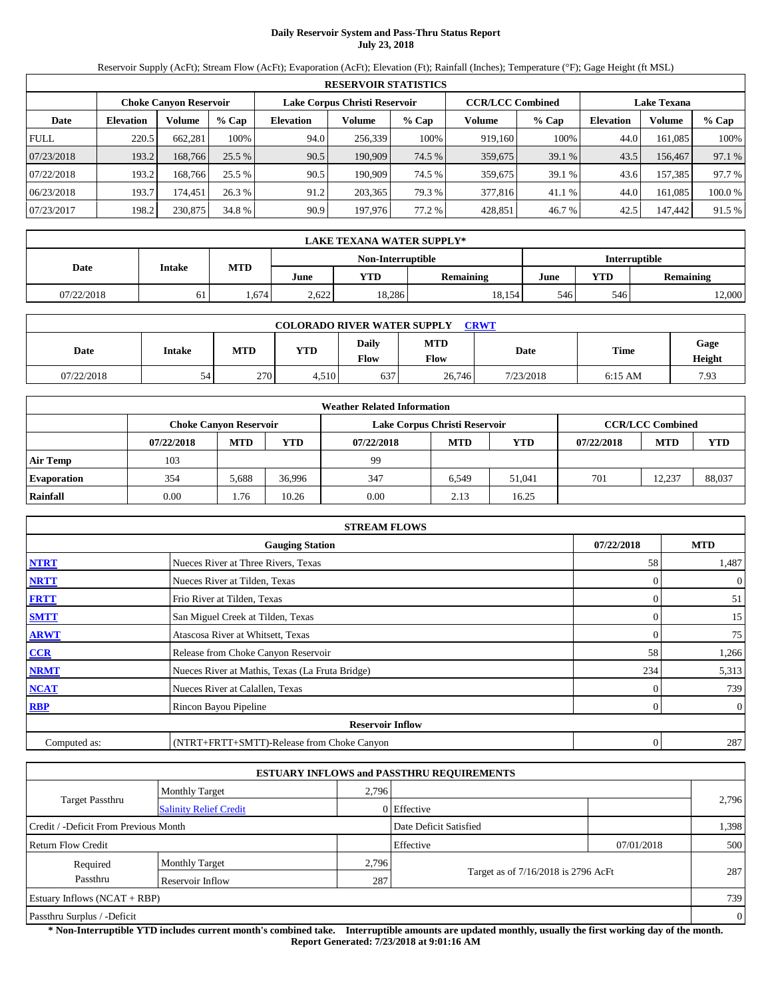## **Daily Reservoir System and Pass-Thru Status Report July 23, 2018**

Reservoir Supply (AcFt); Stream Flow (AcFt); Evaporation (AcFt); Elevation (Ft); Rainfall (Inches); Temperature (°F); Gage Height (ft MSL)

|             | <b>RESERVOIR STATISTICS</b>   |                         |         |                  |                    |         |         |         |                  |               |         |  |
|-------------|-------------------------------|-------------------------|---------|------------------|--------------------|---------|---------|---------|------------------|---------------|---------|--|
|             | <b>Choke Canyon Reservoir</b> | <b>CCR/LCC Combined</b> |         |                  | <b>Lake Texana</b> |         |         |         |                  |               |         |  |
| Date        | <b>Elevation</b>              | Volume                  | $%$ Cap | <b>Elevation</b> | Volume             | $%$ Cap | Volume  | $%$ Cap | <b>Elevation</b> | <b>Volume</b> | $%$ Cap |  |
| <b>FULL</b> | 220.5                         | 662.281                 | 100%    | 94.0             | 256,339            | 100%    | 919.160 | 100%    | 44.0             | 161.085       | 100%    |  |
| 07/23/2018  | 193.2                         | 168.766                 | 25.5 %  | 90.5             | 190,909            | 74.5 %  | 359,675 | 39.1%   | 43.5             | 156,467       | 97.1 %  |  |
| 07/22/2018  | 193.2                         | 168.766                 | 25.5 %  | 90.5             | 190.909            | 74.5 %  | 359,675 | 39.1%   | 43.6             | 157.385       | 97.7 %  |  |
| 06/23/2018  | 193.7                         | 174.451                 | 26.3 %  | 91.2             | 203,365            | 79.3 %  | 377,816 | 41.1 %  | 44.0             | 161.085       | 100.0%  |  |
| 07/23/2017  | 198.2                         | 230,875                 | 34.8 %  | 90.9             | 197,976            | 77.2 %  | 428,851 | 46.7%   | 42.5             | 147,442       | 91.5 %  |  |

|                                    | LAKE TEXANA WATER SUPPLY* |                                     |       |           |        |            |                  |        |  |  |  |
|------------------------------------|---------------------------|-------------------------------------|-------|-----------|--------|------------|------------------|--------|--|--|--|
| Non-Interruptible<br>Interruptible |                           |                                     |       |           |        |            |                  |        |  |  |  |
| Date                               |                           | <b>MTD</b><br>Intake<br>YTD<br>June |       | Remaining | June   | <b>YTD</b> | <b>Remaining</b> |        |  |  |  |
| 07/22/2018                         | 61                        | .674                                | 2.622 | 18.286    | 18.154 | 546        | 546              | 12,000 |  |  |  |

| <b>COLORADO RIVER WATER SUPPLY</b><br><b>CRWT</b> |               |            |       |                      |                    |           |           |                |  |  |  |
|---------------------------------------------------|---------------|------------|-------|----------------------|--------------------|-----------|-----------|----------------|--|--|--|
| Date                                              | <b>Intake</b> | <b>MTD</b> | YTD   | Daily<br><b>Flow</b> | <b>MTD</b><br>Flow | Date      | Time      | Gage<br>Height |  |  |  |
| 07/22/2018                                        | 54            | 270        | 4,510 | 637                  | 26,746             | 7/23/2018 | $6:15$ AM | 7.93           |  |  |  |

|                    |            |                               |        | <b>Weather Related Information</b> |                               |            |            |                         |        |
|--------------------|------------|-------------------------------|--------|------------------------------------|-------------------------------|------------|------------|-------------------------|--------|
|                    |            | <b>Choke Canyon Reservoir</b> |        |                                    | Lake Corpus Christi Reservoir |            |            | <b>CCR/LCC Combined</b> |        |
|                    | 07/22/2018 | <b>MTD</b>                    | YTD    | 07/22/2018                         | <b>MTD</b>                    | <b>YTD</b> | 07/22/2018 | <b>MTD</b>              | YTD    |
| <b>Air Temp</b>    | 103        |                               |        | 99                                 |                               |            |            |                         |        |
| <b>Evaporation</b> | 354        | 5,688                         | 36.996 | 347                                | 6.549                         | 51.041     | 701        | 12.237                  | 88,037 |
| Rainfall           | 0.00       | . 76                          | 10.26  | 0.00                               | 2.13                          | 16.25      |            |                         |        |

|              | <b>STREAM FLOWS</b>                             |                  |                |
|--------------|-------------------------------------------------|------------------|----------------|
|              | <b>Gauging Station</b>                          | 07/22/2018       | <b>MTD</b>     |
| <b>NTRT</b>  | Nueces River at Three Rivers, Texas             | 58               | 1,487          |
| <b>NRTT</b>  | Nueces River at Tilden, Texas                   |                  | $\overline{0}$ |
| <b>FRTT</b>  | Frio River at Tilden, Texas                     | $\Omega$         | 51             |
| <b>SMTT</b>  | San Miguel Creek at Tilden, Texas               | $\Omega$         | 15             |
| <b>ARWT</b>  | Atascosa River at Whitsett, Texas               | $\mathbf{0}$     | 75             |
| CCR          | Release from Choke Canyon Reservoir             | 58               | 1,266          |
| <b>NRMT</b>  | Nueces River at Mathis, Texas (La Fruta Bridge) | 234              | 5,313          |
| <b>NCAT</b>  | Nueces River at Calallen, Texas                 |                  | 739            |
| <b>RBP</b>   | Rincon Bayou Pipeline                           | 0                | $\overline{0}$ |
|              | <b>Reservoir Inflow</b>                         |                  |                |
| Computed as: | (NTRT+FRTT+SMTT)-Release from Choke Canyon      | $\boldsymbol{0}$ | 287            |

|                                       |                               |       | <b>ESTUARY INFLOWS and PASSTHRU REQUIREMENTS</b> |            |                |
|---------------------------------------|-------------------------------|-------|--------------------------------------------------|------------|----------------|
|                                       | <b>Monthly Target</b>         | 2,796 |                                                  |            |                |
| <b>Target Passthru</b>                | <b>Salinity Relief Credit</b> |       | $0$ Effective                                    |            | 2,796          |
| Credit / -Deficit From Previous Month |                               |       | Date Deficit Satisfied                           |            | 1,398          |
| Return Flow Credit                    |                               |       | Effective                                        | 07/01/2018 | 500            |
| Required                              | <b>Monthly Target</b>         | 2,796 |                                                  |            |                |
| Passthru                              | Reservoir Inflow              |       | Target as of 7/16/2018 is 2796 AcFt<br>287       |            | 287            |
| Estuary Inflows $(NCAT + RBP)$        |                               |       |                                                  |            | 739            |
| Passthru Surplus / -Deficit           |                               |       |                                                  |            | $\overline{0}$ |

**\* Non-Interruptible YTD includes current month's combined take. Interruptible amounts are updated monthly, usually the first working day of the month. Report Generated: 7/23/2018 at 9:01:16 AM**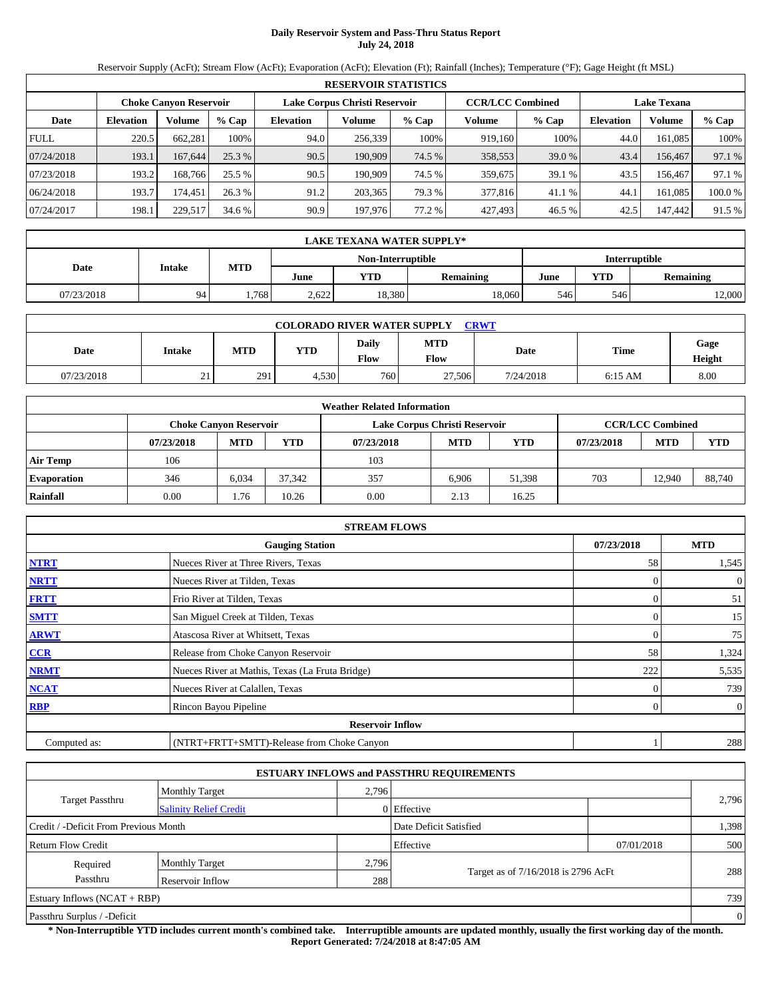# **Daily Reservoir System and Pass-Thru Status Report July 24, 2018**

Reservoir Supply (AcFt); Stream Flow (AcFt); Evaporation (AcFt); Elevation (Ft); Rainfall (Inches); Temperature (°F); Gage Height (ft MSL)

|             | <b>RESERVOIR STATISTICS</b> |                               |         |                               |         |         |                         |          |                    |               |         |  |
|-------------|-----------------------------|-------------------------------|---------|-------------------------------|---------|---------|-------------------------|----------|--------------------|---------------|---------|--|
|             |                             | <b>Choke Canyon Reservoir</b> |         | Lake Corpus Christi Reservoir |         |         | <b>CCR/LCC Combined</b> |          | <b>Lake Texana</b> |               |         |  |
| Date        | <b>Elevation</b>            | Volume                        | $%$ Cap | <b>Elevation</b>              | Volume  | $%$ Cap | Volume                  | $%$ Cap  | <b>Elevation</b>   | <b>Volume</b> | $%$ Cap |  |
| <b>FULL</b> | 220.5                       | 662.281                       | 100%    | 94.0                          | 256,339 | 100%    | 919.160                 | 100%     | 44.0               | 161.085       | 100%    |  |
| 07/24/2018  | 193.1                       | 167,644                       | 25.3 %  | 90.5                          | 190,909 | 74.5 %  | 358,553                 | $39.0\%$ | 43.4               | 156,467       | 97.1 %  |  |
| 07/23/2018  | 193.2                       | 168.766                       | 25.5 %  | 90.5                          | 190.909 | 74.5 %  | 359,675                 | 39.1 %   | 43.5               | 156.467       | 97.1 %  |  |
| 06/24/2018  | 193.7                       | 174.451                       | 26.3 %  | 91.2                          | 203.365 | 79.3 %  | 377,816                 | 41.1 %   | 44.1               | 161.085       | 100.0%  |  |
| 07/24/2017  | 198.1                       | 229,517                       | 34.6 %  | 90.9                          | 197,976 | 77.2 %  | 427,493                 | 46.5 %   | 42.5               | 147,442       | 91.5 %  |  |

|                   |            | <b>LAKE TEXANA WATER SUPPLY*</b> |            |       |            |                  |      |            |                  |  |  |
|-------------------|------------|----------------------------------|------------|-------|------------|------------------|------|------------|------------------|--|--|
| Non-Interruptible |            |                                  |            |       |            |                  |      |            | Interruptible    |  |  |
|                   | Date       | Intake                           | <b>MTD</b> | June  | <b>YTD</b> | <b>Remaining</b> | June | <b>YTD</b> | <b>Remaining</b> |  |  |
|                   | 07/23/2018 | 94                               | .768       | 2.622 | 18.380     | 18.060           | 546  | 546        | 12,000           |  |  |

| <b>COLORADO RIVER WATER SUPPLY</b><br><b>CRWT</b> |               |     |       |                      |                    |           |           |                |  |  |  |
|---------------------------------------------------|---------------|-----|-------|----------------------|--------------------|-----------|-----------|----------------|--|--|--|
| Date                                              | <b>Intake</b> | MTD | YTD   | Daily<br><b>Flow</b> | <b>MTD</b><br>Flow | Date      | Time      | Gage<br>Height |  |  |  |
| 07/23/2018                                        | 21            | 291 | 4,530 | 7601                 | 27,506             | 7/24/2018 | $6:15$ AM | 8.00           |  |  |  |

|                    |            |                               |        | <b>Weather Related Information</b> |                               |        |            |                         |        |
|--------------------|------------|-------------------------------|--------|------------------------------------|-------------------------------|--------|------------|-------------------------|--------|
|                    |            | <b>Choke Canyon Reservoir</b> |        |                                    | Lake Corpus Christi Reservoir |        |            | <b>CCR/LCC Combined</b> |        |
|                    | 07/23/2018 | <b>MTD</b>                    | YTD    | 07/23/2018                         | <b>MTD</b>                    | YTD    | 07/23/2018 | <b>MTD</b>              | YTD    |
| <b>Air Temp</b>    | 106        |                               |        | 103                                |                               |        |            |                         |        |
| <b>Evaporation</b> | 346        | 6,034                         | 37.342 | 357                                | 6.906                         | 51,398 | 703        | 12.940                  | 88,740 |
| Rainfall           | 0.00       | 1.76                          | 10.26  | 0.00                               | 2.13                          | 16.25  |            |                         |        |

|              | <b>STREAM FLOWS</b>                             |            |                |
|--------------|-------------------------------------------------|------------|----------------|
|              | <b>Gauging Station</b>                          | 07/23/2018 | <b>MTD</b>     |
| <b>NTRT</b>  | Nueces River at Three Rivers, Texas             | 58         | 1,545          |
| <b>NRTT</b>  | Nueces River at Tilden, Texas                   |            | $\overline{0}$ |
| <b>FRTT</b>  | Frio River at Tilden, Texas                     |            | 51             |
| <b>SMTT</b>  | San Miguel Creek at Tilden, Texas               | 0          | 15             |
| <b>ARWT</b>  | Atascosa River at Whitsett, Texas               | $\theta$   | 75             |
| CCR          | Release from Choke Canyon Reservoir             | 58         | 1,324          |
| <b>NRMT</b>  | Nueces River at Mathis, Texas (La Fruta Bridge) | 222        | 5,535          |
| <b>NCAT</b>  | Nueces River at Calallen, Texas                 |            | 739            |
| <b>RBP</b>   | Rincon Bayou Pipeline                           | $\Omega$   | $\overline{0}$ |
|              | <b>Reservoir Inflow</b>                         |            |                |
| Computed as: | (NTRT+FRTT+SMTT)-Release from Choke Canyon      |            | 288            |

|                                       |                               |       | <b>ESTUARY INFLOWS and PASSTHRU REQUIREMENTS</b> |            |                |
|---------------------------------------|-------------------------------|-------|--------------------------------------------------|------------|----------------|
|                                       | <b>Monthly Target</b>         | 2,796 |                                                  |            |                |
| <b>Target Passthru</b>                | <b>Salinity Relief Credit</b> |       | $0$ Effective                                    |            | 2,796          |
| Credit / -Deficit From Previous Month |                               |       | Date Deficit Satisfied                           |            | 1,398          |
| Return Flow Credit                    |                               |       | Effective                                        | 07/01/2018 | 500            |
| Required                              | <b>Monthly Target</b>         | 2,796 |                                                  |            |                |
| Passthru                              | Reservoir Inflow              |       | Target as of 7/16/2018 is 2796 AcFt<br>288       |            | 288            |
| Estuary Inflows $(NCAT + RBP)$        |                               |       |                                                  |            | 739            |
| Passthru Surplus / -Deficit           |                               |       |                                                  |            | $\overline{0}$ |

**\* Non-Interruptible YTD includes current month's combined take. Interruptible amounts are updated monthly, usually the first working day of the month. Report Generated: 7/24/2018 at 8:47:05 AM**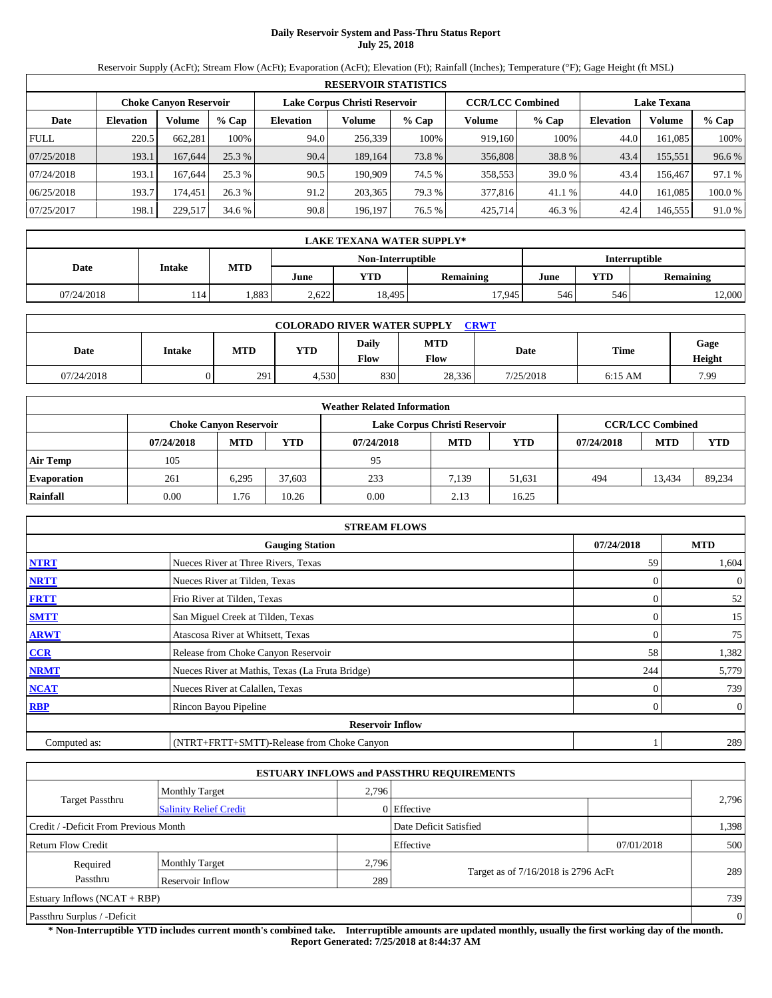## **Daily Reservoir System and Pass-Thru Status Report July 25, 2018**

Reservoir Supply (AcFt); Stream Flow (AcFt); Evaporation (AcFt); Elevation (Ft); Rainfall (Inches); Temperature (°F); Gage Height (ft MSL)

|             | <b>RESERVOIR STATISTICS</b>                                                                                     |         |         |                  |         |        |         |         |                  |               |        |  |
|-------------|-----------------------------------------------------------------------------------------------------------------|---------|---------|------------------|---------|--------|---------|---------|------------------|---------------|--------|--|
|             | <b>CCR/LCC Combined</b><br>Lake Corpus Christi Reservoir<br><b>Choke Canyon Reservoir</b><br><b>Lake Texana</b> |         |         |                  |         |        |         |         |                  |               |        |  |
| Date        | <b>Elevation</b>                                                                                                | Volume  | $%$ Cap | <b>Elevation</b> | Volume  | % Cap  | Volume  | $%$ Cap | <b>Elevation</b> | <b>Volume</b> | % Cap  |  |
| <b>FULL</b> | 220.5                                                                                                           | 662.281 | 100%    | 94.0             | 256.339 | 100%   | 919.160 | 100%    | 44.0             | 161.085       | 100%   |  |
| 07/25/2018  | 193.1                                                                                                           | 167,644 | 25.3 %  | 90.4             | 189.164 | 73.8%  | 356,808 | 38.8 %  | 43.4             | 155,551       | 96.6%  |  |
| 07/24/2018  | 193.1                                                                                                           | 167.644 | 25.3 %  | 90.5             | 190.909 | 74.5 % | 358,553 | 39.0%   | 43.4             | 156.467       | 97.1 % |  |
| 06/25/2018  | 193.7                                                                                                           | 174.451 | 26.3 %  | 91.2             | 203,365 | 79.3 % | 377,816 | 41.1 %  | 44.0             | 161.085       | 100.0% |  |
| 07/25/2017  | 198.1                                                                                                           | 229,517 | 34.6 %  | 90.8             | 196,197 | 76.5 % | 425,714 | 46.3%   | 42.4             | 146,555       | 91.0%  |  |

|            | <b>LAKE TEXANA WATER SUPPLY*</b> |            |       |                   |                  |      |            |                  |  |  |  |
|------------|----------------------------------|------------|-------|-------------------|------------------|------|------------|------------------|--|--|--|
|            | Intake                           | <b>MTD</b> |       | Non-Interruptible | Interruptible    |      |            |                  |  |  |  |
| Date       |                                  |            | June  | <b>YTD</b>        | <b>Remaining</b> | June | <b>YTD</b> | <b>Remaining</b> |  |  |  |
| 07/24/2018 | 114                              | .883       | 2.622 | 18.495            | 17.945           | 546  | 546        | 12,000           |  |  |  |

| <b>COLORADO RIVER WATER SUPPLY</b><br><b>CRWT</b>                                                                                 |  |     |       |     |        |           |           |      |  |  |  |
|-----------------------------------------------------------------------------------------------------------------------------------|--|-----|-------|-----|--------|-----------|-----------|------|--|--|--|
| <b>MTD</b><br>Gage<br>Daily<br><b>Time</b><br>YTD<br><b>MTD</b><br>Date<br>Date<br><b>Intake</b><br><b>Flow</b><br>Flow<br>Height |  |     |       |     |        |           |           |      |  |  |  |
| 07/24/2018                                                                                                                        |  | 291 | 4.530 | 830 | 28,336 | 7/25/2018 | $6:15$ AM | 7.99 |  |  |  |

|                    | <b>Weather Related Information</b> |                               |        |            |                               |            |            |                         |        |  |  |  |  |
|--------------------|------------------------------------|-------------------------------|--------|------------|-------------------------------|------------|------------|-------------------------|--------|--|--|--|--|
|                    |                                    | <b>Choke Canyon Reservoir</b> |        |            | Lake Corpus Christi Reservoir |            |            | <b>CCR/LCC Combined</b> |        |  |  |  |  |
|                    | 07/24/2018                         | <b>MTD</b>                    | YTD    | 07/24/2018 | <b>MTD</b>                    | <b>YTD</b> | 07/24/2018 | <b>MTD</b>              | YTD    |  |  |  |  |
| <b>Air Temp</b>    | 105                                |                               |        | 95         |                               |            |            |                         |        |  |  |  |  |
| <b>Evaporation</b> | 261                                | 6.295                         | 37.603 | 233        | 7.139                         | 51.631     | 494        | 13.434                  | 89,234 |  |  |  |  |
| Rainfall           | 0.00                               | . 76                          | 10.26  | 0.00       | 2.13                          | 16.25      |            |                         |        |  |  |  |  |

|              | <b>STREAM FLOWS</b>                             |            |                |
|--------------|-------------------------------------------------|------------|----------------|
|              | <b>Gauging Station</b>                          | 07/24/2018 | <b>MTD</b>     |
| <b>NTRT</b>  | Nueces River at Three Rivers, Texas             | 59         | 1,604          |
| <b>NRTT</b>  | Nueces River at Tilden, Texas                   |            | $\overline{0}$ |
| <b>FRTT</b>  | Frio River at Tilden, Texas                     |            | 52             |
| <b>SMTT</b>  | San Miguel Creek at Tilden, Texas               | $\Omega$   | 15             |
| <b>ARWT</b>  | Atascosa River at Whitsett, Texas               | $\theta$   | 75             |
| CCR          | Release from Choke Canyon Reservoir             | 58         | 1,382          |
| <b>NRMT</b>  | Nueces River at Mathis, Texas (La Fruta Bridge) | 244        | 5,779          |
| <b>NCAT</b>  | Nueces River at Calallen, Texas                 |            | 739            |
| <b>RBP</b>   | Rincon Bayou Pipeline                           | $\Omega$   | $\overline{0}$ |
|              | <b>Reservoir Inflow</b>                         |            |                |
| Computed as: | (NTRT+FRTT+SMTT)-Release from Choke Canyon      |            | 289            |

|                                       |                                |       | <b>ESTUARY INFLOWS and PASSTHRU REQUIREMENTS</b> |            |                |  |  |  |
|---------------------------------------|--------------------------------|-------|--------------------------------------------------|------------|----------------|--|--|--|
|                                       | <b>Monthly Target</b>          | 2,796 |                                                  |            |                |  |  |  |
| <b>Target Passthru</b>                | <b>Salinity Relief Credit</b>  |       | $0$ Effective                                    |            | 2,796          |  |  |  |
| Credit / -Deficit From Previous Month |                                |       | Date Deficit Satisfied                           |            | 1,398          |  |  |  |
| Return Flow Credit                    |                                |       | Effective                                        | 07/01/2018 | 500            |  |  |  |
| Required                              | <b>Monthly Target</b>          | 2,796 |                                                  |            |                |  |  |  |
| Passthru                              | Reservoir Inflow               | 289   | Target as of 7/16/2018 is 2796 AcFt              |            | 289            |  |  |  |
|                                       | Estuary Inflows $(NCAT + RBP)$ |       |                                                  |            |                |  |  |  |
| Passthru Surplus / -Deficit           |                                |       |                                                  |            | $\overline{0}$ |  |  |  |

**\* Non-Interruptible YTD includes current month's combined take. Interruptible amounts are updated monthly, usually the first working day of the month. Report Generated: 7/25/2018 at 8:44:37 AM**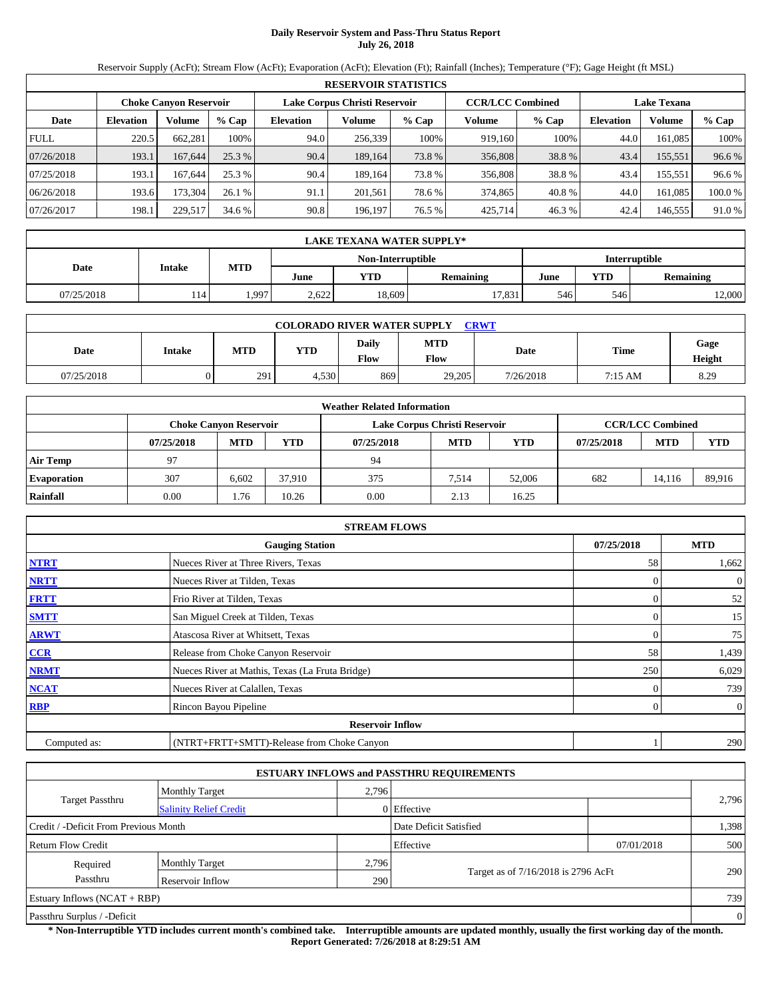# **Daily Reservoir System and Pass-Thru Status Report July 26, 2018**

Reservoir Supply (AcFt); Stream Flow (AcFt); Evaporation (AcFt); Elevation (Ft); Rainfall (Inches); Temperature (°F); Gage Height (ft MSL)

|             | <b>RESERVOIR STATISTICS</b>                                                                                     |         |         |                  |         |        |         |         |                  |               |        |  |
|-------------|-----------------------------------------------------------------------------------------------------------------|---------|---------|------------------|---------|--------|---------|---------|------------------|---------------|--------|--|
|             | <b>CCR/LCC Combined</b><br>Lake Corpus Christi Reservoir<br><b>Choke Canyon Reservoir</b><br><b>Lake Texana</b> |         |         |                  |         |        |         |         |                  |               |        |  |
| Date        | <b>Elevation</b>                                                                                                | Volume  | $%$ Cap | <b>Elevation</b> | Volume  | % Cap  | Volume  | $%$ Cap | <b>Elevation</b> | <b>Volume</b> | % Cap  |  |
| <b>FULL</b> | 220.5                                                                                                           | 662.281 | 100%    | 94.0             | 256.339 | 100%   | 919.160 | 100%    | 44.0             | 161.085       | 100%   |  |
| 07/26/2018  | 193.1                                                                                                           | 167,644 | 25.3 %  | 90.4             | 189.164 | 73.8%  | 356,808 | 38.8 %  | 43.4             | 155,551       | 96.6%  |  |
| 07/25/2018  | 193.1                                                                                                           | 167.644 | 25.3 %  | 90.4             | 189.164 | 73.8%  | 356,808 | 38.8 %  | 43.4             | 155,551       | 96.6 % |  |
| 06/26/2018  | 193.6                                                                                                           | 173.304 | 26.1%   | 91.1             | 201.561 | 78.6 % | 374,865 | 40.8%   | 44.0             | 161.085       | 100.0% |  |
| 07/26/2017  | 198.1                                                                                                           | 229,517 | 34.6 %  | 90.8             | 196,197 | 76.5 % | 425,714 | 46.3%   | 42.4             | 146,555       | 91.0%  |  |

|            | <b>LAKE TEXANA WATER SUPPLY*</b> |            |       |                   |                  |               |            |                  |  |  |  |
|------------|----------------------------------|------------|-------|-------------------|------------------|---------------|------------|------------------|--|--|--|
|            |                                  |            |       | Non-Interruptible |                  | Interruptible |            |                  |  |  |  |
| Date       | Intake                           | <b>MTD</b> | June  | <b>YTD</b>        | <b>Remaining</b> | June          | <b>YTD</b> | <b>Remaining</b> |  |  |  |
| 07/25/2018 | 114                              | .997       | 2.622 | 18.609            | 17.831           | 546           | 546        | 12,000           |  |  |  |

| <b>CRWT</b><br><b>COLORADO RIVER WATER SUPPLY</b> |               |            |       |                      |                    |           |             |                |  |  |  |
|---------------------------------------------------|---------------|------------|-------|----------------------|--------------------|-----------|-------------|----------------|--|--|--|
| Date                                              | <b>Intake</b> | <b>MTD</b> | YTD   | Daily<br><b>Flow</b> | <b>MTD</b><br>Flow | Date      | <b>Time</b> | Gage<br>Height |  |  |  |
| 07/25/2018                                        |               | 291        | 4.530 | 869                  | 29,205             | 7/26/2018 | 7:15 AM     | 8.29           |  |  |  |

|                    | <b>Weather Related Information</b> |                               |        |            |                               |        |            |                         |            |  |  |  |  |
|--------------------|------------------------------------|-------------------------------|--------|------------|-------------------------------|--------|------------|-------------------------|------------|--|--|--|--|
|                    |                                    | <b>Choke Canyon Reservoir</b> |        |            | Lake Corpus Christi Reservoir |        |            | <b>CCR/LCC Combined</b> |            |  |  |  |  |
|                    | 07/25/2018                         | <b>MTD</b>                    | YTD    | 07/25/2018 | <b>MTD</b>                    | YTD    | 07/25/2018 | <b>MTD</b>              | <b>YTD</b> |  |  |  |  |
| <b>Air Temp</b>    | 97                                 |                               |        | 94         |                               |        |            |                         |            |  |  |  |  |
| <b>Evaporation</b> | 307                                | 6.602                         | 37.910 | 375        | 7.514                         | 52,006 | 682        | 14.116                  | 89,916     |  |  |  |  |
| Rainfall           | 0.00                               | l.76                          | 10.26  | 0.00       | 2.13                          | 16.25  |            |                         |            |  |  |  |  |

|              | <b>STREAM FLOWS</b>                             |            |                |
|--------------|-------------------------------------------------|------------|----------------|
|              | <b>Gauging Station</b>                          | 07/25/2018 | <b>MTD</b>     |
| <b>NTRT</b>  | Nueces River at Three Rivers, Texas             | 58         | 1,662          |
| <b>NRTT</b>  | Nueces River at Tilden, Texas                   | $\Omega$   | $\overline{0}$ |
| <b>FRTT</b>  | Frio River at Tilden, Texas                     |            | 52             |
| <b>SMTT</b>  | San Miguel Creek at Tilden, Texas               | 0          | 15             |
| <b>ARWT</b>  | Atascosa River at Whitsett, Texas               | $\Omega$   | 75             |
| CCR          | Release from Choke Canyon Reservoir             | 58         | 1,439          |
| <b>NRMT</b>  | Nueces River at Mathis, Texas (La Fruta Bridge) | 250        | 6,029          |
| <b>NCAT</b>  | Nueces River at Calallen, Texas                 |            | 739            |
| <b>RBP</b>   | Rincon Bayou Pipeline                           | $\Omega$   | $\overline{0}$ |
|              | <b>Reservoir Inflow</b>                         |            |                |
| Computed as: | (NTRT+FRTT+SMTT)-Release from Choke Canyon      |            | 290            |

|                                       |                               |       | <b>ESTUARY INFLOWS and PASSTHRU REQUIREMENTS</b> |            |       |  |  |
|---------------------------------------|-------------------------------|-------|--------------------------------------------------|------------|-------|--|--|
|                                       | <b>Monthly Target</b>         | 2,796 |                                                  |            |       |  |  |
| <b>Target Passthru</b>                | <b>Salinity Relief Credit</b> |       | $0$ Effective                                    |            | 2,796 |  |  |
| Credit / -Deficit From Previous Month |                               |       | Date Deficit Satisfied                           |            | 1,398 |  |  |
| Return Flow Credit                    |                               |       | Effective                                        | 07/01/2018 | 500   |  |  |
| Required                              | <b>Monthly Target</b>         | 2,796 |                                                  |            |       |  |  |
| Passthru                              | Reservoir Inflow              |       | Target as of 7/16/2018 is 2796 AcFt<br>290       |            | 290   |  |  |
| Estuary Inflows $(NCAT + RBP)$        |                               |       |                                                  |            |       |  |  |
| Passthru Surplus / -Deficit           |                               |       |                                                  |            |       |  |  |

**\* Non-Interruptible YTD includes current month's combined take. Interruptible amounts are updated monthly, usually the first working day of the month. Report Generated: 7/26/2018 at 8:29:51 AM**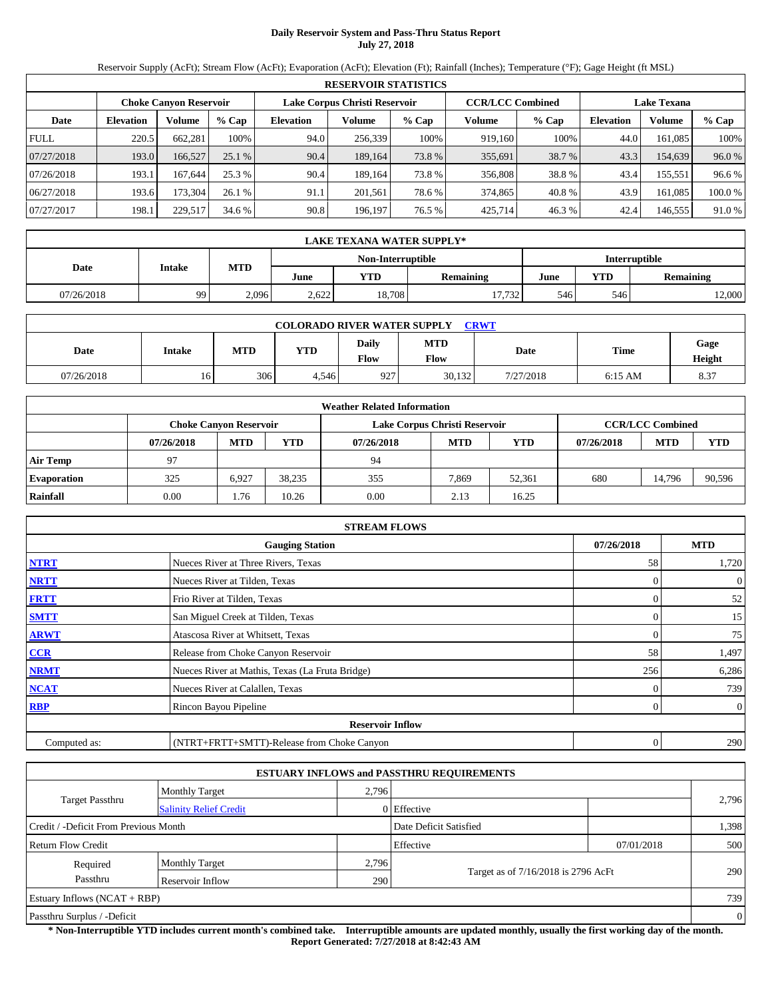## **Daily Reservoir System and Pass-Thru Status Report July 27, 2018**

Reservoir Supply (AcFt); Stream Flow (AcFt); Evaporation (AcFt); Elevation (Ft); Rainfall (Inches); Temperature (°F); Gage Height (ft MSL)

|             | <b>RESERVOIR STATISTICS</b> |                               |         |                               |         |        |                         |         |                    |               |         |  |
|-------------|-----------------------------|-------------------------------|---------|-------------------------------|---------|--------|-------------------------|---------|--------------------|---------------|---------|--|
|             |                             | <b>Choke Canvon Reservoir</b> |         | Lake Corpus Christi Reservoir |         |        | <b>CCR/LCC Combined</b> |         | <b>Lake Texana</b> |               |         |  |
| Date        | <b>Elevation</b>            | Volume                        | $%$ Cap | <b>Elevation</b>              | Volume  | % Cap  | Volume                  | $%$ Cap | <b>Elevation</b>   | <b>Volume</b> | $%$ Cap |  |
| <b>FULL</b> | 220.5                       | 662.281                       | 100%    | 94.0                          | 256,339 | 100%   | 919.160                 | 100%    | 44.0               | 161.085       | 100%    |  |
| 07/27/2018  | 193.0                       | 166.527                       | 25.1%   | 90.4                          | 189.164 | 73.8 % | 355,691                 | 38.7 %  | 43.3               | 154,639       | 96.0%   |  |
| 07/26/2018  | 193.1                       | 167.644                       | 25.3 %  | 90.4                          | 189.164 | 73.8 % | 356,808                 | 38.8%   | 43.4               | 155.551       | 96.6%   |  |
| 06/27/2018  | 193.6                       | 173.304                       | 26.1 %  | 91.1                          | 201.561 | 78.6 % | 374,865                 | 40.8%   | 43.9               | 161.085       | 100.0%  |  |
| 07/27/2017  | 198.1                       | 229,517                       | 34.6 %  | 90.8                          | 196,197 | 76.5 % | 425.714                 | 46.3%   | 42.4               | 146,555       | 91.0%   |  |

|                                           | LAKE TEXANA WATER SUPPLY* |            |       |        |           |      |                         |        |  |  |
|-------------------------------------------|---------------------------|------------|-------|--------|-----------|------|-------------------------|--------|--|--|
| <b>Interruptible</b><br>Non-Interruptible |                           |            |       |        |           |      |                         |        |  |  |
| Date                                      | Intake                    | <b>MTD</b> | June  | YTD    | Remaining | June | YTD<br><b>Remaining</b> |        |  |  |
| 07/26/2018                                | 99                        | 2,096      | 2.622 | 18,708 | 17.732    | 546  | 546                     | 12,000 |  |  |

|            | <b>COLORADO RIVER WATER SUPPLY</b><br><b>CRWT</b> |            |       |                      |                    |           |           |                |  |  |  |  |
|------------|---------------------------------------------------|------------|-------|----------------------|--------------------|-----------|-----------|----------------|--|--|--|--|
| Date       | <b>Intake</b>                                     | <b>MTD</b> | YTD   | Daily<br><b>Flow</b> | <b>MTD</b><br>Flow | Date      | Time      | Gage<br>Height |  |  |  |  |
| 07/26/2018 | 16                                                | 306        | 4.546 | 927                  | 30,132             | 7/27/2018 | $6:15$ AM | 8.37           |  |  |  |  |

|                    |            |                               |        | <b>Weather Related Information</b> |                               |        |            |                         |            |
|--------------------|------------|-------------------------------|--------|------------------------------------|-------------------------------|--------|------------|-------------------------|------------|
|                    |            | <b>Choke Canyon Reservoir</b> |        |                                    | Lake Corpus Christi Reservoir |        |            | <b>CCR/LCC Combined</b> |            |
|                    | 07/26/2018 | <b>MTD</b>                    | YTD    | 07/26/2018                         | <b>MTD</b>                    | YTD    | 07/26/2018 | <b>MTD</b>              | <b>YTD</b> |
| <b>Air Temp</b>    | 97         |                               |        | 94                                 |                               |        |            |                         |            |
| <b>Evaporation</b> | 325        | 6.927                         | 38.235 | 355                                | 7.869                         | 52.361 | 680        | 14.796                  | 90,596     |
| Rainfall           | 0.00       | l.76                          | 10.26  | 0.00                               | 2.13                          | 16.25  |            |                         |            |

|              | <b>STREAM FLOWS</b>                             |            |                  |
|--------------|-------------------------------------------------|------------|------------------|
|              | <b>Gauging Station</b>                          | 07/26/2018 | <b>MTD</b>       |
| <b>NTRT</b>  | Nueces River at Three Rivers, Texas             | 58         | 1,720            |
| <b>NRTT</b>  | Nueces River at Tilden, Texas                   |            | $\boldsymbol{0}$ |
| <b>FRTT</b>  | Frio River at Tilden, Texas                     |            | 52               |
| <b>SMTT</b>  | San Miguel Creek at Tilden, Texas               |            | 15               |
| <b>ARWT</b>  | Atascosa River at Whitsett, Texas               | 0          | 75               |
| CCR          | Release from Choke Canyon Reservoir             | 58         | 1,497            |
| <b>NRMT</b>  | Nueces River at Mathis, Texas (La Fruta Bridge) | 256        | 6,286            |
| <b>NCAT</b>  | Nueces River at Calallen, Texas                 |            | 739              |
| <b>RBP</b>   | Rincon Bayou Pipeline                           |            | $\overline{0}$   |
|              | <b>Reservoir Inflow</b>                         |            |                  |
| Computed as: | (NTRT+FRTT+SMTT)-Release from Choke Canyon      | 0          | 290              |

|                                                         |                       |       | <b>ESTUARY INFLOWS and PASSTHRU REQUIREMENTS</b> |            |       |  |  |
|---------------------------------------------------------|-----------------------|-------|--------------------------------------------------|------------|-------|--|--|
|                                                         | <b>Monthly Target</b> | 2,796 |                                                  |            |       |  |  |
| <b>Target Passthru</b><br><b>Salinity Relief Credit</b> |                       |       | 0 Effective                                      |            | 2,796 |  |  |
| Credit / -Deficit From Previous Month                   |                       |       | Date Deficit Satisfied                           |            | 1,398 |  |  |
| <b>Return Flow Credit</b>                               |                       |       | Effective                                        | 07/01/2018 | 500   |  |  |
| Required                                                | <b>Monthly Target</b> | 2,796 |                                                  |            |       |  |  |
| Passthru                                                | Reservoir Inflow      | 290   | Target as of 7/16/2018 is 2796 AcFt              |            | 290   |  |  |
| Estuary Inflows $(NCAT + RBP)$                          |                       |       |                                                  | 739        |       |  |  |
| Passthru Surplus / -Deficit                             |                       |       |                                                  |            |       |  |  |

**\* Non-Interruptible YTD includes current month's combined take. Interruptible amounts are updated monthly, usually the first working day of the month. Report Generated: 7/27/2018 at 8:42:43 AM**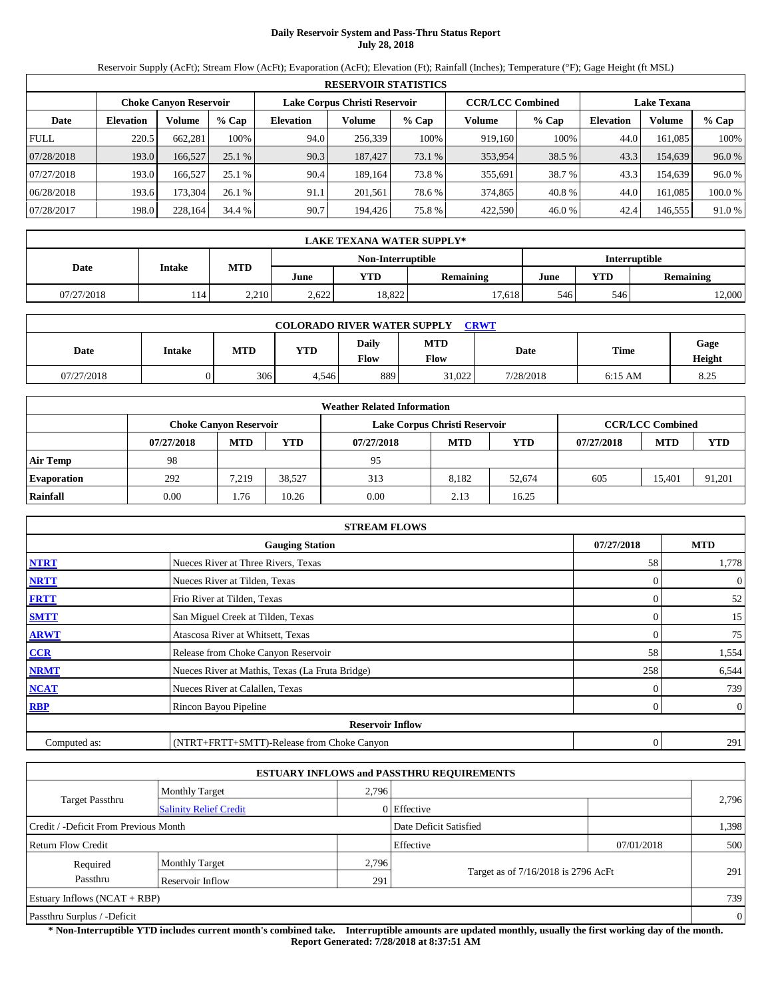## **Daily Reservoir System and Pass-Thru Status Report July 28, 2018**

Reservoir Supply (AcFt); Stream Flow (AcFt); Evaporation (AcFt); Elevation (Ft); Rainfall (Inches); Temperature (°F); Gage Height (ft MSL)

|             | <b>RESERVOIR STATISTICS</b> |                               |         |                               |         |        |                         |         |                    |               |        |  |
|-------------|-----------------------------|-------------------------------|---------|-------------------------------|---------|--------|-------------------------|---------|--------------------|---------------|--------|--|
|             |                             | <b>Choke Canyon Reservoir</b> |         | Lake Corpus Christi Reservoir |         |        | <b>CCR/LCC Combined</b> |         | <b>Lake Texana</b> |               |        |  |
| Date        | <b>Elevation</b>            | Volume                        | $%$ Cap | <b>Elevation</b>              | Volume  | % Cap  | Volume                  | $%$ Cap | <b>Elevation</b>   | <b>Volume</b> | % Cap  |  |
| <b>FULL</b> | 220.5                       | 662.281                       | 100%    | 94.0                          | 256.339 | 100%   | 919.160                 | 100%    | 44.0               | 161.085       | 100%   |  |
| 07/28/2018  | 193.0                       | 166,527                       | 25.1%   | 90.3                          | 187,427 | 73.1 % | 353,954                 | 38.5 %  | 43.3               | 154,639       | 96.0%  |  |
| 07/27/2018  | 193.0                       | 166.527                       | 25.1%   | 90.4                          | 189.164 | 73.8%  | 355,691                 | 38.7 %  | 43.3               | 154.639       | 96.0%  |  |
| 06/28/2018  | 193.6                       | 173.304                       | 26.1%   | 91.1                          | 201.561 | 78.6 % | 374,865                 | 40.8%   | 44.0               | 161.085       | 100.0% |  |
| 07/28/2017  | 198.0                       | 228,164                       | 34.4 %  | 90.7                          | 194,426 | 75.8%  | 422,590                 | 46.0 %  | 42.4               | 146,555       | 91.0%  |  |

|                                    | <b>LAKE TEXANA WATER SUPPLY*</b> |            |       |        |                  |      |                         |        |  |  |  |
|------------------------------------|----------------------------------|------------|-------|--------|------------------|------|-------------------------|--------|--|--|--|
| Interruptible<br>Non-Interruptible |                                  |            |       |        |                  |      |                         |        |  |  |  |
| Date                               | <b>Intake</b>                    | <b>MTD</b> | June  | YTD    | <b>Remaining</b> | June | YTD<br><b>Remaining</b> |        |  |  |  |
| 07/27/2018                         | 114                              | 2.210      | 2.622 | 18.822 | '7.618           | 546  | 546                     | 12.000 |  |  |  |

| <b>COLORADO RIVER WATER SUPPLY</b><br><b>CRWT</b> |               |            |       |                      |                    |           |           |                |  |  |  |
|---------------------------------------------------|---------------|------------|-------|----------------------|--------------------|-----------|-----------|----------------|--|--|--|
| Date                                              | <b>Intake</b> | <b>MTD</b> | YTD   | Daily<br><b>Flow</b> | <b>MTD</b><br>Flow | Date      | Time      | Gage<br>Height |  |  |  |
| 07/27/2018                                        |               | 306        | 4.546 | 889                  | 31,022             | 7/28/2018 | $6:15$ AM | 8.25           |  |  |  |

|                    |            |                               |        | <b>Weather Related Information</b> |                               |            |            |                         |        |
|--------------------|------------|-------------------------------|--------|------------------------------------|-------------------------------|------------|------------|-------------------------|--------|
|                    |            | <b>Choke Canyon Reservoir</b> |        |                                    | Lake Corpus Christi Reservoir |            |            | <b>CCR/LCC Combined</b> |        |
|                    | 07/27/2018 | <b>MTD</b>                    | YTD    | 07/27/2018                         | <b>MTD</b>                    | <b>YTD</b> | 07/27/2018 | <b>MTD</b>              | YTD    |
| <b>Air Temp</b>    | 98         |                               |        | 95                                 |                               |            |            |                         |        |
| <b>Evaporation</b> | 292        | 7.219                         | 38.527 | 313                                | 8.182                         | 52.674     | 605        | 15.401                  | 91,201 |
| Rainfall           | 0.00       | . 76                          | 10.26  | 0.00                               | 2.13                          | 16.25      |            |                         |        |

|              | <b>STREAM FLOWS</b>                             |                  |                |
|--------------|-------------------------------------------------|------------------|----------------|
|              | <b>Gauging Station</b>                          | 07/27/2018       | <b>MTD</b>     |
| <b>NTRT</b>  | Nueces River at Three Rivers, Texas             | 58               | 1,778          |
| <b>NRTT</b>  | Nueces River at Tilden, Texas                   |                  | $\overline{0}$ |
| <b>FRTT</b>  | Frio River at Tilden, Texas                     | $\Omega$         | 52             |
| <b>SMTT</b>  | San Miguel Creek at Tilden, Texas               | $\Omega$         | 15             |
| <b>ARWT</b>  | Atascosa River at Whitsett, Texas               | $\mathbf{0}$     | 75             |
| CCR          | Release from Choke Canyon Reservoir             | 58               | 1,554          |
| <b>NRMT</b>  | Nueces River at Mathis, Texas (La Fruta Bridge) | 258              | 6,544          |
| <b>NCAT</b>  | Nueces River at Calallen, Texas                 |                  | 739            |
| <b>RBP</b>   | Rincon Bayou Pipeline                           | 0                | $\overline{0}$ |
|              | <b>Reservoir Inflow</b>                         |                  |                |
| Computed as: | (NTRT+FRTT+SMTT)-Release from Choke Canyon      | $\boldsymbol{0}$ | 291            |

|                                       |                               |       | <b>ESTUARY INFLOWS and PASSTHRU REQUIREMENTS</b> |            |                |
|---------------------------------------|-------------------------------|-------|--------------------------------------------------|------------|----------------|
|                                       | <b>Monthly Target</b>         | 2,796 |                                                  |            |                |
| <b>Target Passthru</b>                | <b>Salinity Relief Credit</b> |       | $0$ Effective                                    |            | 2,796          |
| Credit / -Deficit From Previous Month |                               |       | Date Deficit Satisfied                           |            | 1,398          |
| Return Flow Credit                    |                               |       | Effective                                        | 07/01/2018 | 500            |
| Required                              | <b>Monthly Target</b>         | 2,796 |                                                  |            |                |
| Passthru                              | Reservoir Inflow              | 291   | Target as of 7/16/2018 is 2796 AcFt              |            | 291            |
| Estuary Inflows $(NCAT + RBP)$        |                               |       |                                                  |            | 739            |
| Passthru Surplus / -Deficit           |                               |       |                                                  |            | $\overline{0}$ |

**\* Non-Interruptible YTD includes current month's combined take. Interruptible amounts are updated monthly, usually the first working day of the month. Report Generated: 7/28/2018 at 8:37:51 AM**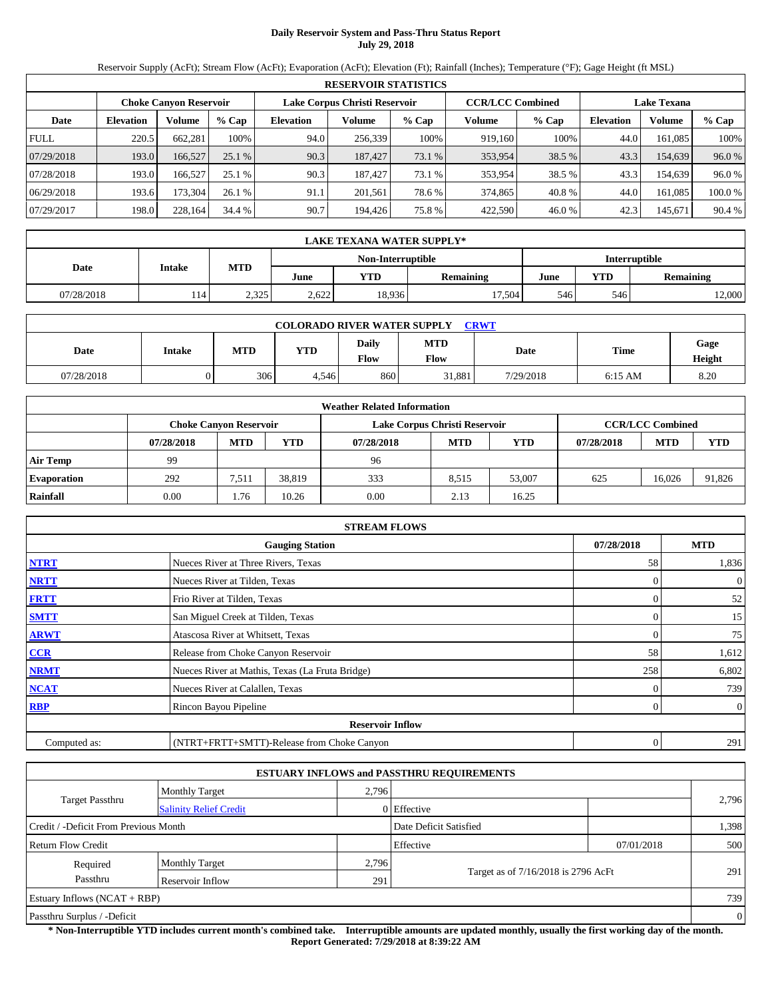## **Daily Reservoir System and Pass-Thru Status Report July 29, 2018**

Reservoir Supply (AcFt); Stream Flow (AcFt); Evaporation (AcFt); Elevation (Ft); Rainfall (Inches); Temperature (°F); Gage Height (ft MSL)

|             | <b>RESERVOIR STATISTICS</b> |                               |         |                               |         |         |                         |         |                    |               |         |  |
|-------------|-----------------------------|-------------------------------|---------|-------------------------------|---------|---------|-------------------------|---------|--------------------|---------------|---------|--|
|             |                             | <b>Choke Canyon Reservoir</b> |         | Lake Corpus Christi Reservoir |         |         | <b>CCR/LCC Combined</b> |         | <b>Lake Texana</b> |               |         |  |
| Date        | <b>Elevation</b>            | Volume                        | $%$ Cap | <b>Elevation</b>              | Volume  | $%$ Cap | Volume                  | $%$ Cap | <b>Elevation</b>   | <b>Volume</b> | $%$ Cap |  |
| <b>FULL</b> | 220.5                       | 662.281                       | 100%    | 94.0                          | 256,339 | 100%    | 919.160                 | 100%    | 44.0               | 161.085       | 100%    |  |
| 07/29/2018  | 193.0                       | 166,527                       | 25.1%   | 90.3                          | 187.427 | 73.1 %  | 353,954                 | 38.5 %  | 43.3               | 154,639       | 96.0%   |  |
| 07/28/2018  | 193.0                       | 166.527                       | 25.1%   | 90.3                          | 187.427 | 73.1 %  | 353,954                 | 38.5 %  | 43.3               | 154.639       | 96.0%   |  |
| 06/29/2018  | 193.6                       | 173.304                       | 26.1%   | 91.1                          | 201.561 | 78.6 %  | 374,865                 | 40.8%   | 44.0               | 161.085       | 100.0%  |  |
| 07/29/2017  | 198.0                       | 228,164                       | 34.4 %  | 90.7                          | 194,426 | 75.8%   | 422,590                 | 46.0%   | 42.3               | 145,671       | 90.4 %  |  |

|                                    | <b>LAKE TEXANA WATER SUPPLY*</b> |            |       |        |                  |             |     |                  |  |  |  |
|------------------------------------|----------------------------------|------------|-------|--------|------------------|-------------|-----|------------------|--|--|--|
| Interruptible<br>Non-Interruptible |                                  |            |       |        |                  |             |     |                  |  |  |  |
| Date                               | <b>Intake</b>                    | <b>MTD</b> | June  | YTD    | <b>Remaining</b> | YTD<br>June |     | <b>Remaining</b> |  |  |  |
| 07/28/2018                         | 114                              | 2.325      | 2.622 | 18.936 | 17.504           | 546         | 546 | 12.000           |  |  |  |

| <b>COLORADO RIVER WATER SUPPLY</b><br><b>CRWT</b> |               |            |       |                      |                    |           |             |                |  |  |  |
|---------------------------------------------------|---------------|------------|-------|----------------------|--------------------|-----------|-------------|----------------|--|--|--|
| Date                                              | <b>Intake</b> | <b>MTD</b> | YTD   | Daily<br><b>Flow</b> | <b>MTD</b><br>Flow | Date      | <b>Time</b> | Gage<br>Height |  |  |  |
| 07/28/2018                                        |               | 306        | 4.546 | 860                  | 31,881             | 7/29/2018 | $6:15$ AM   | 8.20           |  |  |  |

|                    |            |                               |        | <b>Weather Related Information</b> |                               |            |            |                         |        |
|--------------------|------------|-------------------------------|--------|------------------------------------|-------------------------------|------------|------------|-------------------------|--------|
|                    |            | <b>Choke Canyon Reservoir</b> |        |                                    | Lake Corpus Christi Reservoir |            |            | <b>CCR/LCC Combined</b> |        |
|                    | 07/28/2018 | <b>MTD</b>                    | YTD    | 07/28/2018                         | <b>MTD</b>                    | <b>YTD</b> | 07/28/2018 | <b>MTD</b>              | YTD    |
| <b>Air Temp</b>    | 99         |                               |        | 96                                 |                               |            |            |                         |        |
| <b>Evaporation</b> | 292        | 7,511                         | 38.819 | 333                                | 8.515                         | 53,007     | 625        | 16.026                  | 91,826 |
| Rainfall           | 0.00       | . 76                          | 10.26  | 0.00                               | 2.13                          | 16.25      |            |                         |        |

|              | <b>STREAM FLOWS</b>                             |                  |                |
|--------------|-------------------------------------------------|------------------|----------------|
|              | <b>Gauging Station</b>                          | 07/28/2018       | <b>MTD</b>     |
| <b>NTRT</b>  | Nueces River at Three Rivers, Texas             | 58               | 1,836          |
| <b>NRTT</b>  | Nueces River at Tilden, Texas                   |                  | $\overline{0}$ |
| <b>FRTT</b>  | Frio River at Tilden, Texas                     |                  | 52             |
| <b>SMTT</b>  | San Miguel Creek at Tilden, Texas               | $\Omega$         | 15             |
| <b>ARWT</b>  | Atascosa River at Whitsett, Texas               | $\mathbf{0}$     | 75             |
| CCR          | Release from Choke Canyon Reservoir             | 58               | 1,612          |
| <b>NRMT</b>  | Nueces River at Mathis, Texas (La Fruta Bridge) | 258              | 6,802          |
| <b>NCAT</b>  | Nueces River at Calallen, Texas                 |                  | 739            |
| <b>RBP</b>   | Rincon Bayou Pipeline                           | 0                | $\overline{0}$ |
|              | <b>Reservoir Inflow</b>                         |                  |                |
| Computed as: | (NTRT+FRTT+SMTT)-Release from Choke Canyon      | $\boldsymbol{0}$ | 291            |

|                                       |                               |       | <b>ESTUARY INFLOWS and PASSTHRU REQUIREMENTS</b> |            |                |
|---------------------------------------|-------------------------------|-------|--------------------------------------------------|------------|----------------|
|                                       | <b>Monthly Target</b>         | 2,796 |                                                  |            |                |
| <b>Target Passthru</b>                | <b>Salinity Relief Credit</b> |       | $0$ Effective                                    |            | 2,796          |
| Credit / -Deficit From Previous Month |                               |       | Date Deficit Satisfied                           |            | 1,398          |
| Return Flow Credit                    |                               |       | Effective                                        | 07/01/2018 | 500            |
| Required                              | <b>Monthly Target</b>         | 2,796 |                                                  |            |                |
| Passthru                              | Reservoir Inflow              | 291   | Target as of 7/16/2018 is 2796 AcFt              |            | 291            |
| Estuary Inflows $(NCAT + RBP)$        |                               |       |                                                  |            | 739            |
| Passthru Surplus / -Deficit           |                               |       |                                                  |            | $\overline{0}$ |

**\* Non-Interruptible YTD includes current month's combined take. Interruptible amounts are updated monthly, usually the first working day of the month. Report Generated: 7/29/2018 at 8:39:22 AM**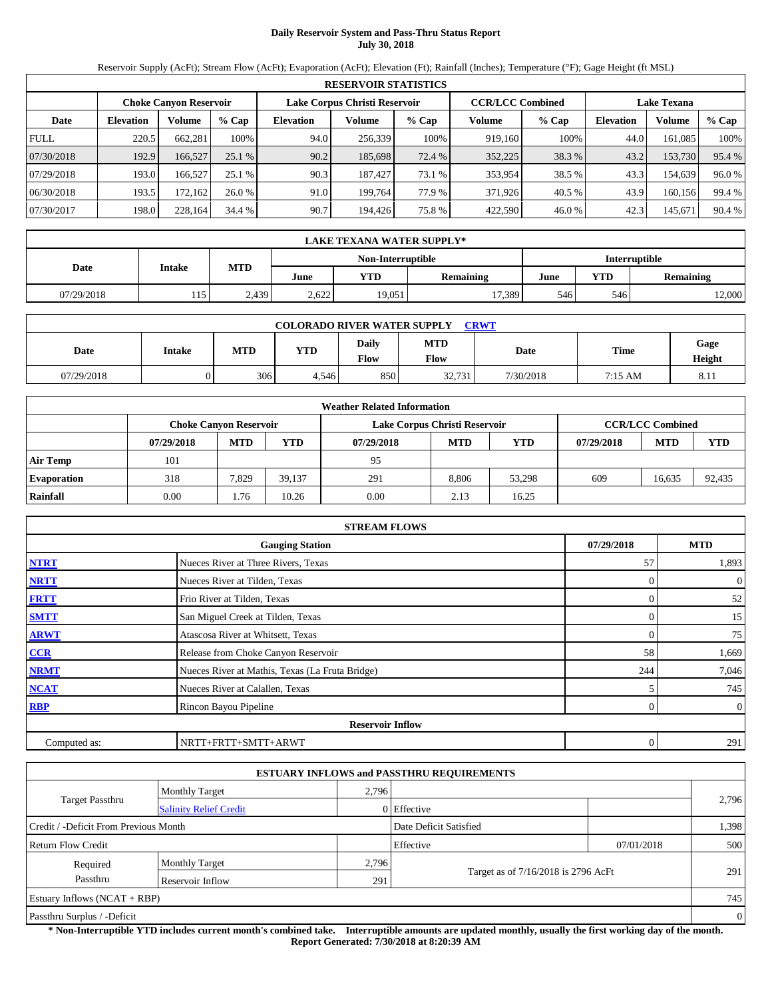# **Daily Reservoir System and Pass-Thru Status Report July 30, 2018**

Reservoir Supply (AcFt); Stream Flow (AcFt); Evaporation (AcFt); Elevation (Ft); Rainfall (Inches); Temperature (°F); Gage Height (ft MSL)

|                                                                                                                 | <b>RESERVOIR STATISTICS</b> |         |         |                  |         |        |         |        |                  |         |          |  |  |
|-----------------------------------------------------------------------------------------------------------------|-----------------------------|---------|---------|------------------|---------|--------|---------|--------|------------------|---------|----------|--|--|
| <b>CCR/LCC Combined</b><br>Lake Corpus Christi Reservoir<br><b>Lake Texana</b><br><b>Choke Canyon Reservoir</b> |                             |         |         |                  |         |        |         |        |                  |         |          |  |  |
| Date                                                                                                            | <b>Elevation</b>            | Volume  | $%$ Cap | <b>Elevation</b> | Volume  | % Cap  | Volume  | % Cap  | <b>Elevation</b> | Volume  | $\%$ Cap |  |  |
| <b>FULL</b>                                                                                                     | 220.5                       | 662.281 | 100%    | 94.0             | 256.339 | 100%   | 919.160 | 100%   | 44.0             | 161.085 | 100%     |  |  |
| 07/30/2018                                                                                                      | 192.9                       | 166,527 | 25.1%   | 90.2             | 185,698 | 72.4 % | 352,225 | 38.3 % | 43.2             | 153,730 | 95.4 %   |  |  |
| 07/29/2018                                                                                                      | 193.0                       | 166.527 | 25.1%   | 90.3             | 187.427 | 73.1 % | 353.954 | 38.5 % | 43.3             | 154.639 | 96.0%    |  |  |
| 06/30/2018                                                                                                      | 193.5                       | 172.162 | 26.0%   | 91.0             | 199.764 | 77.9 % | 371.926 | 40.5 % | 43.9             | 160.156 | 99.4 %   |  |  |
| 07/30/2017                                                                                                      | 198.0                       | 228,164 | 34.4 %  | 90.7             | 194.426 | 75.8%  | 422.590 | 46.0%  | 42.3             | 145,671 | 90.4 %   |  |  |

|                                    | <b>LAKE TEXANA WATER SUPPLY*</b> |               |            |       |        |                  |      |                                |        |  |  |
|------------------------------------|----------------------------------|---------------|------------|-------|--------|------------------|------|--------------------------------|--------|--|--|
| Interruptible<br>Non-Interruptible |                                  |               |            |       |        |                  |      |                                |        |  |  |
|                                    | Date                             | <b>Intake</b> | <b>MTD</b> | June  | YTD    | <b>Remaining</b> | June | <b>YTD</b><br><b>Remaining</b> |        |  |  |
|                                    | 07/29/2018                       | 115           | 2,439      | 2.622 | 19,051 | 17,389           | 546  | 546                            | 12,000 |  |  |

| <b>COLORADO RIVER WATER SUPPLY</b><br><b>CRWT</b> |               |            |       |                      |                    |           |             |                |  |  |  |
|---------------------------------------------------|---------------|------------|-------|----------------------|--------------------|-----------|-------------|----------------|--|--|--|
| Date                                              | <b>Intake</b> | <b>MTD</b> | YTD   | Daily<br><b>Flow</b> | <b>MTD</b><br>Flow | Date      | <b>Time</b> | Gage<br>Height |  |  |  |
| 07/29/2018                                        |               | 306        | 4,546 | 850                  | 32,731             | 7/30/2018 | 7:15 AM     | 8.11           |  |  |  |

|                    |            |                               |        | <b>Weather Related Information</b> |                               |            |            |                         |        |
|--------------------|------------|-------------------------------|--------|------------------------------------|-------------------------------|------------|------------|-------------------------|--------|
|                    |            | <b>Choke Canyon Reservoir</b> |        |                                    | Lake Corpus Christi Reservoir |            |            | <b>CCR/LCC Combined</b> |        |
|                    | 07/29/2018 | <b>MTD</b>                    | YTD    | 07/29/2018                         | <b>MTD</b>                    | <b>YTD</b> | 07/29/2018 | <b>MTD</b>              | YTD    |
| <b>Air Temp</b>    | 101        |                               |        | 95                                 |                               |            |            |                         |        |
| <b>Evaporation</b> | 318        | 7,829                         | 39.137 | 291                                | 8.806                         | 53,298     | 609        | 16.635                  | 92,435 |
| Rainfall           | 0.00       | . 76                          | 10.26  | 0.00                               | 2.13                          | 16.25      |            |                         |        |

|              | <b>STREAM FLOWS</b>                             |            |                |
|--------------|-------------------------------------------------|------------|----------------|
|              | <b>Gauging Station</b>                          | 07/29/2018 | <b>MTD</b>     |
| <b>NTRT</b>  | Nueces River at Three Rivers, Texas             | 57         | 1,893          |
| <b>NRTT</b>  | Nueces River at Tilden, Texas                   |            | $\overline{0}$ |
| <b>FRTT</b>  | Frio River at Tilden, Texas                     |            | 52             |
| <b>SMTT</b>  | San Miguel Creek at Tilden, Texas               |            | 15             |
| <b>ARWT</b>  | Atascosa River at Whitsett, Texas               |            | 75             |
| CCR          | Release from Choke Canyon Reservoir             | 58         | 1,669          |
| <b>NRMT</b>  | Nueces River at Mathis, Texas (La Fruta Bridge) | 244        | 7,046          |
| <b>NCAT</b>  | Nueces River at Calallen, Texas                 |            | 745            |
| <b>RBP</b>   | Rincon Bayou Pipeline                           |            | $\overline{0}$ |
|              | <b>Reservoir Inflow</b>                         |            |                |
| Computed as: | NRTT+FRTT+SMTT+ARWT                             | 0          | 291            |

|                                       |                               |       | <b>ESTUARY INFLOWS and PASSTHRU REQUIREMENTS</b> |            |       |  |  |
|---------------------------------------|-------------------------------|-------|--------------------------------------------------|------------|-------|--|--|
|                                       | <b>Monthly Target</b>         | 2,796 |                                                  |            |       |  |  |
| <b>Target Passthru</b>                | <b>Salinity Relief Credit</b> |       | 0 Effective                                      |            | 2,796 |  |  |
| Credit / -Deficit From Previous Month |                               |       | Date Deficit Satisfied                           |            | 1,398 |  |  |
| <b>Return Flow Credit</b>             |                               |       | Effective                                        | 07/01/2018 | 500   |  |  |
| Required                              | <b>Monthly Target</b>         | 2,796 |                                                  |            |       |  |  |
| Passthru                              | Reservoir Inflow              | 291   | Target as of 7/16/2018 is 2796 AcFt              |            | 291   |  |  |
| Estuary Inflows $(NCAT + RBP)$        |                               |       |                                                  |            | 745   |  |  |
| Passthru Surplus / -Deficit           |                               |       |                                                  |            |       |  |  |

**\* Non-Interruptible YTD includes current month's combined take. Interruptible amounts are updated monthly, usually the first working day of the month. Report Generated: 7/30/2018 at 8:20:39 AM**